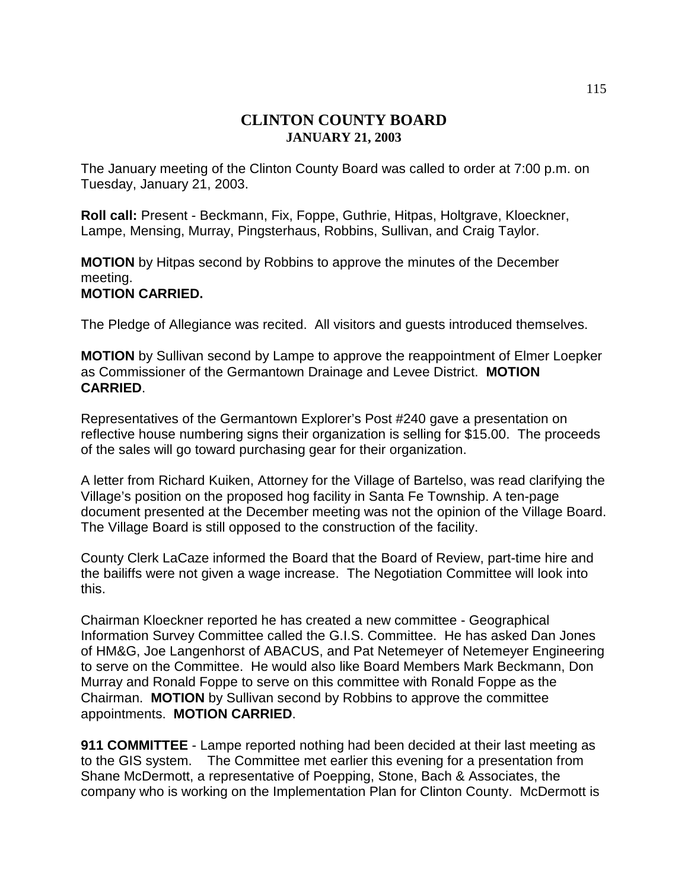# **CLINTON COUNTY BOARD JANUARY 21, 2003**

The January meeting of the Clinton County Board was called to order at 7:00 p.m. on Tuesday, January 21, 2003.

**Roll call:** Present - Beckmann, Fix, Foppe, Guthrie, Hitpas, Holtgrave, Kloeckner, Lampe, Mensing, Murray, Pingsterhaus, Robbins, Sullivan, and Craig Taylor.

**MOTION** by Hitpas second by Robbins to approve the minutes of the December meeting.

## **MOTION CARRIED.**

The Pledge of Allegiance was recited. All visitors and guests introduced themselves.

**MOTION** by Sullivan second by Lampe to approve the reappointment of Elmer Loepker as Commissioner of the Germantown Drainage and Levee District. **MOTION CARRIED**.

Representatives of the Germantown Explorer's Post #240 gave a presentation on reflective house numbering signs their organization is selling for \$15.00. The proceeds of the sales will go toward purchasing gear for their organization.

A letter from Richard Kuiken, Attorney for the Village of Bartelso, was read clarifying the Village's position on the proposed hog facility in Santa Fe Township. A ten-page document presented at the December meeting was not the opinion of the Village Board. The Village Board is still opposed to the construction of the facility.

County Clerk LaCaze informed the Board that the Board of Review, part-time hire and the bailiffs were not given a wage increase. The Negotiation Committee will look into this.

Chairman Kloeckner reported he has created a new committee - Geographical Information Survey Committee called the G.I.S. Committee. He has asked Dan Jones of HM&G, Joe Langenhorst of ABACUS, and Pat Netemeyer of Netemeyer Engineering to serve on the Committee. He would also like Board Members Mark Beckmann, Don Murray and Ronald Foppe to serve on this committee with Ronald Foppe as the Chairman. **MOTION** by Sullivan second by Robbins to approve the committee appointments. **MOTION CARRIED**.

**911 COMMITTEE** - Lampe reported nothing had been decided at their last meeting as to the GIS system. The Committee met earlier this evening for a presentation from Shane McDermott, a representative of Poepping, Stone, Bach & Associates, the company who is working on the Implementation Plan for Clinton County. McDermott is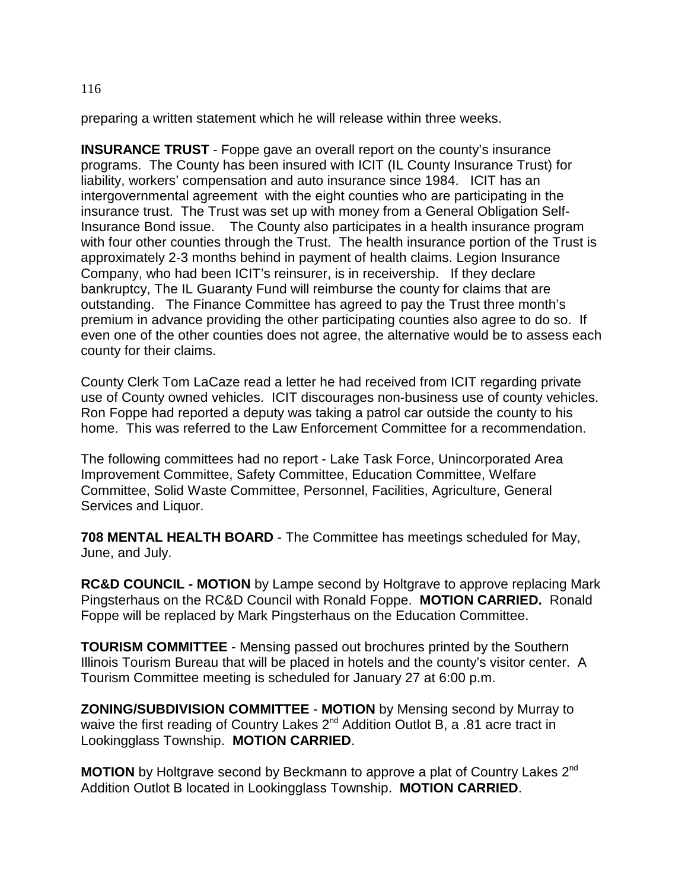preparing a written statement which he will release within three weeks.

**INSURANCE TRUST** - Foppe gave an overall report on the county's insurance programs. The County has been insured with ICIT (IL County Insurance Trust) for liability, workers' compensation and auto insurance since 1984. ICIT has an intergovernmental agreement with the eight counties who are participating in the insurance trust. The Trust was set up with money from a General Obligation Self-Insurance Bond issue. The County also participates in a health insurance program with four other counties through the Trust. The health insurance portion of the Trust is approximately 2-3 months behind in payment of health claims. Legion Insurance Company, who had been ICIT's reinsurer, is in receivership. If they declare bankruptcy, The IL Guaranty Fund will reimburse the county for claims that are outstanding. The Finance Committee has agreed to pay the Trust three month's premium in advance providing the other participating counties also agree to do so. If even one of the other counties does not agree, the alternative would be to assess each county for their claims.

County Clerk Tom LaCaze read a letter he had received from ICIT regarding private use of County owned vehicles. ICIT discourages non-business use of county vehicles. Ron Foppe had reported a deputy was taking a patrol car outside the county to his home. This was referred to the Law Enforcement Committee for a recommendation.

The following committees had no report - Lake Task Force, Unincorporated Area Improvement Committee, Safety Committee, Education Committee, Welfare Committee, Solid Waste Committee, Personnel, Facilities, Agriculture, General Services and Liquor.

**708 MENTAL HEALTH BOARD** - The Committee has meetings scheduled for May, June, and July.

**RC&D COUNCIL - MOTION** by Lampe second by Holtgrave to approve replacing Mark Pingsterhaus on the RC&D Council with Ronald Foppe. **MOTION CARRIED.** Ronald Foppe will be replaced by Mark Pingsterhaus on the Education Committee.

**TOURISM COMMITTEE** - Mensing passed out brochures printed by the Southern Illinois Tourism Bureau that will be placed in hotels and the county's visitor center. A Tourism Committee meeting is scheduled for January 27 at 6:00 p.m.

**ZONING/SUBDIVISION COMMITTEE** - **MOTION** by Mensing second by Murray to waive the first reading of Country Lakes 2<sup>nd</sup> Addition Outlot B, a .81 acre tract in Lookingglass Township. **MOTION CARRIED**.

**MOTION** by Holtgrave second by Beckmann to approve a plat of Country Lakes 2<sup>nd</sup> Addition Outlot B located in Lookingglass Township. **MOTION CARRIED**.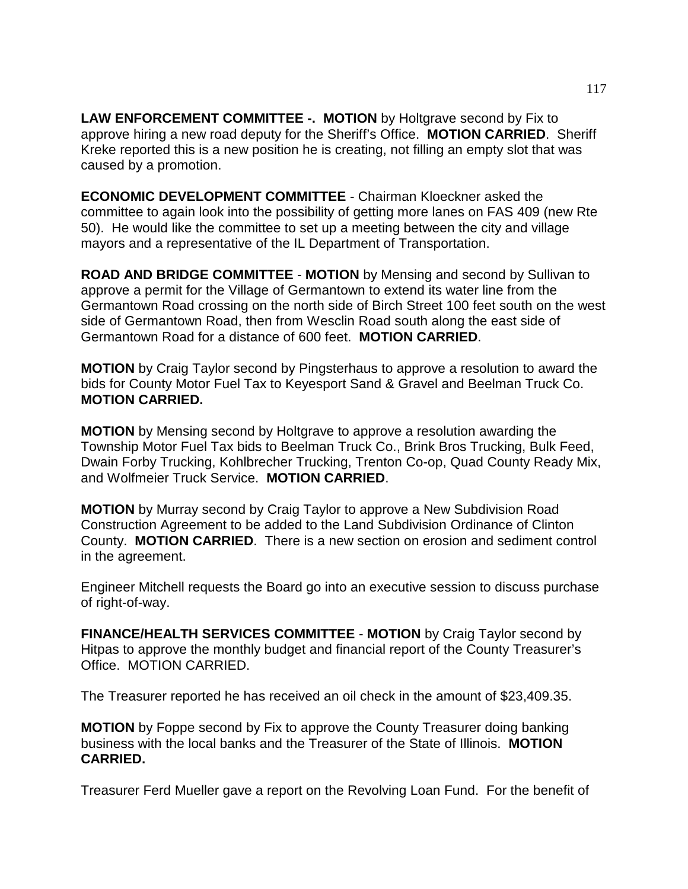**LAW ENFORCEMENT COMMITTEE -. MOTION** by Holtgrave second by Fix to approve hiring a new road deputy for the Sheriff's Office. **MOTION CARRIED**. Sheriff Kreke reported this is a new position he is creating, not filling an empty slot that was caused by a promotion.

**ECONOMIC DEVELOPMENT COMMITTEE** - Chairman Kloeckner asked the committee to again look into the possibility of getting more lanes on FAS 409 (new Rte 50). He would like the committee to set up a meeting between the city and village mayors and a representative of the IL Department of Transportation.

**ROAD AND BRIDGE COMMITTEE** - **MOTION** by Mensing and second by Sullivan to approve a permit for the Village of Germantown to extend its water line from the Germantown Road crossing on the north side of Birch Street 100 feet south on the west side of Germantown Road, then from Wesclin Road south along the east side of Germantown Road for a distance of 600 feet. **MOTION CARRIED**.

**MOTION** by Craig Taylor second by Pingsterhaus to approve a resolution to award the bids for County Motor Fuel Tax to Keyesport Sand & Gravel and Beelman Truck Co. **MOTION CARRIED.**

**MOTION** by Mensing second by Holtgrave to approve a resolution awarding the Township Motor Fuel Tax bids to Beelman Truck Co., Brink Bros Trucking, Bulk Feed, Dwain Forby Trucking, Kohlbrecher Trucking, Trenton Co-op, Quad County Ready Mix, and Wolfmeier Truck Service. **MOTION CARRIED**.

**MOTION** by Murray second by Craig Taylor to approve a New Subdivision Road Construction Agreement to be added to the Land Subdivision Ordinance of Clinton County. **MOTION CARRIED**. There is a new section on erosion and sediment control in the agreement.

Engineer Mitchell requests the Board go into an executive session to discuss purchase of right-of-way.

**FINANCE/HEALTH SERVICES COMMITTEE** - **MOTION** by Craig Taylor second by Hitpas to approve the monthly budget and financial report of the County Treasurer's Office. MOTION CARRIED.

The Treasurer reported he has received an oil check in the amount of \$23,409.35.

**MOTION** by Foppe second by Fix to approve the County Treasurer doing banking business with the local banks and the Treasurer of the State of Illinois. **MOTION CARRIED.**

Treasurer Ferd Mueller gave a report on the Revolving Loan Fund. For the benefit of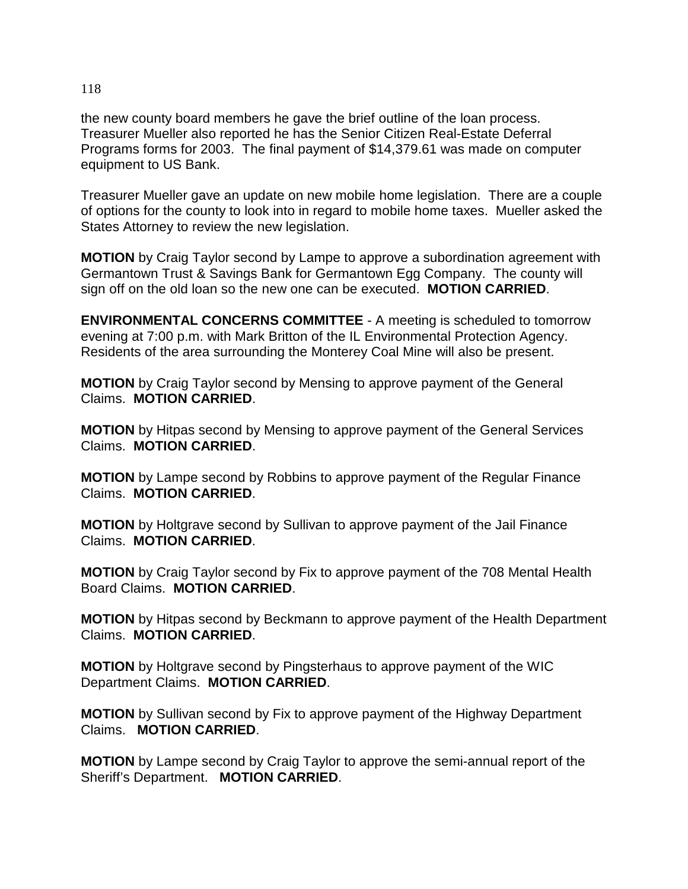the new county board members he gave the brief outline of the loan process. Treasurer Mueller also reported he has the Senior Citizen Real-Estate Deferral Programs forms for 2003. The final payment of \$14,379.61 was made on computer equipment to US Bank.

Treasurer Mueller gave an update on new mobile home legislation. There are a couple of options for the county to look into in regard to mobile home taxes. Mueller asked the States Attorney to review the new legislation.

**MOTION** by Craig Taylor second by Lampe to approve a subordination agreement with Germantown Trust & Savings Bank for Germantown Egg Company. The county will sign off on the old loan so the new one can be executed. **MOTION CARRIED**.

**ENVIRONMENTAL CONCERNS COMMITTEE** - A meeting is scheduled to tomorrow evening at 7:00 p.m. with Mark Britton of the IL Environmental Protection Agency. Residents of the area surrounding the Monterey Coal Mine will also be present.

**MOTION** by Craig Taylor second by Mensing to approve payment of the General Claims. **MOTION CARRIED**.

**MOTION** by Hitpas second by Mensing to approve payment of the General Services Claims. **MOTION CARRIED**.

**MOTION** by Lampe second by Robbins to approve payment of the Regular Finance Claims. **MOTION CARRIED**.

**MOTION** by Holtgrave second by Sullivan to approve payment of the Jail Finance Claims. **MOTION CARRIED**.

**MOTION** by Craig Taylor second by Fix to approve payment of the 708 Mental Health Board Claims. **MOTION CARRIED**.

**MOTION** by Hitpas second by Beckmann to approve payment of the Health Department Claims. **MOTION CARRIED**.

**MOTION** by Holtgrave second by Pingsterhaus to approve payment of the WIC Department Claims. **MOTION CARRIED**.

**MOTION** by Sullivan second by Fix to approve payment of the Highway Department Claims. **MOTION CARRIED**.

**MOTION** by Lampe second by Craig Taylor to approve the semi-annual report of the Sheriff's Department. **MOTION CARRIED**.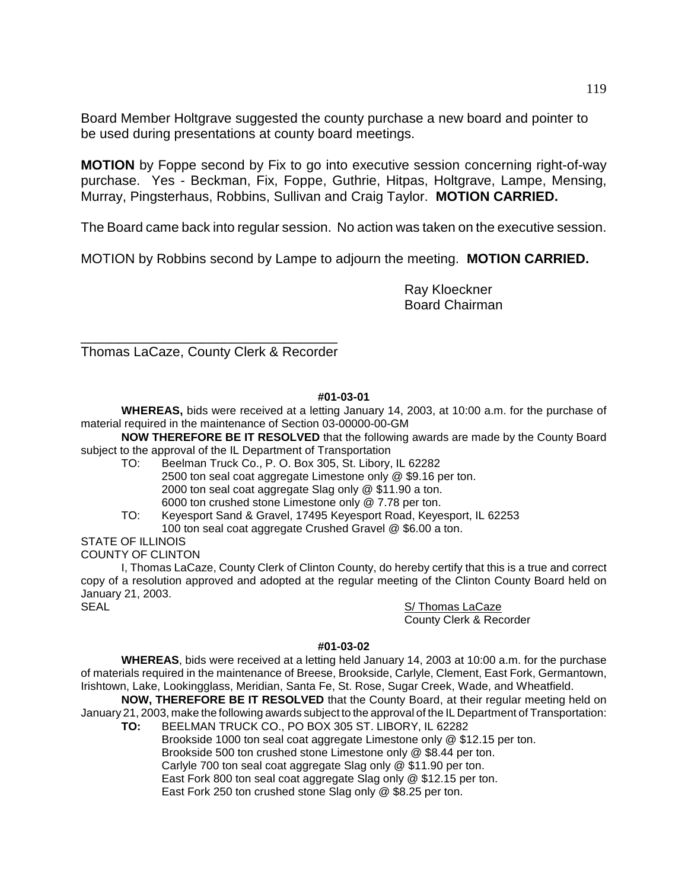Board Member Holtgrave suggested the county purchase a new board and pointer to be used during presentations at county board meetings.

**MOTION** by Foppe second by Fix to go into executive session concerning right-of-way purchase. Yes - Beckman, Fix, Foppe, Guthrie, Hitpas, Holtgrave, Lampe, Mensing, Murray, Pingsterhaus, Robbins, Sullivan and Craig Taylor. **MOTION CARRIED.**

The Board came back into regular session. No action was taken on the executive session.

MOTION by Robbins second by Lampe to adjourn the meeting. **MOTION CARRIED.**

Ray Kloeckner Board Chairman

\_\_\_\_\_\_\_\_\_\_\_\_\_\_\_\_\_\_\_\_\_\_\_\_\_\_\_\_\_\_\_\_\_\_ Thomas LaCaze, County Clerk & Recorder

## **#01-03-01**

**WHEREAS,** bids were received at a letting January 14, 2003, at 10:00 a.m. for the purchase of material required in the maintenance of Section 03-00000-00-GM

**NOW THEREFORE BE IT RESOLVED** that the following awards are made by the County Board subject to the approval of the IL Department of Transportation

- TO: Beelman Truck Co., P. O. Box 305, St. Libory, IL 62282 2500 ton seal coat aggregate Limestone only @ \$9.16 per ton. 2000 ton seal coat aggregate Slag only @ \$11.90 a ton. 6000 ton crushed stone Limestone only @ 7.78 per ton.
- TO: Keyesport Sand & Gravel, 17495 Keyesport Road, Keyesport, IL 62253 100 ton seal coat aggregate Crushed Gravel @ \$6.00 a ton.

# STATE OF ILLINOIS

COUNTY OF CLINTON

I, Thomas LaCaze, County Clerk of Clinton County, do hereby certify that this is a true and correct copy of a resolution approved and adopted at the regular meeting of the Clinton County Board held on January 21, 2003. SEAL S/ Thomas LaCaze

County Clerk & Recorder

### **#01-03-02**

**WHEREAS**, bids were received at a letting held January 14, 2003 at 10:00 a.m. for the purchase of materials required in the maintenance of Breese, Brookside, Carlyle, Clement, East Fork, Germantown, Irishtown, Lake, Lookingglass, Meridian, Santa Fe, St. Rose, Sugar Creek, Wade, and Wheatfield.

**NOW, THEREFORE BE IT RESOLVED** that the County Board, at their regular meeting held on January 21, 2003, make the following awards subject to the approval of the IL Department of Transportation:

**TO:** BEELMAN TRUCK CO., PO BOX 305 ST. LIBORY, IL 62282 Brookside 1000 ton seal coat aggregate Limestone only @ \$12.15 per ton. Brookside 500 ton crushed stone Limestone only @ \$8.44 per ton. Carlyle 700 ton seal coat aggregate Slag only @ \$11.90 per ton. East Fork 800 ton seal coat aggregate Slag only @ \$12.15 per ton. East Fork 250 ton crushed stone Slag only @ \$8.25 per ton.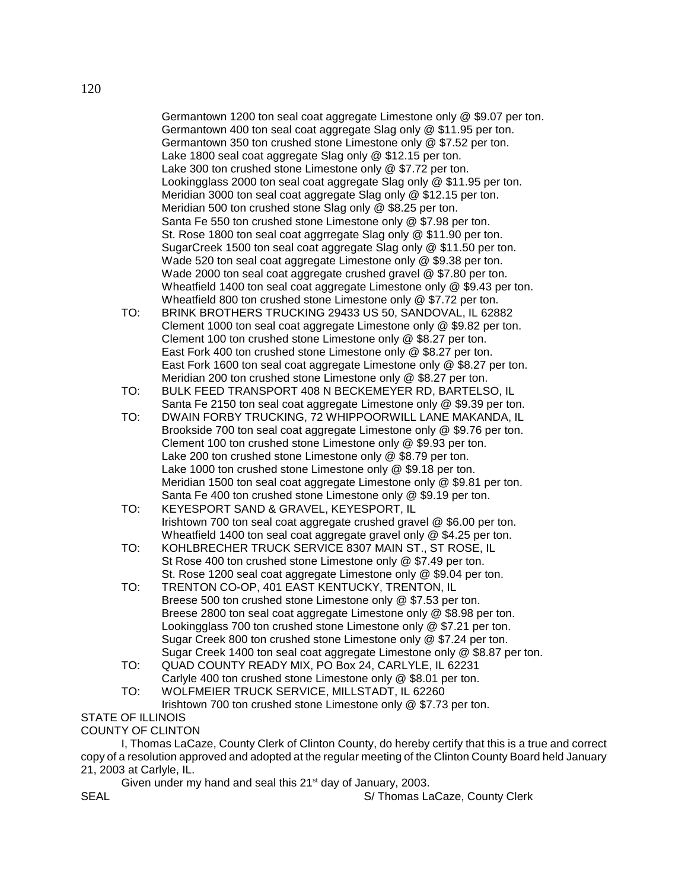Germantown 1200 ton seal coat aggregate Limestone only @ \$9.07 per ton. Germantown 400 ton seal coat aggregate Slag only @ \$11.95 per ton. Germantown 350 ton crushed stone Limestone only @ \$7.52 per ton. Lake 1800 seal coat aggregate Slag only @ \$12.15 per ton. Lake 300 ton crushed stone Limestone only @ \$7.72 per ton. Lookingglass 2000 ton seal coat aggregate Slag only @ \$11.95 per ton. Meridian 3000 ton seal coat aggregate Slag only @ \$12.15 per ton. Meridian 500 ton crushed stone Slag only @ \$8.25 per ton. Santa Fe 550 ton crushed stone Limestone only @ \$7.98 per ton. St. Rose 1800 ton seal coat aggrregate Slag only @ \$11.90 per ton. SugarCreek 1500 ton seal coat aggregate Slag only @ \$11.50 per ton. Wade 520 ton seal coat aggregate Limestone only @ \$9.38 per ton. Wade 2000 ton seal coat aggregate crushed gravel @ \$7.80 per ton. Wheatfield 1400 ton seal coat aggregate Limestone only @ \$9.43 per ton. Wheatfield 800 ton crushed stone Limestone only @ \$7.72 per ton.

- TO: BRINK BROTHERS TRUCKING 29433 US 50, SANDOVAL, IL 62882 Clement 1000 ton seal coat aggregate Limestone only @ \$9.82 per ton. Clement 100 ton crushed stone Limestone only @ \$8.27 per ton. East Fork 400 ton crushed stone Limestone only @ \$8.27 per ton. East Fork 1600 ton seal coat aggregate Limestone only @ \$8.27 per ton. Meridian 200 ton crushed stone Limestone only @ \$8.27 per ton.
- TO: BULK FEED TRANSPORT 408 N BECKEMEYER RD, BARTELSO, IL Santa Fe 2150 ton seal coat aggregate Limestone only @ \$9.39 per ton.
- TO: DWAIN FORBY TRUCKING, 72 WHIPPOORWILL LANE MAKANDA, IL Brookside 700 ton seal coat aggregate Limestone only @ \$9.76 per ton. Clement 100 ton crushed stone Limestone only @ \$9.93 per ton. Lake 200 ton crushed stone Limestone only @ \$8.79 per ton. Lake 1000 ton crushed stone Limestone only @ \$9.18 per ton. Meridian 1500 ton seal coat aggregate Limestone only @ \$9.81 per ton. Santa Fe 400 ton crushed stone Limestone only @ \$9.19 per ton.
- TO: KEYESPORT SAND & GRAVEL, KEYESPORT, IL Irishtown 700 ton seal coat aggregate crushed gravel @ \$6.00 per ton. Wheatfield 1400 ton seal coat aggregate gravel only @ \$4.25 per ton.
- TO: KOHLBRECHER TRUCK SERVICE 8307 MAIN ST., ST ROSE, IL St Rose 400 ton crushed stone Limestone only @ \$7.49 per ton. St. Rose 1200 seal coat aggregate Limestone only @ \$9.04 per ton.
- TO: TRENTON CO-OP, 401 EAST KENTUCKY, TRENTON, IL Breese 500 ton crushed stone Limestone only @ \$7.53 per ton. Breese 2800 ton seal coat aggregate Limestone only @ \$8.98 per ton. Lookingglass 700 ton crushed stone Limestone only @ \$7.21 per ton. Sugar Creek 800 ton crushed stone Limestone only @ \$7.24 per ton. Sugar Creek 1400 ton seal coat aggregate Limestone only @ \$8.87 per ton.
- TO: QUAD COUNTY READY MIX, PO Box 24, CARLYLE, IL 62231 Carlyle 400 ton crushed stone Limestone only @ \$8.01 per ton.
- TO: WOLFMEIER TRUCK SERVICE, MILLSTADT, IL 62260
	- Irishtown 700 ton crushed stone Limestone only @ \$7.73 per ton.

### STATE OF ILLINOIS COUNTY OF CLINTON

I, Thomas LaCaze, County Clerk of Clinton County, do hereby certify that this is a true and correct copy of a resolution approved and adopted at the regular meeting of the Clinton County Board held January 21, 2003 at Carlyle, IL.

Given under my hand and seal this  $21<sup>st</sup>$  day of January, 2003. SEAL SEAL SEAL S/ Thomas LaCaze, County Clerk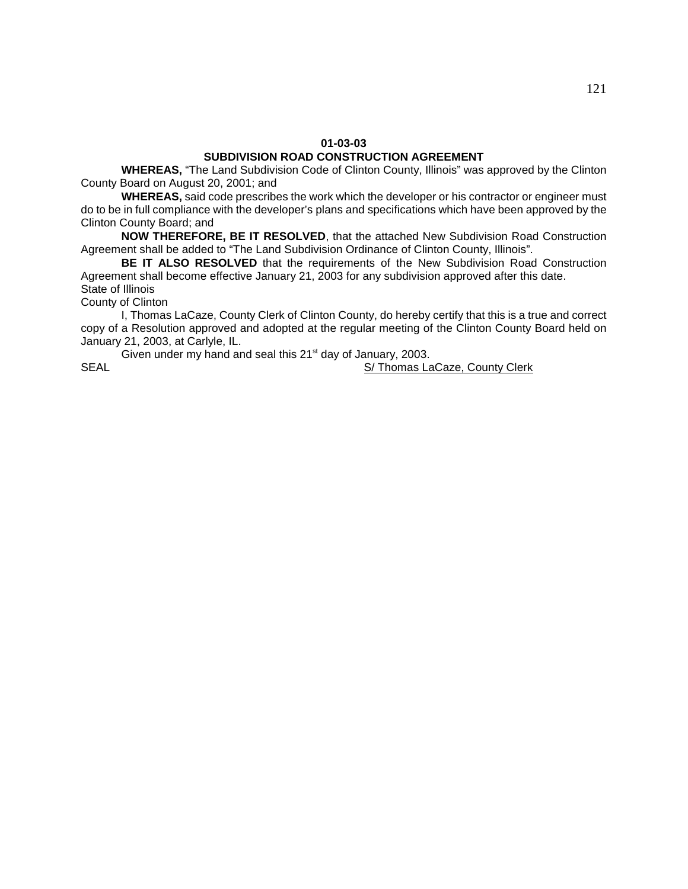**WHEREAS,** "The Land Subdivision Code of Clinton County, Illinois" was approved by the Clinton County Board on August 20, 2001; and

**WHEREAS,** said code prescribes the work which the developer or his contractor or engineer must do to be in full compliance with the developer's plans and specifications which have been approved by the Clinton County Board; and

**NOW THEREFORE, BE IT RESOLVED**, that the attached New Subdivision Road Construction Agreement shall be added to "The Land Subdivision Ordinance of Clinton County, Illinois".

**BE IT ALSO RESOLVED** that the requirements of the New Subdivision Road Construction Agreement shall become effective January 21, 2003 for any subdivision approved after this date. State of Illinois

County of Clinton

I, Thomas LaCaze, County Clerk of Clinton County, do hereby certify that this is a true and correct copy of a Resolution approved and adopted at the regular meeting of the Clinton County Board held on January 21, 2003, at Carlyle, IL.

Given under my hand and seal this  $21<sup>st</sup>$  day of January, 2003. SEAL S/ Thomas LaCaze, County Clerk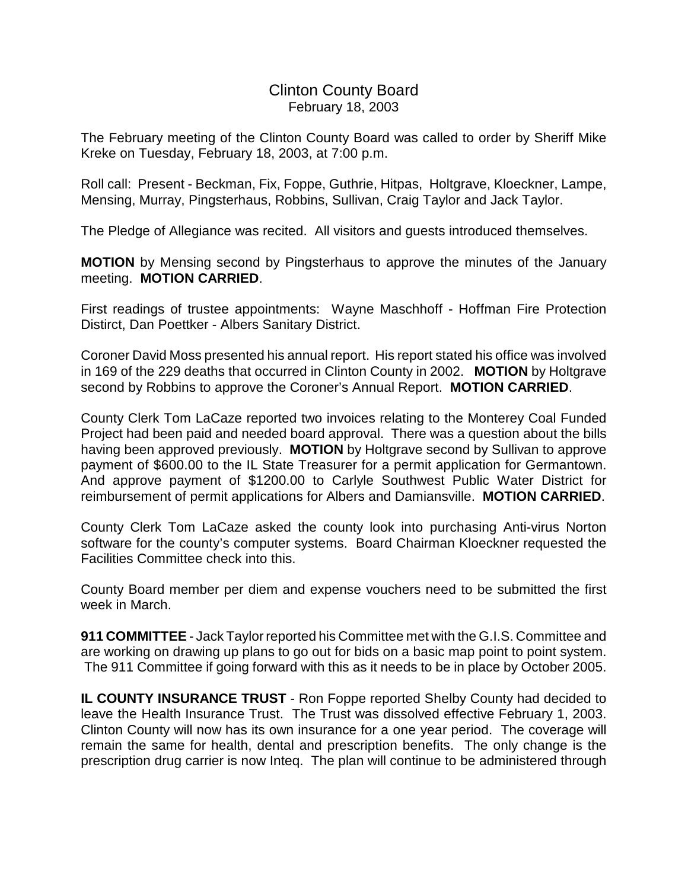# Clinton County Board February 18, 2003

The February meeting of the Clinton County Board was called to order by Sheriff Mike Kreke on Tuesday, February 18, 2003, at 7:00 p.m.

Roll call: Present - Beckman, Fix, Foppe, Guthrie, Hitpas, Holtgrave, Kloeckner, Lampe, Mensing, Murray, Pingsterhaus, Robbins, Sullivan, Craig Taylor and Jack Taylor.

The Pledge of Allegiance was recited. All visitors and guests introduced themselves.

**MOTION** by Mensing second by Pingsterhaus to approve the minutes of the January meeting. **MOTION CARRIED**.

First readings of trustee appointments: Wayne Maschhoff - Hoffman Fire Protection Distirct, Dan Poettker - Albers Sanitary District.

Coroner David Moss presented his annual report. His report stated his office was involved in 169 of the 229 deaths that occurred in Clinton County in 2002. **MOTION** by Holtgrave second by Robbins to approve the Coroner's Annual Report. **MOTION CARRIED**.

County Clerk Tom LaCaze reported two invoices relating to the Monterey Coal Funded Project had been paid and needed board approval. There was a question about the bills having been approved previously. **MOTION** by Holtgrave second by Sullivan to approve payment of \$600.00 to the IL State Treasurer for a permit application for Germantown. And approve payment of \$1200.00 to Carlyle Southwest Public Water District for reimbursement of permit applications for Albers and Damiansville. **MOTION CARRIED**.

County Clerk Tom LaCaze asked the county look into purchasing Anti-virus Norton software for the county's computer systems. Board Chairman Kloeckner requested the Facilities Committee check into this.

County Board member per diem and expense vouchers need to be submitted the first week in March.

**911 COMMITTEE** - Jack Taylor reported his Committee met with the G.I.S. Committee and are working on drawing up plans to go out for bids on a basic map point to point system. The 911 Committee if going forward with this as it needs to be in place by October 2005.

**IL COUNTY INSURANCE TRUST** - Ron Foppe reported Shelby County had decided to leave the Health Insurance Trust. The Trust was dissolved effective February 1, 2003. Clinton County will now has its own insurance for a one year period. The coverage will remain the same for health, dental and prescription benefits. The only change is the prescription drug carrier is now Inteq. The plan will continue to be administered through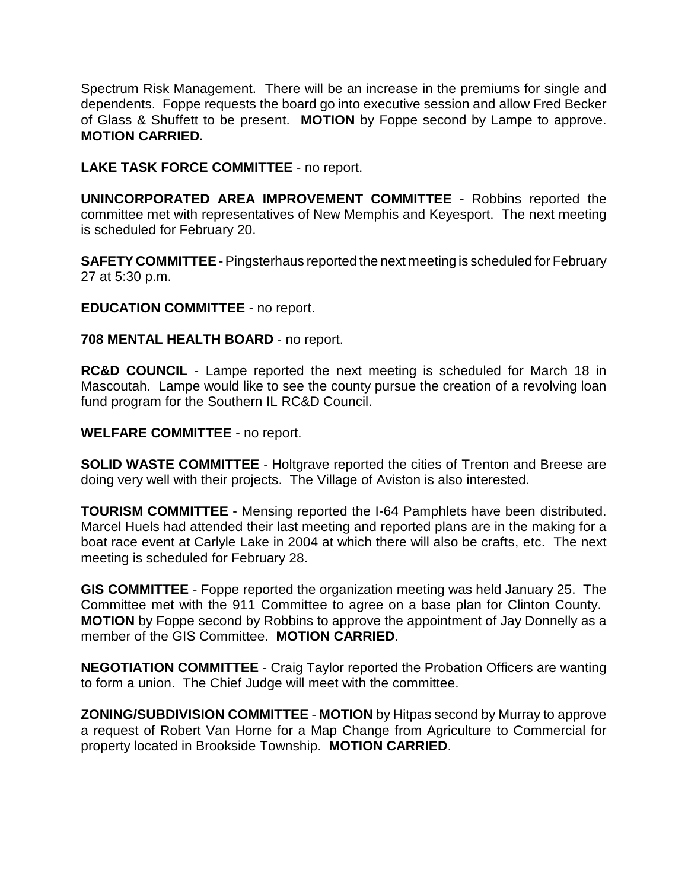Spectrum Risk Management. There will be an increase in the premiums for single and dependents. Foppe requests the board go into executive session and allow Fred Becker of Glass & Shuffett to be present. **MOTION** by Foppe second by Lampe to approve. **MOTION CARRIED.**

**LAKE TASK FORCE COMMITTEE** - no report.

**UNINCORPORATED AREA IMPROVEMENT COMMITTEE** - Robbins reported the committee met with representatives of New Memphis and Keyesport. The next meeting is scheduled for February 20.

**SAFETY COMMITTEE** - Pingsterhaus reported the next meeting is scheduled for February 27 at 5:30 p.m.

**EDUCATION COMMITTEE** - no report.

**708 MENTAL HEALTH BOARD** - no report.

**RC&D COUNCIL** - Lampe reported the next meeting is scheduled for March 18 in Mascoutah. Lampe would like to see the county pursue the creation of a revolving loan fund program for the Southern IL RC&D Council.

**WELFARE COMMITTEE** - no report.

**SOLID WASTE COMMITTEE** - Holtgrave reported the cities of Trenton and Breese are doing very well with their projects. The Village of Aviston is also interested.

**TOURISM COMMITTEE** - Mensing reported the I-64 Pamphlets have been distributed. Marcel Huels had attended their last meeting and reported plans are in the making for a boat race event at Carlyle Lake in 2004 at which there will also be crafts, etc. The next meeting is scheduled for February 28.

**GIS COMMITTEE** - Foppe reported the organization meeting was held January 25. The Committee met with the 911 Committee to agree on a base plan for Clinton County. **MOTION** by Foppe second by Robbins to approve the appointment of Jay Donnelly as a member of the GIS Committee. **MOTION CARRIED**.

**NEGOTIATION COMMITTEE** - Craig Taylor reported the Probation Officers are wanting to form a union. The Chief Judge will meet with the committee.

**ZONING/SUBDIVISION COMMITTEE** - **MOTION** by Hitpas second by Murray to approve a request of Robert Van Horne for a Map Change from Agriculture to Commercial for property located in Brookside Township. **MOTION CARRIED**.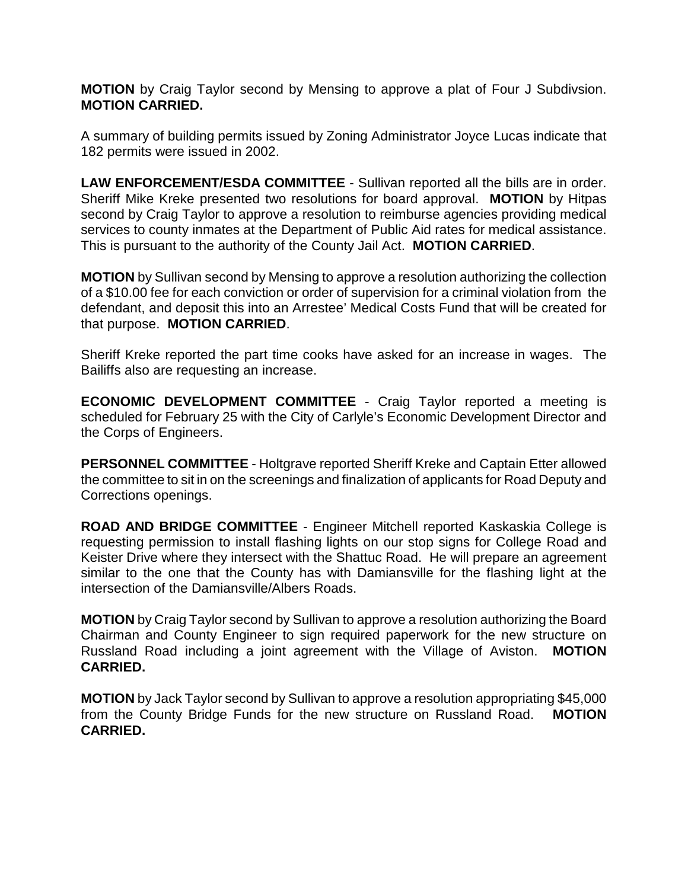**MOTION** by Craig Taylor second by Mensing to approve a plat of Four J Subdivsion. **MOTION CARRIED.**

A summary of building permits issued by Zoning Administrator Joyce Lucas indicate that 182 permits were issued in 2002.

**LAW ENFORCEMENT/ESDA COMMITTEE** - Sullivan reported all the bills are in order. Sheriff Mike Kreke presented two resolutions for board approval. **MOTION** by Hitpas second by Craig Taylor to approve a resolution to reimburse agencies providing medical services to county inmates at the Department of Public Aid rates for medical assistance. This is pursuant to the authority of the County Jail Act. **MOTION CARRIED**.

**MOTION** by Sullivan second by Mensing to approve a resolution authorizing the collection of a \$10.00 fee for each conviction or order of supervision for a criminal violation from the defendant, and deposit this into an Arrestee' Medical Costs Fund that will be created for that purpose. **MOTION CARRIED**.

Sheriff Kreke reported the part time cooks have asked for an increase in wages. The Bailiffs also are requesting an increase.

**ECONOMIC DEVELOPMENT COMMITTEE** - Craig Taylor reported a meeting is scheduled for February 25 with the City of Carlyle's Economic Development Director and the Corps of Engineers.

**PERSONNEL COMMITTEE** - Holtgrave reported Sheriff Kreke and Captain Etter allowed the committee to sit in on the screenings and finalization of applicants for Road Deputy and Corrections openings.

**ROAD AND BRIDGE COMMITTEE** - Engineer Mitchell reported Kaskaskia College is requesting permission to install flashing lights on our stop signs for College Road and Keister Drive where they intersect with the Shattuc Road. He will prepare an agreement similar to the one that the County has with Damiansville for the flashing light at the intersection of the Damiansville/Albers Roads.

**MOTION** by Craig Taylor second by Sullivan to approve a resolution authorizing the Board Chairman and County Engineer to sign required paperwork for the new structure on Russland Road including a joint agreement with the Village of Aviston. **MOTION CARRIED.**

**MOTION** by Jack Taylor second by Sullivan to approve a resolution appropriating \$45,000 from the County Bridge Funds for the new structure on Russland Road. **MOTION CARRIED.**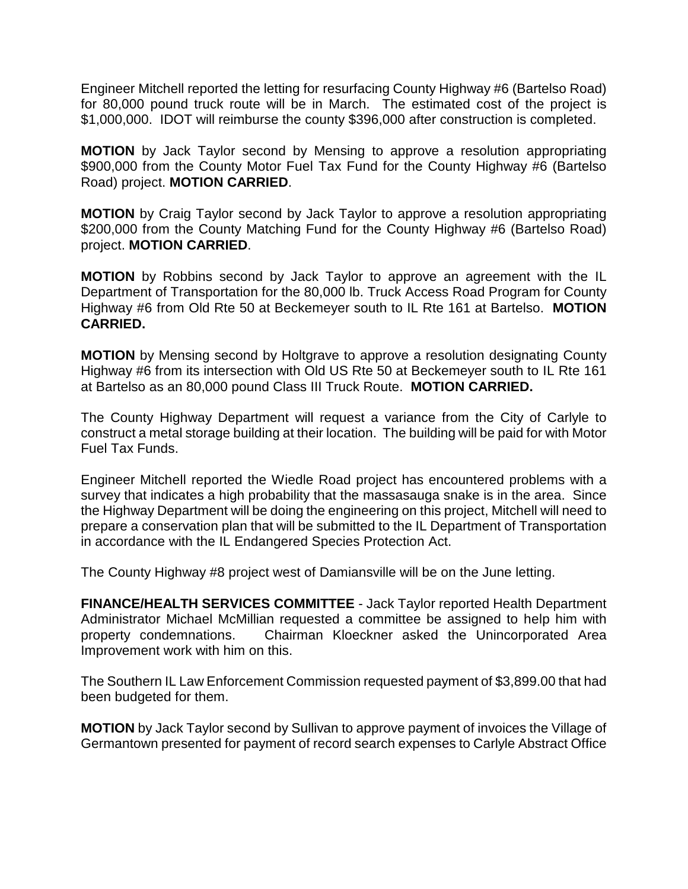Engineer Mitchell reported the letting for resurfacing County Highway #6 (Bartelso Road) for 80,000 pound truck route will be in March. The estimated cost of the project is \$1,000,000. IDOT will reimburse the county \$396,000 after construction is completed.

**MOTION** by Jack Taylor second by Mensing to approve a resolution appropriating \$900,000 from the County Motor Fuel Tax Fund for the County Highway #6 (Bartelso Road) project. **MOTION CARRIED**.

**MOTION** by Craig Taylor second by Jack Taylor to approve a resolution appropriating \$200,000 from the County Matching Fund for the County Highway #6 (Bartelso Road) project. **MOTION CARRIED**.

**MOTION** by Robbins second by Jack Taylor to approve an agreement with the IL Department of Transportation for the 80,000 lb. Truck Access Road Program for County Highway #6 from Old Rte 50 at Beckemeyer south to IL Rte 161 at Bartelso. **MOTION CARRIED.**

**MOTION** by Mensing second by Holtgrave to approve a resolution designating County Highway #6 from its intersection with Old US Rte 50 at Beckemeyer south to IL Rte 161 at Bartelso as an 80,000 pound Class III Truck Route. **MOTION CARRIED.**

The County Highway Department will request a variance from the City of Carlyle to construct a metal storage building at their location. The building will be paid for with Motor Fuel Tax Funds.

Engineer Mitchell reported the Wiedle Road project has encountered problems with a survey that indicates a high probability that the massasauga snake is in the area. Since the Highway Department will be doing the engineering on this project, Mitchell will need to prepare a conservation plan that will be submitted to the IL Department of Transportation in accordance with the IL Endangered Species Protection Act.

The County Highway #8 project west of Damiansville will be on the June letting.

**FINANCE/HEALTH SERVICES COMMITTEE** - Jack Taylor reported Health Department Administrator Michael McMillian requested a committee be assigned to help him with property condemnations. Chairman Kloeckner asked the Unincorporated Area Improvement work with him on this.

The Southern IL Law Enforcement Commission requested payment of \$3,899.00 that had been budgeted for them.

**MOTION** by Jack Taylor second by Sullivan to approve payment of invoices the Village of Germantown presented for payment of record search expenses to Carlyle Abstract Office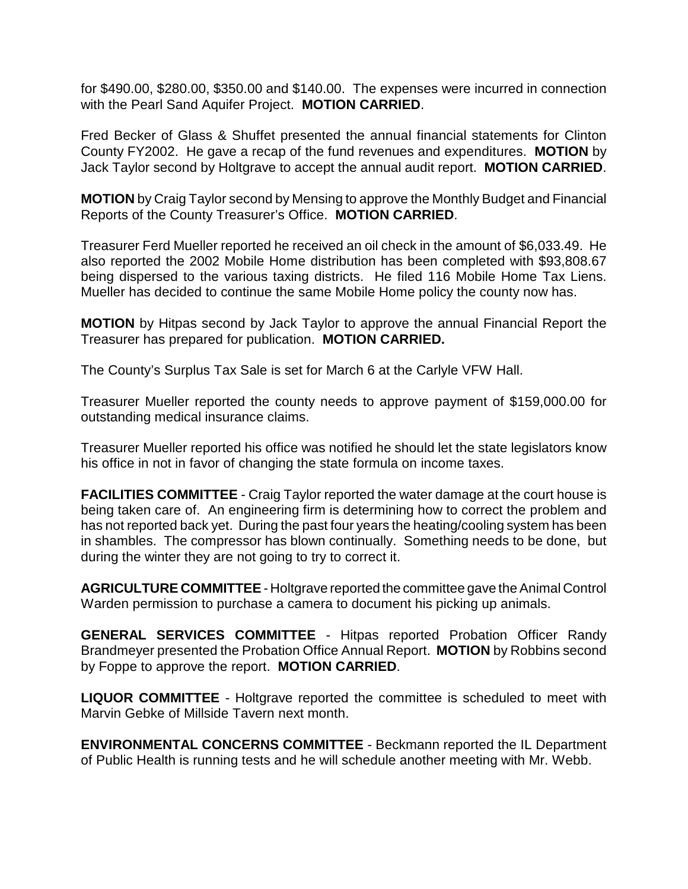for \$490.00, \$280.00, \$350.00 and \$140.00. The expenses were incurred in connection with the Pearl Sand Aquifer Project. **MOTION CARRIED**.

Fred Becker of Glass & Shuffet presented the annual financial statements for Clinton County FY2002. He gave a recap of the fund revenues and expenditures. **MOTION** by Jack Taylor second by Holtgrave to accept the annual audit report. **MOTION CARRIED**.

**MOTION** by Craig Taylor second by Mensing to approve the Monthly Budget and Financial Reports of the County Treasurer's Office. **MOTION CARRIED**.

Treasurer Ferd Mueller reported he received an oil check in the amount of \$6,033.49. He also reported the 2002 Mobile Home distribution has been completed with \$93,808.67 being dispersed to the various taxing districts. He filed 116 Mobile Home Tax Liens. Mueller has decided to continue the same Mobile Home policy the county now has.

**MOTION** by Hitpas second by Jack Taylor to approve the annual Financial Report the Treasurer has prepared for publication. **MOTION CARRIED.**

The County's Surplus Tax Sale is set for March 6 at the Carlyle VFW Hall.

Treasurer Mueller reported the county needs to approve payment of \$159,000.00 for outstanding medical insurance claims.

Treasurer Mueller reported his office was notified he should let the state legislators know his office in not in favor of changing the state formula on income taxes.

**FACILITIES COMMITTEE** - Craig Taylor reported the water damage at the court house is being taken care of. An engineering firm is determining how to correct the problem and has not reported back yet. During the past four years the heating/cooling system has been in shambles. The compressor has blown continually. Something needs to be done, but during the winter they are not going to try to correct it.

**AGRICULTURE COMMITTEE** - Holtgrave reported the committee gave the Animal Control Warden permission to purchase a camera to document his picking up animals.

**GENERAL SERVICES COMMITTEE** - Hitpas reported Probation Officer Randy Brandmeyer presented the Probation Office Annual Report. **MOTION** by Robbins second by Foppe to approve the report. **MOTION CARRIED**.

**LIQUOR COMMITTEE** - Holtgrave reported the committee is scheduled to meet with Marvin Gebke of Millside Tavern next month.

**ENVIRONMENTAL CONCERNS COMMITTEE** - Beckmann reported the IL Department of Public Health is running tests and he will schedule another meeting with Mr. Webb.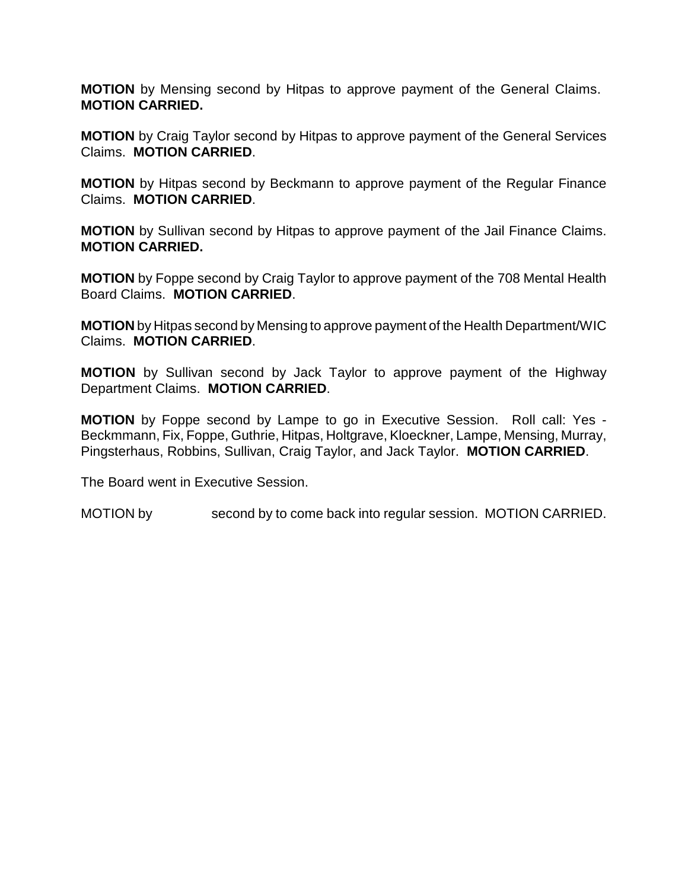**MOTION** by Mensing second by Hitpas to approve payment of the General Claims. **MOTION CARRIED.**

**MOTION** by Craig Taylor second by Hitpas to approve payment of the General Services Claims. **MOTION CARRIED**.

**MOTION** by Hitpas second by Beckmann to approve payment of the Regular Finance Claims. **MOTION CARRIED**.

**MOTION** by Sullivan second by Hitpas to approve payment of the Jail Finance Claims. **MOTION CARRIED.**

**MOTION** by Foppe second by Craig Taylor to approve payment of the 708 Mental Health Board Claims. **MOTION CARRIED**.

**MOTION** by Hitpas second by Mensing to approve payment of the Health Department/WIC Claims. **MOTION CARRIED**.

**MOTION** by Sullivan second by Jack Taylor to approve payment of the Highway Department Claims. **MOTION CARRIED**.

**MOTION** by Foppe second by Lampe to go in Executive Session. Roll call: Yes - Beckmmann, Fix, Foppe, Guthrie, Hitpas, Holtgrave, Kloeckner, Lampe, Mensing, Murray, Pingsterhaus, Robbins, Sullivan, Craig Taylor, and Jack Taylor. **MOTION CARRIED**.

The Board went in Executive Session.

MOTION by second by to come back into regular session. MOTION CARRIED.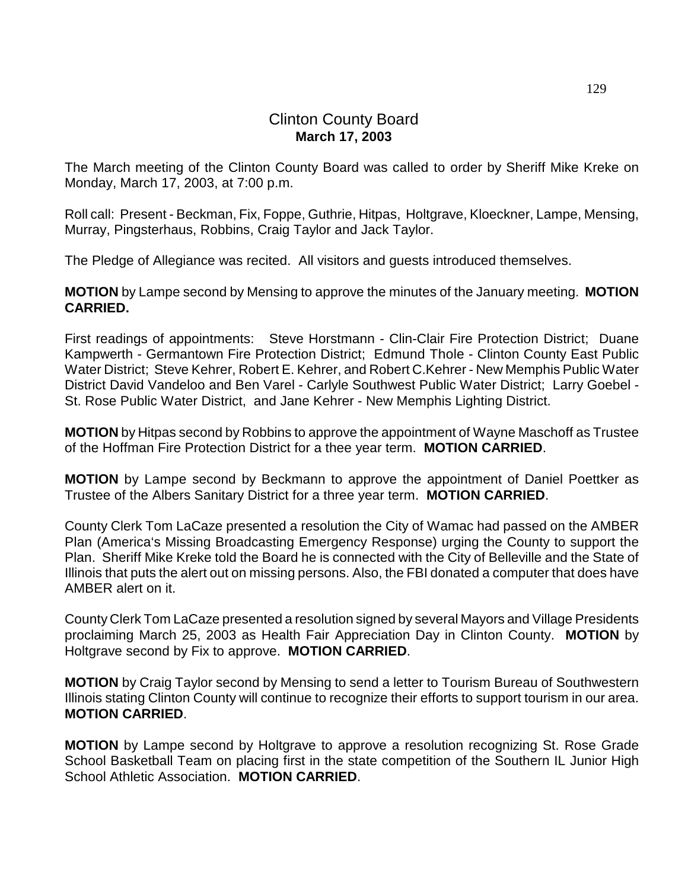# Clinton County Board **March 17, 2003**

The March meeting of the Clinton County Board was called to order by Sheriff Mike Kreke on Monday, March 17, 2003, at 7:00 p.m.

Roll call: Present - Beckman, Fix, Foppe, Guthrie, Hitpas, Holtgrave, Kloeckner, Lampe, Mensing, Murray, Pingsterhaus, Robbins, Craig Taylor and Jack Taylor.

The Pledge of Allegiance was recited. All visitors and guests introduced themselves.

**MOTION** by Lampe second by Mensing to approve the minutes of the January meeting. **MOTION CARRIED.**

First readings of appointments: Steve Horstmann - Clin-Clair Fire Protection District; Duane Kampwerth - Germantown Fire Protection District; Edmund Thole - Clinton County East Public Water District; Steve Kehrer, Robert E. Kehrer, and Robert C.Kehrer - New Memphis Public Water District David Vandeloo and Ben Varel - Carlyle Southwest Public Water District; Larry Goebel - St. Rose Public Water District, and Jane Kehrer - New Memphis Lighting District.

**MOTION** by Hitpas second by Robbins to approve the appointment of Wayne Maschoff as Trustee of the Hoffman Fire Protection District for a thee year term. **MOTION CARRIED**.

**MOTION** by Lampe second by Beckmann to approve the appointment of Daniel Poettker as Trustee of the Albers Sanitary District for a three year term. **MOTION CARRIED**.

County Clerk Tom LaCaze presented a resolution the City of Wamac had passed on the AMBER Plan (America's Missing Broadcasting Emergency Response) urging the County to support the Plan. Sheriff Mike Kreke told the Board he is connected with the City of Belleville and the State of Illinois that puts the alert out on missing persons. Also, the FBI donated a computer that does have AMBER alert on it.

County Clerk Tom LaCaze presented a resolution signed by several Mayors and Village Presidents proclaiming March 25, 2003 as Health Fair Appreciation Day in Clinton County. **MOTION** by Holtgrave second by Fix to approve. **MOTION CARRIED**.

**MOTION** by Craig Taylor second by Mensing to send a letter to Tourism Bureau of Southwestern Illinois stating Clinton County will continue to recognize their efforts to support tourism in our area. **MOTION CARRIED**.

**MOTION** by Lampe second by Holtgrave to approve a resolution recognizing St. Rose Grade School Basketball Team on placing first in the state competition of the Southern IL Junior High School Athletic Association. **MOTION CARRIED**.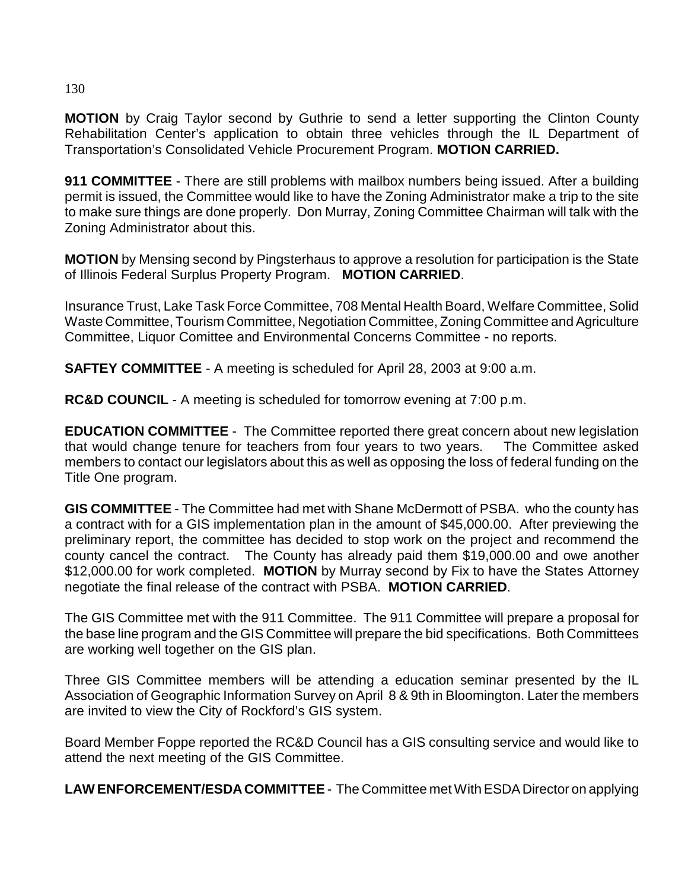**MOTION** by Craig Taylor second by Guthrie to send a letter supporting the Clinton County Rehabilitation Center's application to obtain three vehicles through the IL Department of Transportation's Consolidated Vehicle Procurement Program. **MOTION CARRIED.**

**911 COMMITTEE** - There are still problems with mailbox numbers being issued. After a building permit is issued, the Committee would like to have the Zoning Administrator make a trip to the site to make sure things are done properly. Don Murray, Zoning Committee Chairman will talk with the Zoning Administrator about this.

**MOTION** by Mensing second by Pingsterhaus to approve a resolution for participation is the State of Illinois Federal Surplus Property Program. **MOTION CARRIED**.

Insurance Trust, Lake Task Force Committee, 708 Mental Health Board, Welfare Committee, Solid Waste Committee, Tourism Committee, Negotiation Committee, Zoning Committee and Agriculture Committee, Liquor Comittee and Environmental Concerns Committee - no reports.

**SAFTEY COMMITTEE** - A meeting is scheduled for April 28, 2003 at 9:00 a.m.

**RC&D COUNCIL** - A meeting is scheduled for tomorrow evening at 7:00 p.m.

**EDUCATION COMMITTEE** - The Committee reported there great concern about new legislation that would change tenure for teachers from four years to two years. The Committee asked members to contact our legislators about this as well as opposing the loss of federal funding on the Title One program.

**GIS COMMITTEE** - The Committee had met with Shane McDermott of PSBA. who the county has a contract with for a GIS implementation plan in the amount of \$45,000.00. After previewing the preliminary report, the committee has decided to stop work on the project and recommend the county cancel the contract. The County has already paid them \$19,000.00 and owe another \$12,000.00 for work completed. **MOTION** by Murray second by Fix to have the States Attorney negotiate the final release of the contract with PSBA. **MOTION CARRIED**.

The GIS Committee met with the 911 Committee. The 911 Committee will prepare a proposal for the base line program and the GIS Committee will prepare the bid specifications. Both Committees are working well together on the GIS plan.

Three GIS Committee members will be attending a education seminar presented by the IL Association of Geographic Information Survey on April 8 & 9th in Bloomington. Later the members are invited to view the City of Rockford's GIS system.

Board Member Foppe reported the RC&D Council has a GIS consulting service and would like to attend the next meeting of the GIS Committee.

**LAW ENFORCEMENT/ESDA COMMITTEE** - The Committee met With ESDA Director on applying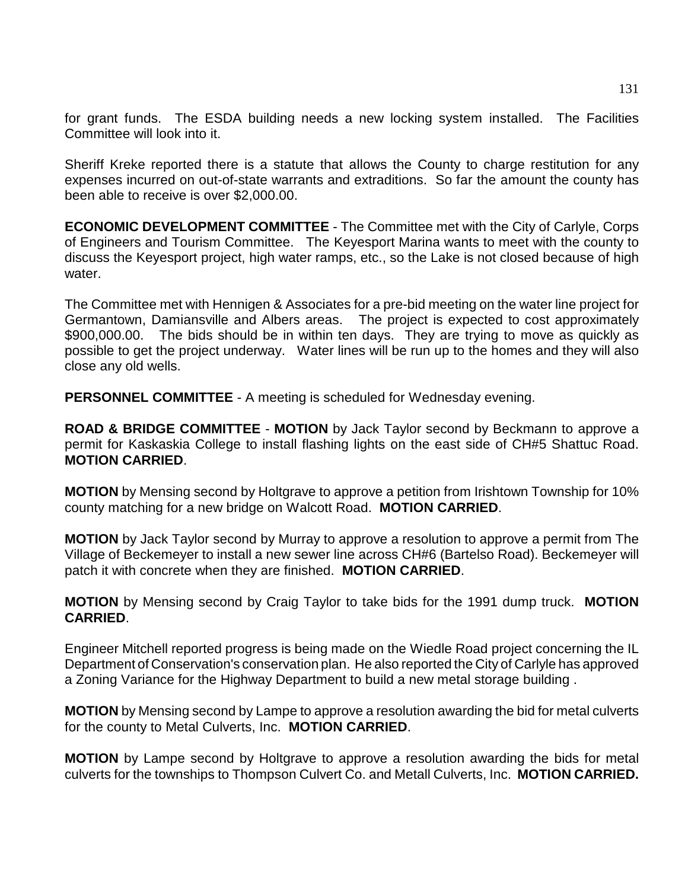for grant funds. The ESDA building needs a new locking system installed. The Facilities Committee will look into it.

Sheriff Kreke reported there is a statute that allows the County to charge restitution for any expenses incurred on out-of-state warrants and extraditions. So far the amount the county has been able to receive is over \$2,000.00.

**ECONOMIC DEVELOPMENT COMMITTEE** - The Committee met with the City of Carlyle, Corps of Engineers and Tourism Committee. The Keyesport Marina wants to meet with the county to discuss the Keyesport project, high water ramps, etc., so the Lake is not closed because of high water.

The Committee met with Hennigen & Associates for a pre-bid meeting on the water line project for Germantown, Damiansville and Albers areas. The project is expected to cost approximately \$900,000.00. The bids should be in within ten days. They are trying to move as quickly as possible to get the project underway. Water lines will be run up to the homes and they will also close any old wells.

**PERSONNEL COMMITTEE** - A meeting is scheduled for Wednesday evening.

**ROAD & BRIDGE COMMITTEE** - **MOTION** by Jack Taylor second by Beckmann to approve a permit for Kaskaskia College to install flashing lights on the east side of CH#5 Shattuc Road. **MOTION CARRIED**.

**MOTION** by Mensing second by Holtgrave to approve a petition from Irishtown Township for 10% county matching for a new bridge on Walcott Road. **MOTION CARRIED**.

**MOTION** by Jack Taylor second by Murray to approve a resolution to approve a permit from The Village of Beckemeyer to install a new sewer line across CH#6 (Bartelso Road). Beckemeyer will patch it with concrete when they are finished. **MOTION CARRIED**.

**MOTION** by Mensing second by Craig Taylor to take bids for the 1991 dump truck. **MOTION CARRIED**.

Engineer Mitchell reported progress is being made on the Wiedle Road project concerning the IL Department of Conservation's conservation plan. He also reported the City of Carlyle has approved a Zoning Variance for the Highway Department to build a new metal storage building .

**MOTION** by Mensing second by Lampe to approve a resolution awarding the bid for metal culverts for the county to Metal Culverts, Inc. **MOTION CARRIED**.

**MOTION** by Lampe second by Holtgrave to approve a resolution awarding the bids for metal culverts for the townships to Thompson Culvert Co. and Metall Culverts, Inc. **MOTION CARRIED.**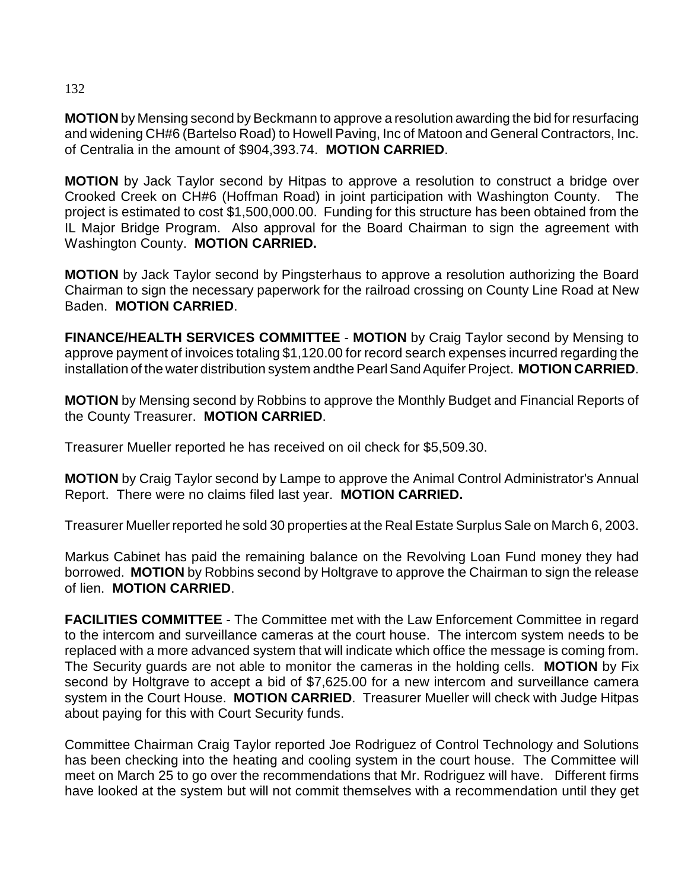# 132

**MOTION** by Mensing second by Beckmann to approve a resolution awarding the bid for resurfacing and widening CH#6 (Bartelso Road) to Howell Paving, Inc of Matoon and General Contractors, Inc. of Centralia in the amount of \$904,393.74. **MOTION CARRIED**.

**MOTION** by Jack Taylor second by Hitpas to approve a resolution to construct a bridge over Crooked Creek on CH#6 (Hoffman Road) in joint participation with Washington County. The project is estimated to cost \$1,500,000.00. Funding for this structure has been obtained from the IL Major Bridge Program. Also approval for the Board Chairman to sign the agreement with Washington County. **MOTION CARRIED.**

**MOTION** by Jack Taylor second by Pingsterhaus to approve a resolution authorizing the Board Chairman to sign the necessary paperwork for the railroad crossing on County Line Road at New Baden. **MOTION CARRIED**.

**FINANCE/HEALTH SERVICES COMMITTEE** - **MOTION** by Craig Taylor second by Mensing to approve payment of invoices totaling \$1,120.00 for record search expenses incurred regarding the installation of the water distribution system andthe Pearl Sand Aquifer Project. **MOTION CARRIED**.

**MOTION** by Mensing second by Robbins to approve the Monthly Budget and Financial Reports of the County Treasurer. **MOTION CARRIED**.

Treasurer Mueller reported he has received on oil check for \$5,509.30.

**MOTION** by Craig Taylor second by Lampe to approve the Animal Control Administrator's Annual Report. There were no claims filed last year. **MOTION CARRIED.**

Treasurer Mueller reported he sold 30 properties at the Real Estate Surplus Sale on March 6, 2003.

Markus Cabinet has paid the remaining balance on the Revolving Loan Fund money they had borrowed. **MOTION** by Robbins second by Holtgrave to approve the Chairman to sign the release of lien. **MOTION CARRIED**.

**FACILITIES COMMITTEE** - The Committee met with the Law Enforcement Committee in regard to the intercom and surveillance cameras at the court house. The intercom system needs to be replaced with a more advanced system that will indicate which office the message is coming from. The Security guards are not able to monitor the cameras in the holding cells. **MOTION** by Fix second by Holtgrave to accept a bid of \$7,625.00 for a new intercom and surveillance camera system in the Court House. **MOTION CARRIED**. Treasurer Mueller will check with Judge Hitpas about paying for this with Court Security funds.

Committee Chairman Craig Taylor reported Joe Rodriguez of Control Technology and Solutions has been checking into the heating and cooling system in the court house. The Committee will meet on March 25 to go over the recommendations that Mr. Rodriguez will have. Different firms have looked at the system but will not commit themselves with a recommendation until they get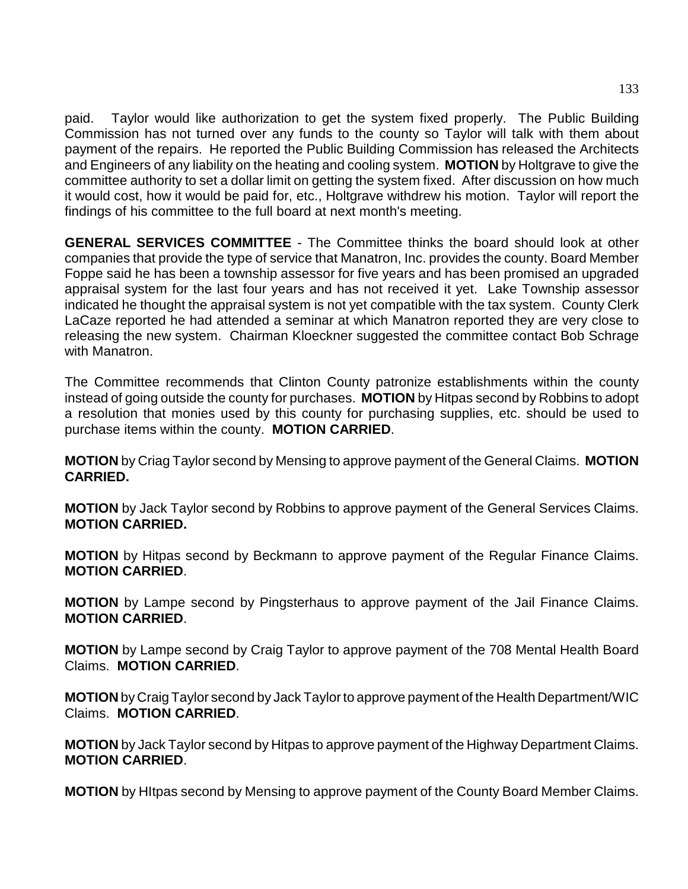paid. Taylor would like authorization to get the system fixed properly. The Public Building Commission has not turned over any funds to the county so Taylor will talk with them about payment of the repairs. He reported the Public Building Commission has released the Architects and Engineers of any liability on the heating and cooling system. **MOTION** by Holtgrave to give the committee authority to set a dollar limit on getting the system fixed. After discussion on how much it would cost, how it would be paid for, etc., Holtgrave withdrew his motion. Taylor will report the findings of his committee to the full board at next month's meeting.

**GENERAL SERVICES COMMITTEE** - The Committee thinks the board should look at other companies that provide the type of service that Manatron, Inc. provides the county. Board Member Foppe said he has been a township assessor for five years and has been promised an upgraded appraisal system for the last four years and has not received it yet. Lake Township assessor indicated he thought the appraisal system is not yet compatible with the tax system. County Clerk LaCaze reported he had attended a seminar at which Manatron reported they are very close to releasing the new system. Chairman Kloeckner suggested the committee contact Bob Schrage with Manatron.

The Committee recommends that Clinton County patronize establishments within the county instead of going outside the county for purchases. **MOTION** by Hitpas second by Robbins to adopt a resolution that monies used by this county for purchasing supplies, etc. should be used to purchase items within the county. **MOTION CARRIED**.

**MOTION** by Criag Taylor second by Mensing to approve payment of the General Claims. **MOTION CARRIED.**

**MOTION** by Jack Taylor second by Robbins to approve payment of the General Services Claims. **MOTION CARRIED.**

**MOTION** by Hitpas second by Beckmann to approve payment of the Regular Finance Claims. **MOTION CARRIED**.

**MOTION** by Lampe second by Pingsterhaus to approve payment of the Jail Finance Claims. **MOTION CARRIED**.

**MOTION** by Lampe second by Craig Taylor to approve payment of the 708 Mental Health Board Claims. **MOTION CARRIED**.

**MOTION** by Craig Taylor second by Jack Taylor to approve payment of the Health Department/WIC Claims. **MOTION CARRIED**.

**MOTION** by Jack Taylor second by Hitpas to approve payment of the Highway Department Claims. **MOTION CARRIED**.

**MOTION** by HItpas second by Mensing to approve payment of the County Board Member Claims.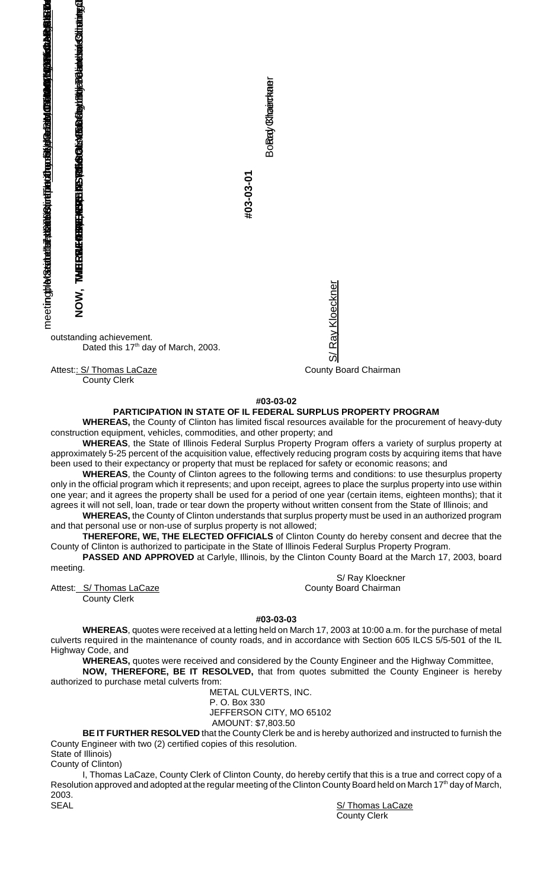

County Clerk

**#03-03-02**

S/ Ray Kloeckner

Ray Kloeckner

১০

## **PARTICIPATION IN STATE OF IL FEDERAL SURPLUS PROPERTY PROGRAM**

**WHEREAS,** the County of Clinton has limited fiscal resources available for the procurement of heavy-duty construction equipment, vehicles, commodities, and other property; and

**WHEREAS**, the State of Illinois Federal Surplus Property Program offers a variety of surplus property at approximately 5-25 percent of the acquisition value, effectively reducing program costs by acquiring items that have been used to their expectancy or property that must be replaced for safety or economic reasons; and

**WHEREAS**, the County of Clinton agrees to the following terms and conditions: to use thesurplus property only in the official program which it represents; and upon receipt, agrees to place the surplus property into use within one year; and it agrees the property shall be used for a period of one year (certain items, eighteen months); that it agrees it will not sell, loan, trade or tear down the property without written consent from the State of Illinois; and

**WHEREAS,** the County of Clinton understands that surplus property must be used in an authorized program and that personal use or non-use of surplus property is not allowed;

**THEREFORE, WE, THE ELECTED OFFICIALS** of Clinton County do hereby consent and decree that the County of Clinton is authorized to participate in the State of Illinois Federal Surplus Property Program.

**PASSED AND APPROVED** at Carlyle, Illinois, by the Clinton County Board at the March 17, 2003, board meeting.

Attest: S/ Thomas LaCaze County Board Chairman

S/ Ray Kloeckner

County Clerk

**#03-03-03**

**WHEREAS**, quotes were received at a letting held on March 17, 2003 at 10:00 a.m. for the purchase of metal culverts required in the maintenance of county roads, and in accordance with Section 605 ILCS 5/5-501 of the IL Highway Code, and

**WHEREAS,** quotes were received and considered by the County Engineer and the Highway Committee,

**NOW, THEREFORE, BE IT RESOLVED,** that from quotes submitted the County Engineer is hereby authorized to purchase metal culverts from:

METAL CULVERTS, INC.

P. O. Box 330 JEFFERSON CITY, MO 65102

AMOUNT: \$7,803.50

**BE IT FURTHER RESOLVED** that the County Clerk be and is hereby authorized and instructed to furnish the County Engineer with two (2) certified copies of this resolution. State of Illinois)

County of Clinton)

I, Thomas LaCaze, County Clerk of Clinton County, do hereby certify that this is a true and correct copy of a Resolution approved and adopted at the regular meeting of the Clinton County Board held on March 17<sup>th</sup> day of March, 2003.<br>SEAL

S/ Thomas LaCaze County Clerk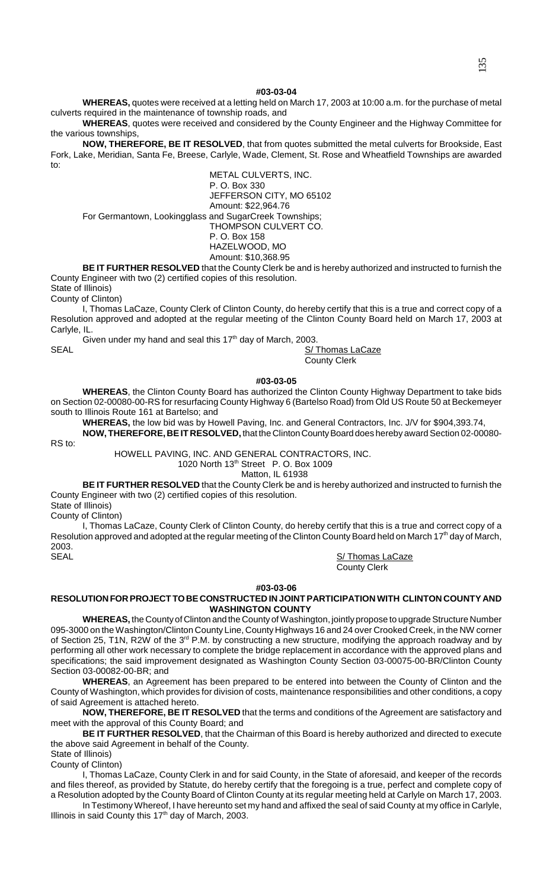### **#03-03-04**

**WHEREAS,** quotes were received at a letting held on March 17, 2003 at 10:00 a.m. for the purchase of metal culverts required in the maintenance of township roads, and

**WHEREAS**, quotes were received and considered by the County Engineer and the Highway Committee for the various townships,

**NOW, THEREFORE, BE IT RESOLVED**, that from quotes submitted the metal culverts for Brookside, East Fork, Lake, Meridian, Santa Fe, Breese, Carlyle, Wade, Clement, St. Rose and Wheatfield Townships are awarded to:

METAL CULVERTS, INC. P. O. Box 330 JEFFERSON CITY, MO 65102 Amount: \$22,964.76 For Germantown, Lookingglass and SugarCreek Townships; THOMPSON CULVERT CO. P. O. Box 158 HAZELWOOD, MO Amount: \$10,368.95

**BE IT FURTHER RESOLVED** that the County Clerk be and is hereby authorized and instructed to furnish the County Engineer with two (2) certified copies of this resolution.

State of Illinois)

County of Clinton)

I, Thomas LaCaze, County Clerk of Clinton County, do hereby certify that this is a true and correct copy of a Resolution approved and adopted at the regular meeting of the Clinton County Board held on March 17, 2003 at Carlyle, IL.

Given under my hand and seal this  $17<sup>th</sup>$  day of March, 2003. SEAL S/ Thomas LaCaze

County Clerk

**#03-03-05**

**WHEREAS**, the Clinton County Board has authorized the Clinton County Highway Department to take bids on Section 02-00080-00-RS for resurfacing County Highway 6 (Bartelso Road) from Old US Route 50 at Beckemeyer south to Illinois Route 161 at Bartelso; and

**WHEREAS,** the low bid was by Howell Paving, Inc. and General Contractors, Inc. J/V for \$904,393.74,

**NOW, THEREFORE, BE IT RESOLVED,** that the Clinton County Board does hereby award Section 02-00080- RS to:

HOWELL PAVING, INC. AND GENERAL CONTRACTORS, INC.

1020 North 13th Street P. O. Box 1009

Matton, IL 61938

**BE IT FURTHER RESOLVED** that the County Clerk be and is hereby authorized and instructed to furnish the County Engineer with two (2) certified copies of this resolution.

State of Illinois)

County of Clinton)

I, Thomas LaCaze, County Clerk of Clinton County, do hereby certify that this is a true and correct copy of a Resolution approved and adopted at the regular meeting of the Clinton County Board held on March 17<sup>th</sup> day of March, 2003. SEAL S/ Thomas LaCaze

County Clerk

**#03-03-06**

## **RESOLUTION FOR PROJECT TO BE CONSTRUCTED IN JOINT PARTICIPATION WITH CLINTON COUNTY AND WASHINGTON COUNTY**

**WHEREAS,** the County of Clinton and the County of Washington, jointly propose to upgrade Structure Number 095-3000 on the Washington/Clinton County Line, County Highways 16 and 24 over Crooked Creek, in the NW corner of Section 25, T1N, R2W of the 3<sup>rd</sup> P.M. by constructing a new structure, modifying the approach roadway and by performing all other work necessary to complete the bridge replacement in accordance with the approved plans and specifications; the said improvement designated as Washington County Section 03-00075-00-BR/Clinton County Section 03-00082-00-BR; and

**WHEREAS**, an Agreement has been prepared to be entered into between the County of Clinton and the County of Washington, which provides for division of costs, maintenance responsibilities and other conditions, a copy of said Agreement is attached hereto.

**NOW, THEREFORE, BE IT RESOLVED** that the terms and conditions of the Agreement are satisfactory and meet with the approval of this County Board; and

**BE IT FURTHER RESOLVED**, that the Chairman of this Board is hereby authorized and directed to execute the above said Agreement in behalf of the County.

State of Illinois) County of Clinton)

I, Thomas LaCaze, County Clerk in and for said County, in the State of aforesaid, and keeper of the records and files thereof, as provided by Statute, do hereby certify that the foregoing is a true, perfect and complete copy of a Resolution adopted by the County Board of Clinton County at its regular meeting held at Carlyle on March 17, 2003.

In Testimony Whereof, I have hereunto set my hand and affixed the seal of said County at my office in Carlyle, Illinois in said County this  $17<sup>th</sup>$  day of March, 2003.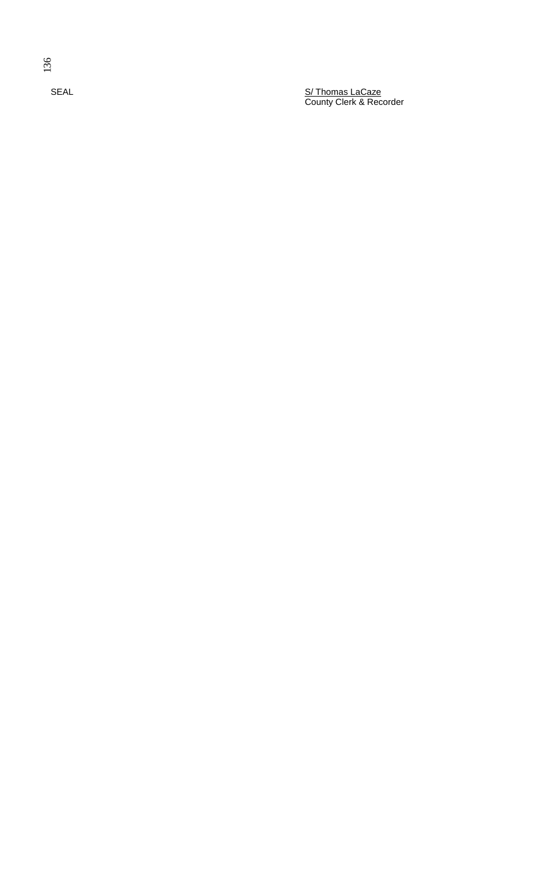SEAL S/ Thomas LaCaze County Clerk & Recorder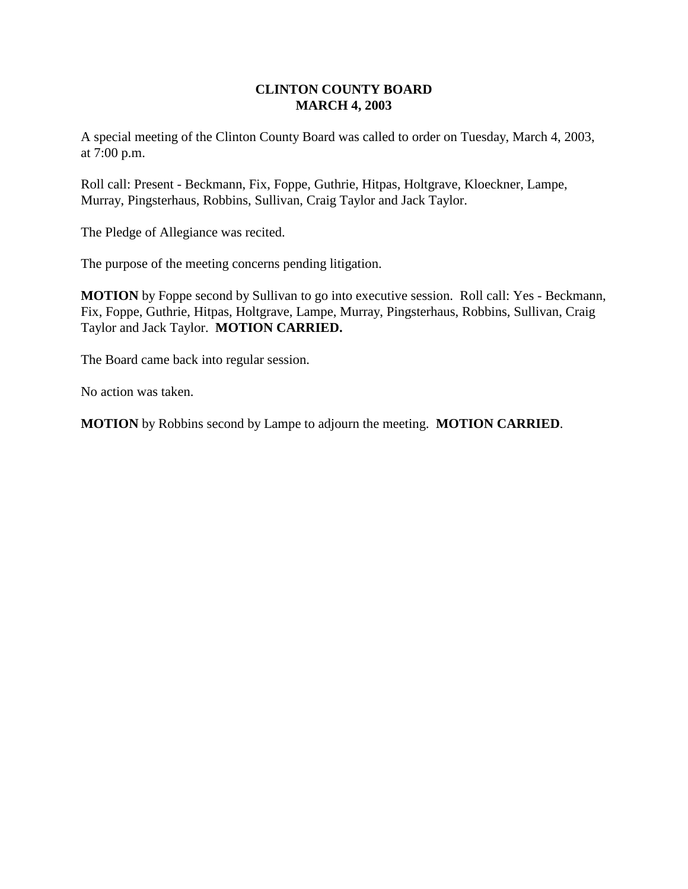# **CLINTON COUNTY BOARD MARCH 4, 2003**

A special meeting of the Clinton County Board was called to order on Tuesday, March 4, 2003, at 7:00 p.m.

Roll call: Present - Beckmann, Fix, Foppe, Guthrie, Hitpas, Holtgrave, Kloeckner, Lampe, Murray, Pingsterhaus, Robbins, Sullivan, Craig Taylor and Jack Taylor.

The Pledge of Allegiance was recited.

The purpose of the meeting concerns pending litigation.

**MOTION** by Foppe second by Sullivan to go into executive session. Roll call: Yes - Beckmann, Fix, Foppe, Guthrie, Hitpas, Holtgrave, Lampe, Murray, Pingsterhaus, Robbins, Sullivan, Craig Taylor and Jack Taylor. **MOTION CARRIED.**

The Board came back into regular session.

No action was taken.

**MOTION** by Robbins second by Lampe to adjourn the meeting. **MOTION CARRIED**.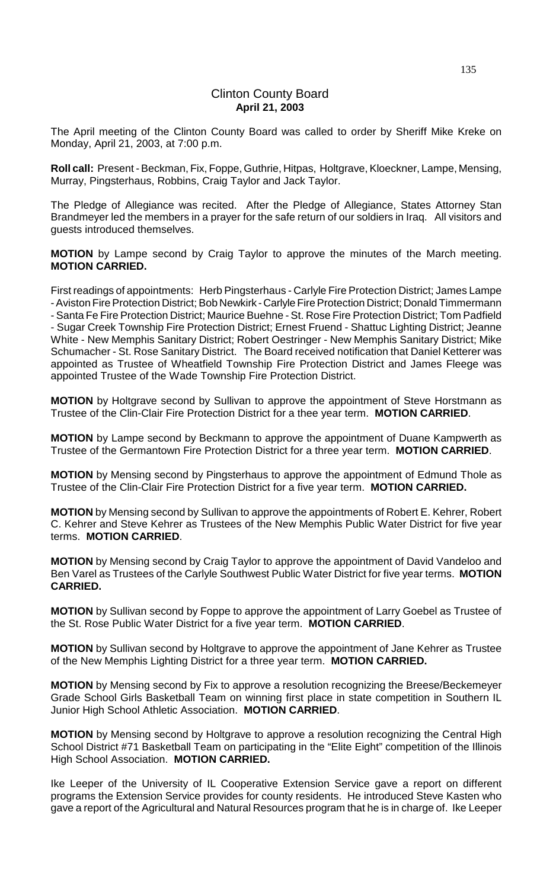# Clinton County Board **April 21, 2003**

The April meeting of the Clinton County Board was called to order by Sheriff Mike Kreke on Monday, April 21, 2003, at 7:00 p.m.

**Roll call:** Present - Beckman, Fix, Foppe, Guthrie, Hitpas, Holtgrave, Kloeckner, Lampe, Mensing, Murray, Pingsterhaus, Robbins, Craig Taylor and Jack Taylor.

The Pledge of Allegiance was recited. After the Pledge of Allegiance, States Attorney Stan Brandmeyer led the members in a prayer for the safe return of our soldiers in Iraq. All visitors and guests introduced themselves.

**MOTION** by Lampe second by Craig Taylor to approve the minutes of the March meeting. **MOTION CARRIED.**

First readings of appointments: Herb Pingsterhaus - Carlyle Fire Protection District; James Lampe - Aviston Fire Protection District; Bob Newkirk - Carlyle Fire Protection District; Donald Timmermann - Santa Fe Fire Protection District; Maurice Buehne - St. Rose Fire Protection District; Tom Padfield - Sugar Creek Township Fire Protection District; Ernest Fruend - Shattuc Lighting District; Jeanne White - New Memphis Sanitary District; Robert Oestringer - New Memphis Sanitary District; Mike Schumacher - St. Rose Sanitary District. The Board received notification that Daniel Ketterer was appointed as Trustee of Wheatfield Township Fire Protection District and James Fleege was appointed Trustee of the Wade Township Fire Protection District.

**MOTION** by Holtgrave second by Sullivan to approve the appointment of Steve Horstmann as Trustee of the Clin-Clair Fire Protection District for a thee year term. **MOTION CARRIED**.

**MOTION** by Lampe second by Beckmann to approve the appointment of Duane Kampwerth as Trustee of the Germantown Fire Protection District for a three year term. **MOTION CARRIED**.

**MOTION** by Mensing second by Pingsterhaus to approve the appointment of Edmund Thole as Trustee of the Clin-Clair Fire Protection District for a five year term. **MOTION CARRIED.**

**MOTION** by Mensing second by Sullivan to approve the appointments of Robert E. Kehrer, Robert C. Kehrer and Steve Kehrer as Trustees of the New Memphis Public Water District for five year terms. **MOTION CARRIED**.

**MOTION** by Mensing second by Craig Taylor to approve the appointment of David Vandeloo and Ben Varel as Trustees of the Carlyle Southwest Public Water District for five year terms. **MOTION CARRIED.**

**MOTION** by Sullivan second by Foppe to approve the appointment of Larry Goebel as Trustee of the St. Rose Public Water District for a five year term. **MOTION CARRIED**.

**MOTION** by Sullivan second by Holtgrave to approve the appointment of Jane Kehrer as Trustee of the New Memphis Lighting District for a three year term. **MOTION CARRIED.**

**MOTION** by Mensing second by Fix to approve a resolution recognizing the Breese/Beckemeyer Grade School Girls Basketball Team on winning first place in state competition in Southern IL Junior High School Athletic Association. **MOTION CARRIED**.

**MOTION** by Mensing second by Holtgrave to approve a resolution recognizing the Central High School District #71 Basketball Team on participating in the "Elite Eight" competition of the Illinois High School Association. **MOTION CARRIED.**

Ike Leeper of the University of IL Cooperative Extension Service gave a report on different programs the Extension Service provides for county residents. He introduced Steve Kasten who gave a report of the Agricultural and Natural Resources program that he is in charge of. Ike Leeper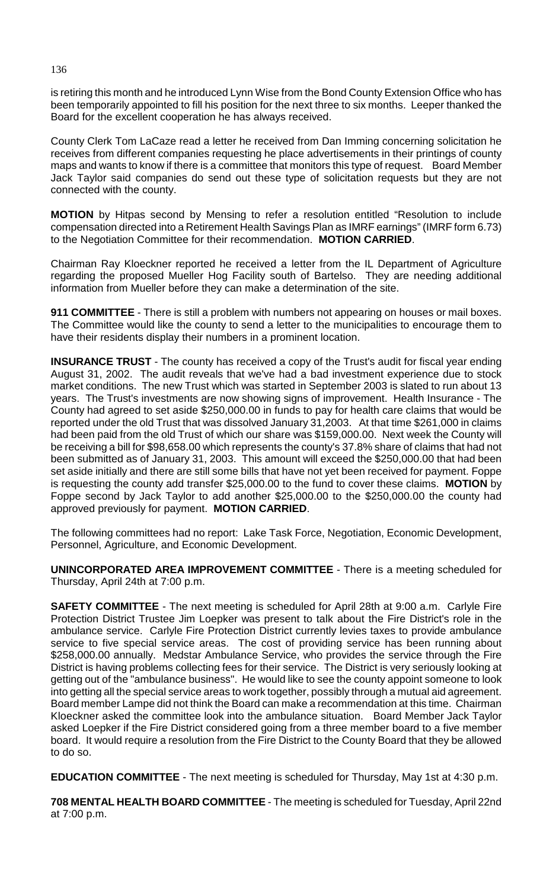is retiring this month and he introduced Lynn Wise from the Bond County Extension Office who has been temporarily appointed to fill his position for the next three to six months. Leeper thanked the Board for the excellent cooperation he has always received.

County Clerk Tom LaCaze read a letter he received from Dan Imming concerning solicitation he receives from different companies requesting he place advertisements in their printings of county maps and wants to know if there is a committee that monitors this type of request. Board Member Jack Taylor said companies do send out these type of solicitation requests but they are not connected with the county.

**MOTION** by Hitpas second by Mensing to refer a resolution entitled "Resolution to include compensation directed into a Retirement Health Savings Plan as IMRF earnings" (IMRF form 6.73) to the Negotiation Committee for their recommendation. **MOTION CARRIED**.

Chairman Ray Kloeckner reported he received a letter from the IL Department of Agriculture regarding the proposed Mueller Hog Facility south of Bartelso. They are needing additional information from Mueller before they can make a determination of the site.

**911 COMMITTEE** - There is still a problem with numbers not appearing on houses or mail boxes. The Committee would like the county to send a letter to the municipalities to encourage them to have their residents display their numbers in a prominent location.

**INSURANCE TRUST** - The county has received a copy of the Trust's audit for fiscal year ending August 31, 2002. The audit reveals that we've had a bad investment experience due to stock market conditions. The new Trust which was started in September 2003 is slated to run about 13 years. The Trust's investments are now showing signs of improvement. Health Insurance - The County had agreed to set aside \$250,000.00 in funds to pay for health care claims that would be reported under the old Trust that was dissolved January 31,2003. At that time \$261,000 in claims had been paid from the old Trust of which our share was \$159,000.00. Next week the County will be receiving a bill for \$98,658.00 which represents the county's 37.8% share of claims that had not been submitted as of January 31, 2003. This amount will exceed the \$250,000.00 that had been set aside initially and there are still some bills that have not yet been received for payment. Foppe is requesting the county add transfer \$25,000.00 to the fund to cover these claims. **MOTION** by Foppe second by Jack Taylor to add another \$25,000.00 to the \$250,000.00 the county had approved previously for payment. **MOTION CARRIED**.

The following committees had no report: Lake Task Force, Negotiation, Economic Development, Personnel, Agriculture, and Economic Development.

**UNINCORPORATED AREA IMPROVEMENT COMMITTEE** - There is a meeting scheduled for Thursday, April 24th at 7:00 p.m.

**SAFETY COMMITTEE** - The next meeting is scheduled for April 28th at 9:00 a.m. Carlyle Fire Protection District Trustee Jim Loepker was present to talk about the Fire District's role in the ambulance service. Carlyle Fire Protection District currently levies taxes to provide ambulance service to five special service areas. The cost of providing service has been running about \$258,000.00 annually. Medstar Ambulance Service, who provides the service through the Fire District is having problems collecting fees for their service. The District is very seriously looking at getting out of the "ambulance business". He would like to see the county appoint someone to look into getting all the special service areas to work together, possibly through a mutual aid agreement. Board member Lampe did not think the Board can make a recommendation at this time. Chairman Kloeckner asked the committee look into the ambulance situation. Board Member Jack Taylor asked Loepker if the Fire District considered going from a three member board to a five member board. It would require a resolution from the Fire District to the County Board that they be allowed to do so.

**EDUCATION COMMITTEE** - The next meeting is scheduled for Thursday, May 1st at 4:30 p.m.

**708 MENTAL HEALTH BOARD COMMITTEE** - The meeting is scheduled for Tuesday, April 22nd at 7:00 p.m.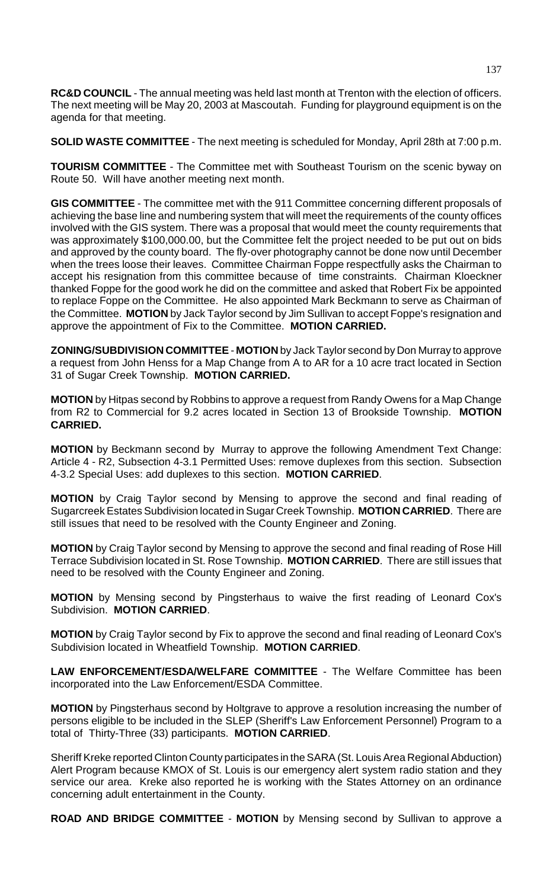**RC&D COUNCIL** - The annual meeting was held last month at Trenton with the election of officers. The next meeting will be May 20, 2003 at Mascoutah. Funding for playground equipment is on the agenda for that meeting.

**SOLID WASTE COMMITTEE** - The next meeting is scheduled for Monday, April 28th at 7:00 p.m.

**TOURISM COMMITTEE** - The Committee met with Southeast Tourism on the scenic byway on Route 50. Will have another meeting next month.

**GIS COMMITTEE** - The committee met with the 911 Committee concerning different proposals of achieving the base line and numbering system that will meet the requirements of the county offices involved with the GIS system. There was a proposal that would meet the county requirements that was approximately \$100,000.00, but the Committee felt the project needed to be put out on bids and approved by the county board. The fly-over photography cannot be done now until December when the trees loose their leaves. Committee Chairman Foppe respectfully asks the Chairman to accept his resignation from this committee because of time constraints. Chairman Kloeckner thanked Foppe for the good work he did on the committee and asked that Robert Fix be appointed to replace Foppe on the Committee. He also appointed Mark Beckmann to serve as Chairman of the Committee. **MOTION** by Jack Taylor second by Jim Sullivan to accept Foppe's resignation and approve the appointment of Fix to the Committee. **MOTION CARRIED.**

**ZONING/SUBDIVISION COMMITTEE** - **MOTION** by Jack Taylor second by Don Murray to approve a request from John Henss for a Map Change from A to AR for a 10 acre tract located in Section 31 of Sugar Creek Township. **MOTION CARRIED.**

**MOTION** by Hitpas second by Robbins to approve a request from Randy Owens for a Map Change from R2 to Commercial for 9.2 acres located in Section 13 of Brookside Township. **MOTION CARRIED.**

**MOTION** by Beckmann second by Murray to approve the following Amendment Text Change: Article 4 - R2, Subsection 4-3.1 Permitted Uses: remove duplexes from this section. Subsection 4-3.2 Special Uses: add duplexes to this section. **MOTION CARRIED**.

**MOTION** by Craig Taylor second by Mensing to approve the second and final reading of Sugarcreek Estates Subdivision located in Sugar Creek Township. **MOTION CARRIED**. There are still issues that need to be resolved with the County Engineer and Zoning.

**MOTION** by Craig Taylor second by Mensing to approve the second and final reading of Rose Hill Terrace Subdivision located in St. Rose Township. **MOTION CARRIED**. There are still issues that need to be resolved with the County Engineer and Zoning.

**MOTION** by Mensing second by Pingsterhaus to waive the first reading of Leonard Cox's Subdivision. **MOTION CARRIED**.

**MOTION** by Craig Taylor second by Fix to approve the second and final reading of Leonard Cox's Subdivision located in Wheatfield Township. **MOTION CARRIED**.

**LAW ENFORCEMENT/ESDA/WELFARE COMMITTEE** - The Welfare Committee has been incorporated into the Law Enforcement/ESDA Committee.

**MOTION** by Pingsterhaus second by Holtgrave to approve a resolution increasing the number of persons eligible to be included in the SLEP (Sheriff's Law Enforcement Personnel) Program to a total of Thirty-Three (33) participants. **MOTION CARRIED**.

Sheriff Kreke reported Clinton County participates in the SARA (St. Louis Area Regional Abduction) Alert Program because KMOX of St. Louis is our emergency alert system radio station and they service our area. Kreke also reported he is working with the States Attorney on an ordinance concerning adult entertainment in the County.

**ROAD AND BRIDGE COMMITTEE** - **MOTION** by Mensing second by Sullivan to approve a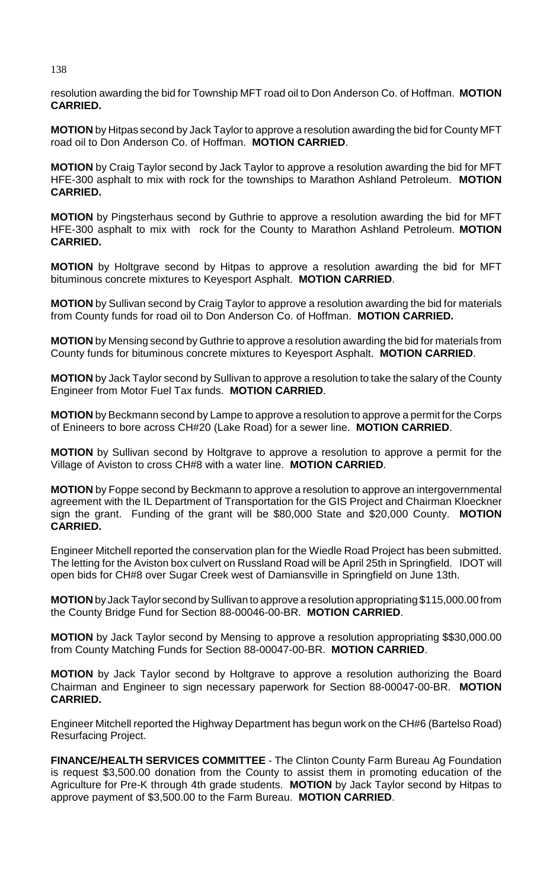resolution awarding the bid for Township MFT road oil to Don Anderson Co. of Hoffman. **MOTION CARRIED.**

**MOTION** by Hitpas second by Jack Taylor to approve a resolution awarding the bid for County MFT road oil to Don Anderson Co. of Hoffman. **MOTION CARRIED**.

**MOTION** by Craig Taylor second by Jack Taylor to approve a resolution awarding the bid for MFT HFE-300 asphalt to mix with rock for the townships to Marathon Ashland Petroleum. **MOTION CARRIED.**

**MOTION** by Pingsterhaus second by Guthrie to approve a resolution awarding the bid for MFT HFE-300 asphalt to mix with rock for the County to Marathon Ashland Petroleum. **MOTION CARRIED.**

**MOTION** by Holtgrave second by Hitpas to approve a resolution awarding the bid for MFT bituminous concrete mixtures to Keyesport Asphalt. **MOTION CARRIED**.

**MOTION** by Sullivan second by Craig Taylor to approve a resolution awarding the bid for materials from County funds for road oil to Don Anderson Co. of Hoffman. **MOTION CARRIED.**

**MOTION** by Mensing second by Guthrie to approve a resolution awarding the bid for materials from County funds for bituminous concrete mixtures to Keyesport Asphalt. **MOTION CARRIED**.

**MOTION** by Jack Taylor second by Sullivan to approve a resolution to take the salary of the County Engineer from Motor Fuel Tax funds. **MOTION CARRIED**.

**MOTION** by Beckmann second by Lampe to approve a resolution to approve a permit for the Corps of Enineers to bore across CH#20 (Lake Road) for a sewer line. **MOTION CARRIED**.

**MOTION** by Sullivan second by Holtgrave to approve a resolution to approve a permit for the Village of Aviston to cross CH#8 with a water line. **MOTION CARRIED**.

**MOTION** by Foppe second by Beckmann to approve a resolution to approve an intergovernmental agreement with the IL Department of Transportation for the GIS Project and Chairman Kloeckner sign the grant. Funding of the grant will be \$80,000 State and \$20,000 County. **MOTION CARRIED.**

Engineer Mitchell reported the conservation plan for the Wiedle Road Project has been submitted. The letting for the Aviston box culvert on Russland Road will be April 25th in Springfield. IDOT will open bids for CH#8 over Sugar Creek west of Damiansville in Springfield on June 13th.

**MOTION** by Jack Taylor second by Sullivan to approve a resolution appropriating \$115,000.00 from the County Bridge Fund for Section 88-00046-00-BR. **MOTION CARRIED**.

**MOTION** by Jack Taylor second by Mensing to approve a resolution appropriating \$\$30,000.00 from County Matching Funds for Section 88-00047-00-BR. **MOTION CARRIED**.

**MOTION** by Jack Taylor second by Holtgrave to approve a resolution authorizing the Board Chairman and Engineer to sign necessary paperwork for Section 88-00047-00-BR. **MOTION CARRIED.**

Engineer Mitchell reported the Highway Department has begun work on the CH#6 (Bartelso Road) Resurfacing Project.

**FINANCE/HEALTH SERVICES COMMITTEE** - The Clinton County Farm Bureau Ag Foundation is request \$3,500.00 donation from the County to assist them in promoting education of the Agriculture for Pre-K through 4th grade students. **MOTION** by Jack Taylor second by Hitpas to approve payment of \$3,500.00 to the Farm Bureau. **MOTION CARRIED**.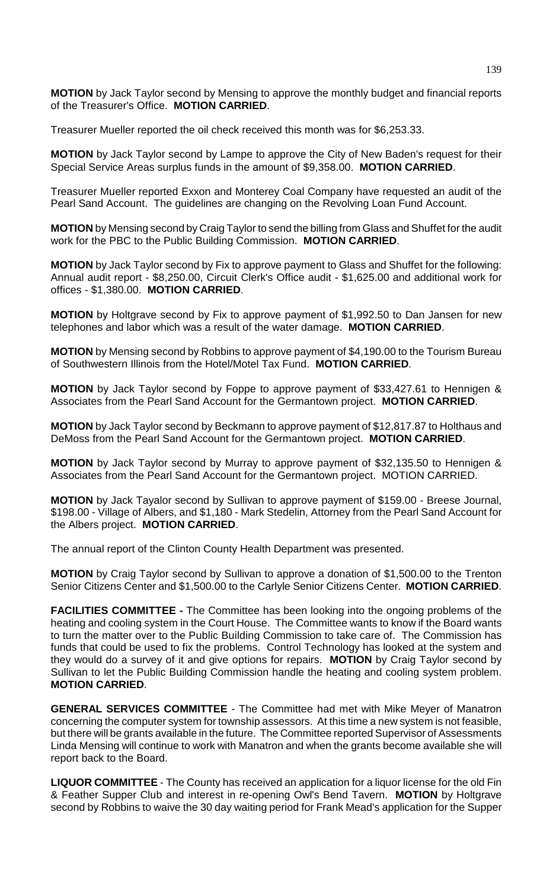**MOTION** by Jack Taylor second by Mensing to approve the monthly budget and financial reports of the Treasurer's Office. **MOTION CARRIED**.

Treasurer Mueller reported the oil check received this month was for \$6,253.33.

**MOTION** by Jack Taylor second by Lampe to approve the City of New Baden's request for their Special Service Areas surplus funds in the amount of \$9,358.00. **MOTION CARRIED**.

Treasurer Mueller reported Exxon and Monterey Coal Company have requested an audit of the Pearl Sand Account. The guidelines are changing on the Revolving Loan Fund Account.

**MOTION** by Mensing second by Craig Taylor to send the billing from Glass and Shuffet for the audit work for the PBC to the Public Building Commission. **MOTION CARRIED**.

**MOTION** by Jack Taylor second by Fix to approve payment to Glass and Shuffet for the following: Annual audit report - \$8,250.00, Circuit Clerk's Office audit - \$1,625.00 and additional work for offices - \$1,380.00. **MOTION CARRIED**.

**MOTION** by Holtgrave second by Fix to approve payment of \$1,992.50 to Dan Jansen for new telephones and labor which was a result of the water damage. **MOTION CARRIED**.

**MOTION** by Mensing second by Robbins to approve payment of \$4,190.00 to the Tourism Bureau of Southwestern Illinois from the Hotel/Motel Tax Fund. **MOTION CARRIED**.

**MOTION** by Jack Taylor second by Foppe to approve payment of \$33,427.61 to Hennigen & Associates from the Pearl Sand Account for the Germantown project. **MOTION CARRIED**.

**MOTION** by Jack Taylor second by Beckmann to approve payment of \$12,817.87 to Holthaus and DeMoss from the Pearl Sand Account for the Germantown project. **MOTION CARRIED**.

**MOTION** by Jack Taylor second by Murray to approve payment of \$32,135.50 to Hennigen & Associates from the Pearl Sand Account for the Germantown project. MOTION CARRIED.

**MOTION** by Jack Tayalor second by Sullivan to approve payment of \$159.00 - Breese Journal, \$198.00 - Village of Albers, and \$1,180 - Mark Stedelin, Attorney from the Pearl Sand Account for the Albers project. **MOTION CARRIED**.

The annual report of the Clinton County Health Department was presented.

**MOTION** by Craig Taylor second by Sullivan to approve a donation of \$1,500.00 to the Trenton Senior Citizens Center and \$1,500.00 to the Carlyle Senior Citizens Center. **MOTION CARRIED**.

**FACILITIES COMMITTEE -** The Committee has been looking into the ongoing problems of the heating and cooling system in the Court House. The Committee wants to know if the Board wants to turn the matter over to the Public Building Commission to take care of. The Commission has funds that could be used to fix the problems. Control Technology has looked at the system and they would do a survey of it and give options for repairs. **MOTION** by Craig Taylor second by Sullivan to let the Public Building Commission handle the heating and cooling system problem. **MOTION CARRIED**.

**GENERAL SERVICES COMMITTEE** - The Committee had met with Mike Meyer of Manatron concerning the computer system for township assessors. At this time a new system is not feasible, but there will be grants available in the future. The Committee reported Supervisor of Assessments Linda Mensing will continue to work with Manatron and when the grants become available she will report back to the Board.

**LIQUOR COMMITTEE** - The County has received an application for a liquor license for the old Fin & Feather Supper Club and interest in re-opening Owl's Bend Tavern. **MOTION** by Holtgrave second by Robbins to waive the 30 day waiting period for Frank Mead's application for the Supper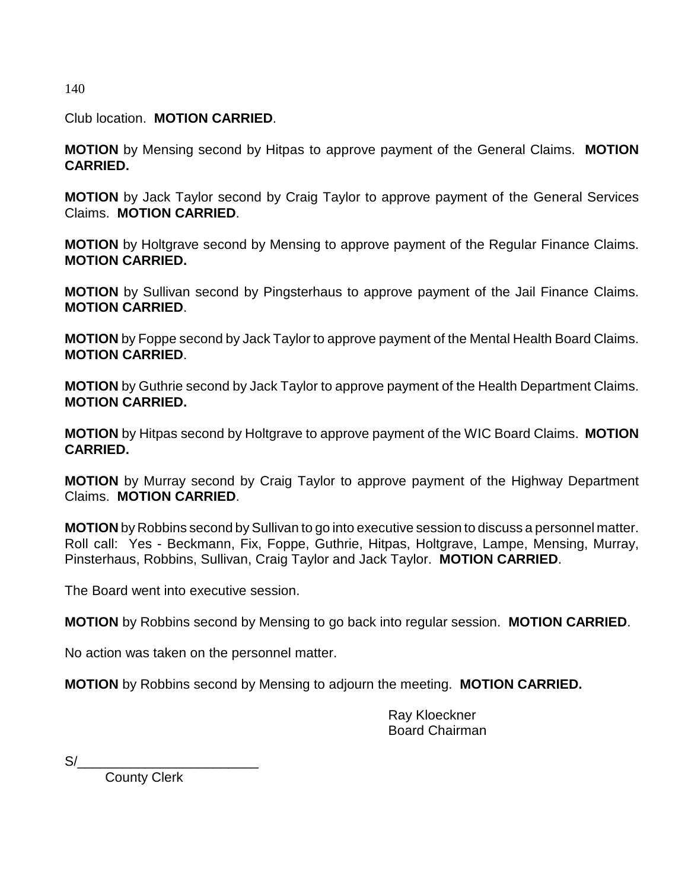140

Club location. **MOTION CARRIED**.

**MOTION** by Mensing second by Hitpas to approve payment of the General Claims. **MOTION CARRIED.**

**MOTION** by Jack Taylor second by Craig Taylor to approve payment of the General Services Claims. **MOTION CARRIED**.

**MOTION** by Holtgrave second by Mensing to approve payment of the Regular Finance Claims. **MOTION CARRIED.**

**MOTION** by Sullivan second by Pingsterhaus to approve payment of the Jail Finance Claims. **MOTION CARRIED**.

**MOTION** by Foppe second by Jack Taylor to approve payment of the Mental Health Board Claims. **MOTION CARRIED**.

**MOTION** by Guthrie second by Jack Taylor to approve payment of the Health Department Claims. **MOTION CARRIED.**

**MOTION** by Hitpas second by Holtgrave to approve payment of the WIC Board Claims. **MOTION CARRIED.**

**MOTION** by Murray second by Craig Taylor to approve payment of the Highway Department Claims. **MOTION CARRIED**.

**MOTION** by Robbins second by Sullivan to go into executive session to discuss a personnel matter. Roll call: Yes - Beckmann, Fix, Foppe, Guthrie, Hitpas, Holtgrave, Lampe, Mensing, Murray, Pinsterhaus, Robbins, Sullivan, Craig Taylor and Jack Taylor. **MOTION CARRIED**.

The Board went into executive session.

**MOTION** by Robbins second by Mensing to go back into regular session. **MOTION CARRIED**.

No action was taken on the personnel matter.

**MOTION** by Robbins second by Mensing to adjourn the meeting. **MOTION CARRIED.**

Ray Kloeckner Board Chairman

 $S/$ 

County Clerk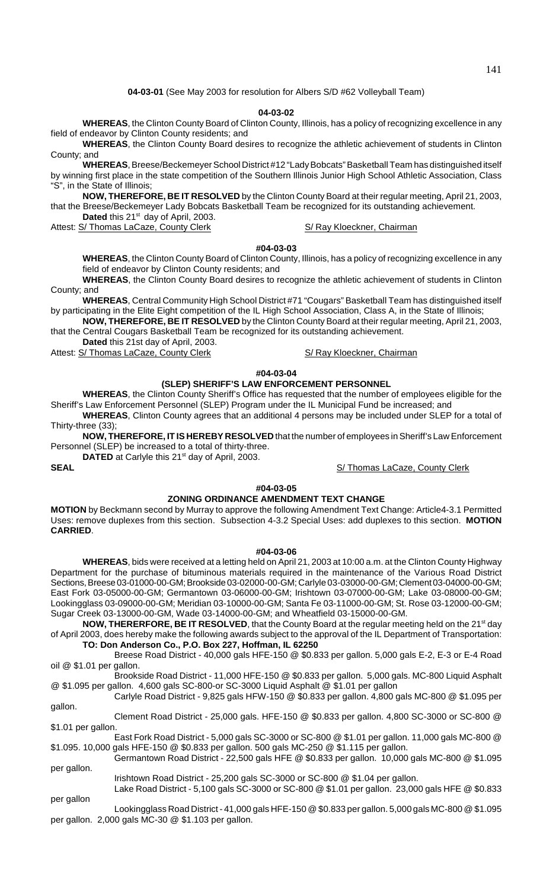**04-03-01** (See May 2003 for resolution for Albers S/D #62 Volleyball Team)

### **04-03-02**

**WHEREAS**, the Clinton County Board of Clinton County, Illinois, has a policy of recognizing excellence in any field of endeavor by Clinton County residents; and

**WHEREAS**, the Clinton County Board desires to recognize the athletic achievement of students in Clinton County; and

**WHEREAS**, Breese/Beckemeyer School District #12 "Lady Bobcats" Basketball Team has distinguished itself by winning first place in the state competition of the Southern Illinois Junior High School Athletic Association, Class "S", in the State of Illinois;

**NOW, THEREFORE, BE IT RESOLVED** by the Clinton County Board at their regular meeting, April 21, 2003, that the Breese/Beckemeyer Lady Bobcats Basketball Team be recognized for its outstanding achievement. Dated this 21<sup>st</sup> day of April, 2003.

Attest: S/ Thomas LaCaze, County Clerk State State State State State State State State State State State State S

### **#04-03-03**

**WHEREAS**, the Clinton County Board of Clinton County, Illinois, has a policy of recognizing excellence in any field of endeavor by Clinton County residents; and

**WHEREAS**, the Clinton County Board desires to recognize the athletic achievement of students in Clinton County; and

**WHEREAS**, Central Community High School District #71 "Cougars" Basketball Team has distinguished itself by participating in the Elite Eight competition of the IL High School Association, Class A, in the State of Illinois;

**NOW, THEREFORE, BE IT RESOLVED** by the Clinton County Board at their regular meeting, April 21, 2003, that the Central Cougars Basketball Team be recognized for its outstanding achievement.

**Dated** this 21st day of April, 2003.

Attest: S/ Thomas LaCaze, County Clerk State State States S/ Ray Kloeckner, Chairman

## **#04-03-04**

## **(SLEP) SHERIFF'S LAW ENFORCEMENT PERSONNEL**

**WHEREAS**, the Clinton County Sheriff's Office has requested that the number of employees eligible for the Sheriff's Law Enforcement Personnel (SLEP) Program under the IL Municipal Fund be increased; and

**WHEREAS**, Clinton County agrees that an additional 4 persons may be included under SLEP for a total of Thirty-three (33);

**NOW, THEREFORE, IT IS HEREBY RESOLVED** that the number of employees in Sheriff's Law Enforcement Personnel (SLEP) be increased to a total of thirty-three.

**DATED** at Carlyle this 21<sup>st</sup> day of April, 2003.

**SEAL** S/ Thomas LaCaze, County Clerk

## **#04-03-05**

### **ZONING ORDINANCE AMENDMENT TEXT CHANGE**

**MOTION** by Beckmann second by Murray to approve the following Amendment Text Change: Article4-3.1 Permitted Uses: remove duplexes from this section. Subsection 4-3.2 Special Uses: add duplexes to this section. **MOTION CARRIED**.

### **#04-03-06**

**WHEREAS**, bids were received at a letting held on April 21, 2003 at 10:00 a.m. at the Clinton County Highway Department for the purchase of bituminous materials required in the maintenance of the Various Road District Sections, Breese 03-01000-00-GM; Brookside 03-02000-00-GM; Carlyle 03-03000-00-GM; Clement 03-04000-00-GM; East Fork 03-05000-00-GM; Germantown 03-06000-00-GM; Irishtown 03-07000-00-GM; Lake 03-08000-00-GM; Lookingglass 03-09000-00-GM; Meridian 03-10000-00-GM; Santa Fe 03-11000-00-GM; St. Rose 03-12000-00-GM; Sugar Creek 03-13000-00-GM, Wade 03-14000-00-GM; and Wheatfield 03-15000-00-GM.

**NOW, THERERFORE, BE IT RESOLVED**, that the County Board at the regular meeting held on the 21<sup>st</sup> day of April 2003, does hereby make the following awards subject to the approval of the IL Department of Transportation: **TO: Don Anderson Co., P.O. Box 227, Hoffman, IL 62250**

Breese Road District - 40,000 gals HFE-150 @ \$0.833 per gallon. 5,000 gals E-2, E-3 or E-4 Road oil @ \$1.01 per gallon.

Brookside Road District - 11,000 HFE-150 @ \$0.833 per gallon. 5,000 gals. MC-800 Liquid Asphalt @ \$1.095 per gallon. 4,600 gals SC-800-or SC-3000 Liquid Asphalt @ \$1.01 per gallon

Carlyle Road District - 9,825 gals HFW-150 @ \$0.833 per gallon. 4,800 gals MC-800 @ \$1.095 per gallon.

Clement Road District - 25,000 gals. HFE-150 @ \$0.833 per gallon. 4,800 SC-3000 or SC-800 @ \$1.01 per gallon.

East Fork Road District - 5,000 gals SC-3000 or SC-800 @ \$1.01 per gallon. 11,000 gals MC-800 @ \$1.095. 10,000 gals HFE-150 @ \$0.833 per gallon. 500 gals MC-250 @ \$1.115 per gallon.

Germantown Road District - 22,500 gals HFE @ \$0.833 per gallon. 10,000 gals MC-800 @ \$1.095 per gallon.

Irishtown Road District - 25,200 gals SC-3000 or SC-800 @ \$1.04 per gallon. Lake Road District - 5,100 gals SC-3000 or SC-800 @ \$1.01 per gallon. 23,000 gals HFE @ \$0.833

per gallon

Lookingglass Road District - 41,000 gals HFE-150 @ \$0.833 per gallon. 5,000 gals MC-800 @ \$1.095 per gallon. 2,000 gals MC-30 @ \$1.103 per gallon.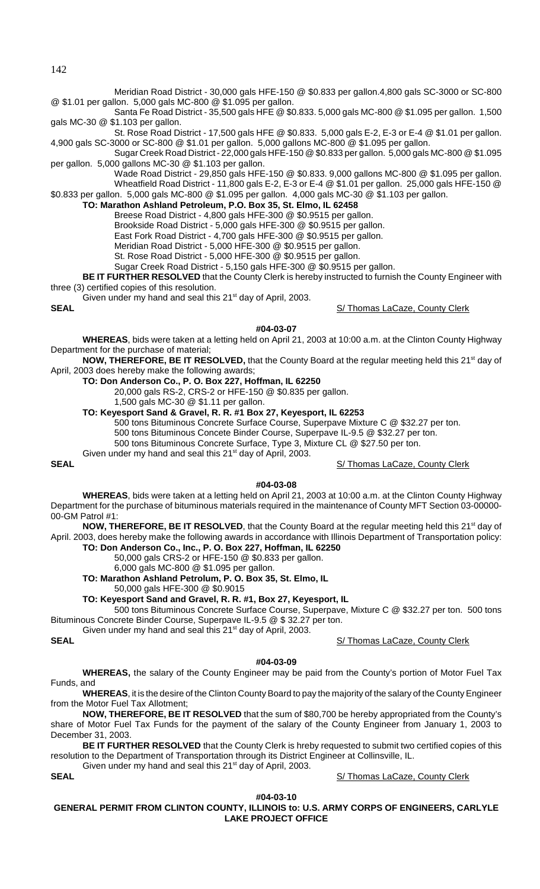142

Meridian Road District - 30,000 gals HFE-150 @ \$0.833 per gallon.4,800 gals SC-3000 or SC-800 @ \$1.01 per gallon. 5,000 gals MC-800 @ \$1.095 per gallon.

Santa Fe Road District - 35,500 gals HFE @ \$0.833. 5,000 gals MC-800 @ \$1.095 per gallon. 1,500 gals MC-30 @ \$1.103 per gallon.

St. Rose Road District - 17,500 gals HFE @ \$0.833. 5,000 gals E-2, E-3 or E-4 @ \$1.01 per gallon. 4,900 gals SC-3000 or SC-800 @ \$1.01 per gallon. 5,000 gallons MC-800 @ \$1.095 per gallon.

Sugar Creek Road District - 22,000 gals HFE-150 @ \$0.833 per gallon. 5,000 gals MC-800 @ \$1.095 per gallon. 5,000 gallons MC-30 @ \$1.103 per gallon.

Wade Road District - 29,850 gals HFE-150 @ \$0.833. 9,000 gallons MC-800 @ \$1.095 per gallon. Wheatfield Road District - 11,800 gals E-2, E-3 or E-4 @ \$1.01 per gallon. 25,000 gals HFE-150 @

\$0.833 per gallon. 5,000 gals MC-800 @ \$1.095 per gallon. 4,000 gals MC-30 @ \$1.103 per gallon. **TO: Marathon Ashland Petroleum, P.O. Box 35, St. Elmo, IL 62458**

Breese Road District - 4,800 gals HFE-300 @ \$0.9515 per gallon.

Brookside Road District - 5,000 gals HFE-300 @ \$0.9515 per gallon.

East Fork Road District - 4,700 gals HFE-300 @ \$0.9515 per gallon.

Meridian Road District - 5,000 HFE-300 @ \$0.9515 per gallon.

St. Rose Road District - 5,000 HFE-300 @ \$0.9515 per gallon.

Sugar Creek Road District - 5,150 gals HFE-300 @ \$0.9515 per gallon.

**BE IT FURTHER RESOLVED** that the County Clerk is hereby instructed to furnish the County Engineer with three (3) certified copies of this resolution.

Given under my hand and seal this 21<sup>st</sup> day of April, 2003.

**SEAL** S/ Thomas LaCaze, County Clerk

### **#04-03-07**

**WHEREAS**, bids were taken at a letting held on April 21, 2003 at 10:00 a.m. at the Clinton County Highway Department for the purchase of material;

**NOW, THEREFORE, BE IT RESOLVED,** that the County Board at the regular meeting held this 21<sup>st</sup> day of April, 2003 does hereby make the following awards;

### **TO: Don Anderson Co., P. O. Box 227, Hoffman, IL 62250**

20,000 gals RS-2, CRS-2 or HFE-150 @ \$0.835 per gallon.

1,500 gals MC-30 @ \$1.11 per gallon.

**TO: Keyesport Sand & Gravel, R. R. #1 Box 27, Keyesport, IL 62253**

500 tons Bituminous Concrete Surface Course, Superpave Mixture C @ \$32.27 per ton.

500 tons Bituminous Concete Binder Course, Superpave IL-9.5 @ \$32.27 per ton.

500 tons Bituminous Concrete Surface, Type 3, Mixture CL @ \$27.50 per ton.

Given under my hand and seal this  $21<sup>st</sup>$  day of April, 2003.

**SEAL** SIZE SEAL SEAL SEAL SIZE AND RESERVE A SIZE AND SIZE A SIZE AND SIZE A SIZE AND SIZE A SIZE AND SIZE A SIZE A SIZE AND SIZE A SIZE A SIZE AND SIZE A SIZE A SIZE AND SIZE A SIZE AND SIZE A SIZE AND SIZE A SIZE AND SI

# **#04-03-08**

**WHEREAS**, bids were taken at a letting held on April 21, 2003 at 10:00 a.m. at the Clinton County Highway Department for the purchase of bituminous materials required in the maintenance of County MFT Section 03-00000- 00-GM Patrol #1:

NOW, THEREFORE, BE IT RESOLVED, that the County Board at the regular meeting held this 21<sup>st</sup> day of April. 2003, does hereby make the following awards in accordance with Illinois Department of Transportation policy:

# **TO: Don Anderson Co., Inc., P. O. Box 227, Hoffman, IL 62250**

50,000 gals CRS-2 or HFE-150 @ \$0.833 per gallon.

6,000 gals MC-800 @ \$1.095 per gallon.

**TO: Marathon Ashland Petrolum, P. O. Box 35, St. Elmo, IL**

50,000 gals HFE-300 @ \$0.9015

**TO: Keyesport Sand and Gravel, R. R. #1, Box 27, Keyesport, IL** 

500 tons Bituminous Concrete Surface Course, Superpave, Mixture C @ \$32.27 per ton. 500 tons Bituminous Concrete Binder Course, Superpave IL-9.5 @ \$ 32.27 per ton.

Given under my hand and seal this 21<sup>st</sup> day of April, 2003.

# **SEAL** S/ Thomas LaCaze, County Clerk

### **#04-03-09**

**WHEREAS,** the salary of the County Engineer may be paid from the County's portion of Motor Fuel Tax Funds, and

**WHEREAS**, it is the desire of the Clinton County Board to pay the majority of the salary of the County Engineer from the Motor Fuel Tax Allotment;

**NOW, THEREFORE, BE IT RESOLVED** that the sum of \$80,700 be hereby appropriated from the County's share of Motor Fuel Tax Funds for the payment of the salary of the County Engineer from January 1, 2003 to December 31, 2003.

**BE IT FURTHER RESOLVED** that the County Clerk is hreby requested to submit two certified copies of this resolution to the Department of Transportation through its District Engineer at Collinsville, IL.

Given under my hand and seal this  $21<sup>st</sup>$  day of April, 2003.

**SEAL** S/ Thomas LaCaze, County Clerk

**#04-03-10 GENERAL PERMIT FROM CLINTON COUNTY, ILLINOIS to: U.S. ARMY CORPS OF ENGINEERS, CARLYLE LAKE PROJECT OFFICE**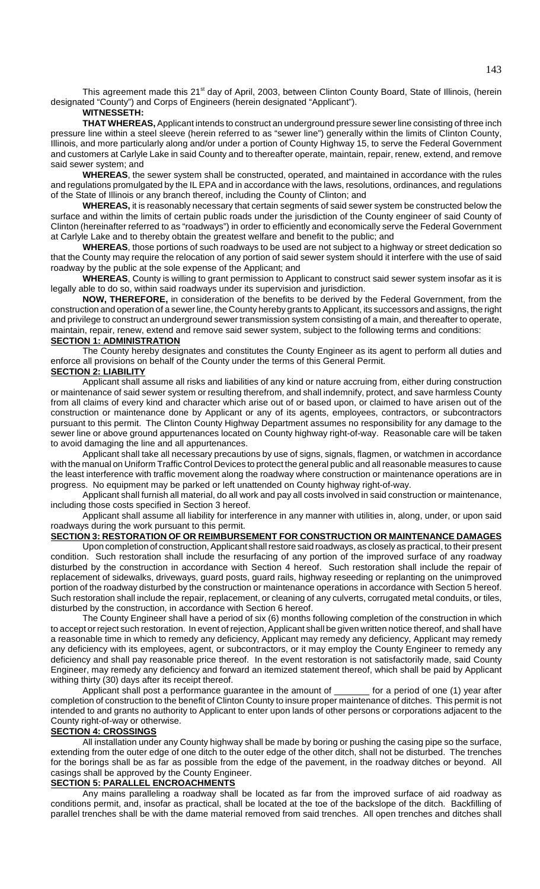This agreement made this 21<sup>st</sup> day of April, 2003, between Clinton County Board, State of Illinois, (herein designated "County") and Corps of Engineers (herein designated "Applicant").

## **WITNESSETH:**

**THAT WHEREAS,** Applicant intends to construct an underground pressure sewer line consisting of three inch pressure line within a steel sleeve (herein referred to as "sewer line") generally within the limits of Clinton County, Illinois, and more particularly along and/or under a portion of County Highway 15, to serve the Federal Government and customers at Carlyle Lake in said County and to thereafter operate, maintain, repair, renew, extend, and remove said sewer system; and

**WHEREAS**, the sewer system shall be constructed, operated, and maintained in accordance with the rules and regulations promulgated by the IL EPA and in accordance with the laws, resolutions, ordinances, and regulations of the State of Illinois or any branch thereof, including the County of Clinton; and

**WHEREAS,** it is reasonably necessary that certain segments of said sewer system be constructed below the surface and within the limits of certain public roads under the jurisdiction of the County engineer of said County of Clinton (hereinafter referred to as "roadways") in order to efficiently and economically serve the Federal Government at Carlyle Lake and to thereby obtain the greatest welfare and benefit to the public; and

**WHEREAS**, those portions of such roadways to be used are not subject to a highway or street dedication so that the County may require the relocation of any portion of said sewer system should it interfere with the use of said roadway by the public at the sole expense of the Applicant; and

**WHEREAS**, County is willing to grant permission to Applicant to construct said sewer system insofar as it is legally able to do so, within said roadways under its supervision and jurisdiction.

**NOW, THEREFORE,** in consideration of the benefits to be derived by the Federal Government, from the construction and operation of a sewer line, the County hereby grants to Applicant, its successors and assigns, the right and privilege to construct an underground sewer transmission system consisting of a main, and thereafter to operate, maintain, repair, renew, extend and remove said sewer system, subject to the following terms and conditions:

## **SECTION 1: ADMINISTRATION**

The County hereby designates and constitutes the County Engineer as its agent to perform all duties and enforce all provisions on behalf of the County under the terms of this General Permit.

### **SECTION 2: LIABILITY**

Applicant shall assume all risks and liabilities of any kind or nature accruing from, either during construction or maintenance of said sewer system or resulting therefrom, and shall indemnify, protect, and save harmless County from all claims of every kind and character which arise out of or based upon, or claimed to have arisen out of the construction or maintenance done by Applicant or any of its agents, employees, contractors, or subcontractors pursuant to this permit. The Clinton County Highway Department assumes no responsibility for any damage to the sewer line or above ground appurtenances located on County highway right-of-way. Reasonable care will be taken to avoid damaging the line and all appurtenances.

Applicant shall take all necessary precautions by use of signs, signals, flagmen, or watchmen in accordance with the manual on Uniform Traffic Control Devices to protect the general public and all reasonable measures to cause the least interference with traffic movement along the roadway where construction or maintenance operations are in progress. No equipment may be parked or left unattended on County highway right-of-way.

Applicant shall furnish all material, do all work and pay all costs involved in said construction or maintenance, including those costs specified in Section 3 hereof.

Applicant shall assume all liability for interference in any manner with utilities in, along, under, or upon said roadways during the work pursuant to this permit.

## **SECTION 3: RESTORATION OF OR REIMBURSEMENT FOR CONSTRUCTION OR MAINTENANCE DAMAGES**

Upon completion of construction, Applicant shall restore said roadways, as closely as practical, to their present condition. Such restoration shall include the resurfacing of any portion of the improved surface of any roadway disturbed by the construction in accordance with Section 4 hereof. Such restoration shall include the repair of replacement of sidewalks, driveways, guard posts, guard rails, highway reseeding or replanting on the unimproved portion of the roadway disturbed by the construction or maintenance operations in accordance with Section 5 hereof. Such restoration shall include the repair, replacement, or cleaning of any culverts, corrugated metal conduits, or tiles, disturbed by the construction, in accordance with Section 6 hereof.

The County Engineer shall have a period of six (6) months following completion of the construction in which to accept or reject such restoration. In event of rejection, Applicant shall be given written notice thereof, and shall have a reasonable time in which to remedy any deficiency, Applicant may remedy any deficiency, Applicant may remedy any deficiency with its employees, agent, or subcontractors, or it may employ the County Engineer to remedy any deficiency and shall pay reasonable price thereof. In the event restoration is not satisfactorily made, said County Engineer, may remedy any deficiency and forward an itemized statement thereof, which shall be paid by Applicant withing thirty (30) days after its receipt thereof.

Applicant shall post a performance guarantee in the amount of \_\_\_\_\_\_\_ for a period of one (1) year after completion of construction to the benefit of Clinton County to insure proper maintenance of ditches. This permit is not intended to and grants no authority to Applicant to enter upon lands of other persons or corporations adjacent to the County right-of-way or otherwise.

## **SECTION 4: CROSSINGS**

All installation under any County highway shall be made by boring or pushing the casing pipe so the surface, extending from the outer edge of one ditch to the outer edge of the other ditch, shall not be disturbed. The trenches for the borings shall be as far as possible from the edge of the pavement, in the roadway ditches or beyond. All casings shall be approved by the County Engineer.

## **SECTION 5: PARALLEL ENCROACHMENTS**

Any mains paralleling a roadway shall be located as far from the improved surface of aid roadway as conditions permit, and, insofar as practical, shall be located at the toe of the backslope of the ditch. Backfilling of parallel trenches shall be with the dame material removed from said trenches. All open trenches and ditches shall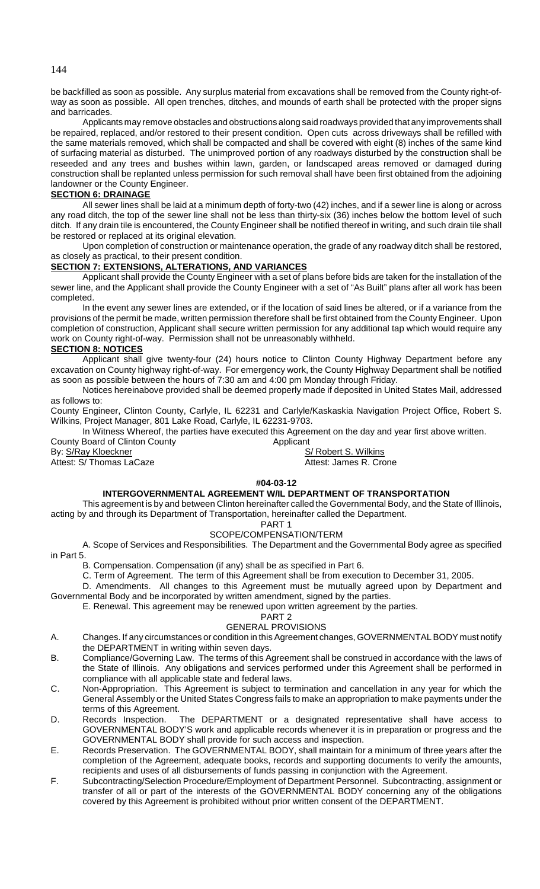be backfilled as soon as possible. Any surplus material from excavations shall be removed from the County right-ofway as soon as possible. All open trenches, ditches, and mounds of earth shall be protected with the proper signs and barricades.

Applicants may remove obstacles and obstructions along said roadways provided that any improvements shall be repaired, replaced, and/or restored to their present condition. Open cuts across driveways shall be refilled with the same materials removed, which shall be compacted and shall be covered with eight (8) inches of the same kind of surfacing material as disturbed. The unimproved portion of any roadways disturbed by the construction shall be reseeded and any trees and bushes within lawn, garden, or landscaped areas removed or damaged during construction shall be replanted unless permission for such removal shall have been first obtained from the adjoining landowner or the County Engineer.

## **SECTION 6: DRAINAGE**

All sewer lines shall be laid at a minimum depth of forty-two (42) inches, and if a sewer line is along or across any road ditch, the top of the sewer line shall not be less than thirty-six (36) inches below the bottom level of such ditch. If any drain tile is encountered, the County Engineer shall be notified thereof in writing, and such drain tile shall be restored or replaced at its original elevation.

Upon completion of construction or maintenance operation, the grade of any roadway ditch shall be restored, as closely as practical, to their present condition.

## **SECTION 7: EXTENSIONS, ALTERATIONS, AND VARIANCES**

Applicant shall provide the County Engineer with a set of plans before bids are taken for the installation of the sewer line, and the Applicant shall provide the County Engineer with a set of "As Built" plans after all work has been completed.

In the event any sewer lines are extended, or if the location of said lines be altered, or if a variance from the provisions of the permit be made, written permission therefore shall be first obtained from the County Engineer. Upon completion of construction, Applicant shall secure written permission for any additional tap which would require any work on County right-of-way. Permission shall not be unreasonably withheld.

## **SECTION 8: NOTICES**

Applicant shall give twenty-four (24) hours notice to Clinton County Highway Department before any excavation on County highway right-of-way. For emergency work, the County Highway Department shall be notified as soon as possible between the hours of 7:30 am and 4:00 pm Monday through Friday.

Notices hereinabove provided shall be deemed properly made if deposited in United States Mail, addressed as follows to:

County Engineer, Clinton County, Carlyle, IL 62231 and Carlyle/Kaskaskia Navigation Project Office, Robert S. Wilkins, Project Manager, 801 Lake Road, Carlyle, IL 62231-9703.

In Witness Whereof, the parties have executed this Agreement on the day and year first above written.

County Board of Clinton County **Applicant** 

By: S/Ray Kloeckner Same S/ Robert S. Wilkins Attest: S/ Thomas LaCaze Attest: James R. Crone

### **#04-03-12**

### **INTERGOVERNMENTAL AGREEMENT W/IL DEPARTMENT OF TRANSPORTATION**

This agreement is by and between Clinton hereinafter called the Governmental Body, and the State of Illinois, acting by and through its Department of Transportation, hereinafter called the Department.

# PART 1

# SCOPE/COMPENSATION/TERM

A. Scope of Services and Responsibilities. The Department and the Governmental Body agree as specified in Part 5.

B. Compensation. Compensation (if any) shall be as specified in Part 6.

C. Term of Agreement. The term of this Agreement shall be from execution to December 31, 2005.

D. Amendments. All changes to this Agreement must be mutually agreed upon by Department and Governmental Body and be incorporated by written amendment, signed by the parties.

E. Renewal. This agreement may be renewed upon written agreement by the parties.

### PART<sub>2</sub>

### GENERAL PROVISIONS

- A. Changes. If any circumstances or condition in this Agreement changes, GOVERNMENTAL BODY must notify the DEPARTMENT in writing within seven days.
- B. Compliance/Governing Law. The terms of this Agreement shall be construed in accordance with the laws of the State of Illinois. Any obligations and services performed under this Agreement shall be performed in compliance with all applicable state and federal laws.
- C. Non-Appropriation. This Agreement is subject to termination and cancellation in any year for which the General Assembly or the United States Congress fails to make an appropriation to make payments under the terms of this Agreement.
- D. Records Inspection. The DEPARTMENT or a designated representative shall have access to GOVERNMENTAL BODY'S work and applicable records whenever it is in preparation or progress and the GOVERNMENTAL BODY shall provide for such access and inspection.
- E. Records Preservation. The GOVERNMENTAL BODY, shall maintain for a minimum of three years after the completion of the Agreement, adequate books, records and supporting documents to verify the amounts, recipients and uses of all disbursements of funds passing in conjunction with the Agreement.
- F. Subcontracting/Selection Procedure/Employment of Department Personnel. Subcontracting, assignment or transfer of all or part of the interests of the GOVERNMENTAL BODY concerning any of the obligations covered by this Agreement is prohibited without prior written consent of the DEPARTMENT.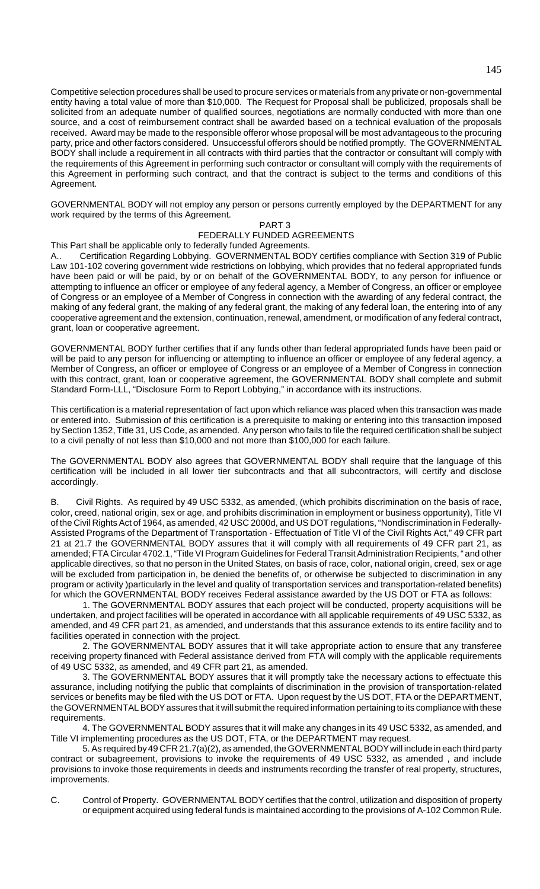Competitive selection procedures shall be used to procure services or materials from any private or non-governmental entity having a total value of more than \$10,000. The Request for Proposal shall be publicized, proposals shall be solicited from an adequate number of qualified sources, negotiations are normally conducted with more than one source, and a cost of reimbursement contract shall be awarded based on a technical evaluation of the proposals received. Award may be made to the responsible offeror whose proposal will be most advantageous to the procuring party, price and other factors considered. Unsuccessful offerors should be notified promptly. The GOVERNMENTAL BODY shall include a requirement in all contracts with third parties that the contractor or consultant will comply with the requirements of this Agreement in performing such contractor or consultant will comply with the requirements of this Agreement in performing such contract, and that the contract is subject to the terms and conditions of this Agreement.

GOVERNMENTAL BODY will not employ any person or persons currently employed by the DEPARTMENT for any work required by the terms of this Agreement.

## PART 3

## FEDERALLY FUNDED AGREEMENTS

This Part shall be applicable only to federally funded Agreements.

A.. Certification Regarding Lobbying. GOVERNMENTAL BODY certifies compliance with Section 319 of Public Law 101-102 covering government wide restrictions on lobbying, which provides that no federal appropriated funds have been paid or will be paid, by or on behalf of the GOVERNMENTAL BODY, to any person for influence or attempting to influence an officer or employee of any federal agency, a Member of Congress, an officer or employee of Congress or an employee of a Member of Congress in connection with the awarding of any federal contract, the making of any federal grant, the making of any federal grant, the making of any federal loan, the entering into of any cooperative agreement and the extension, continuation, renewal, amendment, or modification of any federal contract, grant, loan or cooperative agreement.

GOVERNMENTAL BODY further certifies that if any funds other than federal appropriated funds have been paid or will be paid to any person for influencing or attempting to influence an officer or employee of any federal agency, a Member of Congress, an officer or employee of Congress or an employee of a Member of Congress in connection with this contract, grant, loan or cooperative agreement, the GOVERNMENTAL BODY shall complete and submit Standard Form-LLL, "Disclosure Form to Report Lobbying," in accordance with its instructions.

This certification is a material representation of fact upon which reliance was placed when this transaction was made or entered into. Submission of this certification is a prerequisite to making or entering into this transaction imposed by Section 1352, Title 31, US Code, as amended. Any person who fails to file the required certification shall be subject to a civil penalty of not less than \$10,000 and not more than \$100,000 for each failure.

The GOVERNMENTAL BODY also agrees that GOVERNMENTAL BODY shall require that the language of this certification will be included in all lower tier subcontracts and that all subcontractors, will certify and disclose accordingly.

B. Civil Rights. As required by 49 USC 5332, as amended, (which prohibits discrimination on the basis of race, color, creed, national origin, sex or age, and prohibits discrimination in employment or business opportunity), Title VI of the Civil Rights Act of 1964, as amended, 42 USC 2000d, and US DOT regulations, "Nondiscrimination in Federally-Assisted Programs of the Department of Transportation - Effectuation of Title VI of the Civil Rights Act," 49 CFR part 21 at 21.7 the GOVERNMENTAL BODY assures that it will comply with all requirements of 49 CFR part 21, as amended; FTA Circular 4702.1, "Title VI Program Guidelines for Federal Transit Administration Recipients, " and other applicable directives, so that no person in the United States, on basis of race, color, national origin, creed, sex or age will be excluded from participation in, be denied the benefits of, or otherwise be subjected to discrimination in any program or activity )particularly in the level and quality of transportation services and transportation-related benefits) for which the GOVERNMENTAL BODY receives Federal assistance awarded by the US DOT or FTA as follows:

1. The GOVERNMENTAL BODY assures that each project will be conducted, property acquisitions will be undertaken, and project facilities will be operated in accordance with all applicable requirements of 49 USC 5332, as amended, and 49 CFR part 21, as amended, and understands that this assurance extends to its entire facility and to facilities operated in connection with the project.

2. The GOVERNMENTAL BODY assures that it will take appropriate action to ensure that any transferee receiving property financed with Federal assistance derived from FTA will comply with the applicable requirements of 49 USC 5332, as amended, and 49 CFR part 21, as amended.

3. The GOVERNMENTAL BODY assures that it will promptly take the necessary actions to effectuate this assurance, including notifying the public that complaints of discrimination in the provision of transportation-related services or benefits may be filed with the US DOT or FTA. Upon request by the US DOT, FTA or the DEPARTMENT, the GOVERNMENTAL BODY assures that it will submit the required information pertaining to its compliance with these requirements.

4. The GOVERNMENTAL BODY assures that it will make any changes in its 49 USC 5332, as amended, and Title VI implementing procedures as the US DOT, FTA, or the DEPARTMENT may request.

5. As required by 49 CFR 21.7(a)(2), as amended, the GOVERNMENTAL BODY will include in each third party contract or subagreement, provisions to invoke the requirements of 49 USC 5332, as amended , and include provisions to invoke those requirements in deeds and instruments recording the transfer of real property, structures, improvements.

C. Control of Property. GOVERNMENTAL BODY certifies that the control, utilization and disposition of property or equipment acquired using federal funds is maintained according to the provisions of A-102 Common Rule.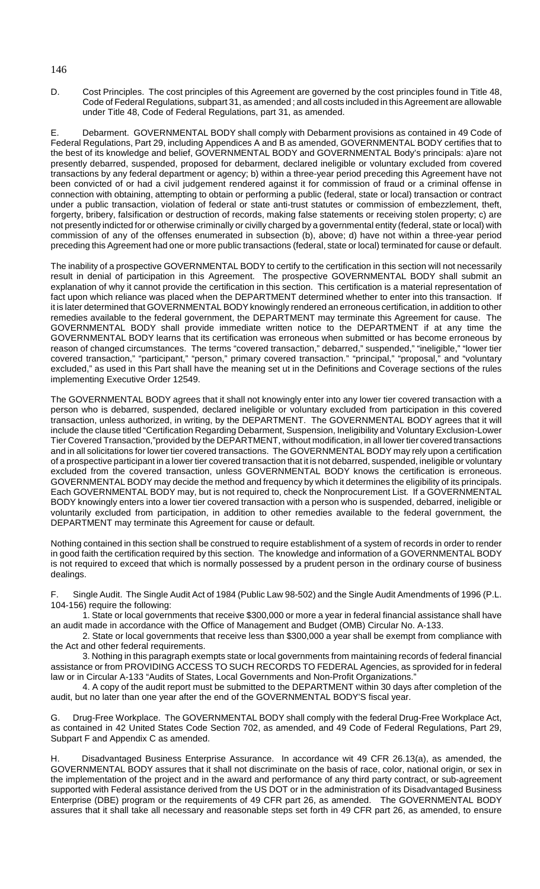D. Cost Principles. The cost principles of this Agreement are governed by the cost principles found in Title 48, Code of Federal Regulations, subpart 31, as amended ; and all costs included in this Agreement are allowable under Title 48, Code of Federal Regulations, part 31, as amended.

E. Debarment. GOVERNMENTAL BODY shall comply with Debarment provisions as contained in 49 Code of Federal Regulations, Part 29, including Appendices A and B as amended, GOVERNMENTAL BODY certifies that to the best of its knowledge and belief, GOVERNMENTAL BODY and GOVERNMENTAL Body's principals: a)are not presently debarred, suspended, proposed for debarment, declared ineligible or voluntary excluded from covered transactions by any federal department or agency; b) within a three-year period preceding this Agreement have not been convicted of or had a civil judgement rendered against it for commission of fraud or a criminal offense in connection with obtaining, attempting to obtain or performing a public (federal, state or local) transaction or contract under a public transaction, violation of federal or state anti-trust statutes or commission of embezzlement, theft, forgerty, bribery, falsification or destruction of records, making false statements or receiving stolen property; c) are not presently indicted for or otherwise criminally or civilly charged by a governmental entity (federal, state or local) with commission of any of the offenses enumerated in subsection (b), above; d) have not within a three-year period preceding this Agreement had one or more public transactions (federal, state or local) terminated for cause or default.

The inability of a prospective GOVERNMENTAL BODY to certify to the certification in this section will not necessarily result in denial of participation in this Agreement. The prospective GOVERNMENTAL BODY shall submit an explanation of why it cannot provide the certification in this section. This certification is a material representation of fact upon which reliance was placed when the DEPARTMENT determined whether to enter into this transaction. If it is later determined that GOVERNMENTAL BODY knowingly rendered an erroneous certification, in addition to other remedies available to the federal government, the DEPARTMENT may terminate this Agreement for cause. The GOVERNMENTAL BODY shall provide immediate written notice to the DEPARTMENT if at any time the GOVERNMENTAL BODY learns that its certification was erroneous when submitted or has become erroneous by reason of changed circumstances. The terms "covered transaction," debarred," suspended," "ineligible," "lower tier covered transaction," "participant," "person," primary covered transaction." "principal," "proposal," and "voluntary excluded," as used in this Part shall have the meaning set ut in the Definitions and Coverage sections of the rules implementing Executive Order 12549.

The GOVERNMENTAL BODY agrees that it shall not knowingly enter into any lower tier covered transaction with a person who is debarred, suspended, declared ineligible or voluntary excluded from participation in this covered transaction, unless authorized, in writing, by the DEPARTMENT. The GOVERNMENTAL BODY agrees that it will include the clause titled "Certification Regarding Debarment, Suspension, Ineligibility and Voluntary Exclusion-Lower Tier Covered Transaction,"provided by the DEPARTMENT, without modification, in all lower tier covered transactions and in all solicitations for lower tier covered transactions. The GOVERNMENTAL BODY may rely upon a certification of a prospective participant in a lower tier covered transaction that it is not debarred, suspended, ineligible or voluntary excluded from the covered transaction, unless GOVERNMENTAL BODY knows the certification is erroneous. GOVERNMENTAL BODY may decide the method and frequency by which it determines the eligibility of its principals. Each GOVERNMENTAL BODY may, but is not required to, check the Nonprocurement List. If a GOVERNMENTAL BODY knowingly enters into a lower tier covered transaction with a person who is suspended, debarred, ineligible or voluntarily excluded from participation, in addition to other remedies available to the federal government, the DEPARTMENT may terminate this Agreement for cause or default.

Nothing contained in this section shall be construed to require establishment of a system of records in order to render in good faith the certification required by this section. The knowledge and information of a GOVERNMENTAL BODY is not required to exceed that which is normally possessed by a prudent person in the ordinary course of business dealings.

F. Single Audit. The Single Audit Act of 1984 (Public Law 98-502) and the Single Audit Amendments of 1996 (P.L. 104-156) require the following:

1. State or local governments that receive \$300,000 or more a year in federal financial assistance shall have an audit made in accordance with the Office of Management and Budget (OMB) Circular No. A-133.

2. State or local governments that receive less than \$300,000 a year shall be exempt from compliance with the Act and other federal requirements.

3. Nothing in this paragraph exempts state or local governments from maintaining records of federal financial assistance or from PROVIDING ACCESS TO SUCH RECORDS TO FEDERAL Agencies, as sprovided for in federal law or in Circular A-133 "Audits of States, Local Governments and Non-Profit Organizations."

4. A copy of the audit report must be submitted to the DEPARTMENT within 30 days after completion of the audit, but no later than one year after the end of the GOVERNMENTAL BODY'S fiscal year.

G. Drug-Free Workplace. The GOVERNMENTAL BODY shall comply with the federal Drug-Free Workplace Act, as contained in 42 United States Code Section 702, as amended, and 49 Code of Federal Regulations, Part 29, Subpart F and Appendix C as amended.

H. Disadvantaged Business Enterprise Assurance. In accordance wit 49 CFR 26.13(a), as amended, the GOVERNMENTAL BODY assures that it shall not discriminate on the basis of race, color, national origin, or sex in the implementation of the project and in the award and performance of any third party contract, or sub-agreement supported with Federal assistance derived from the US DOT or in the administration of its Disadvantaged Business Enterprise (DBE) program or the requirements of 49 CFR part 26, as amended. The GOVERNMENTAL BODY assures that it shall take all necessary and reasonable steps set forth in 49 CFR part 26, as amended, to ensure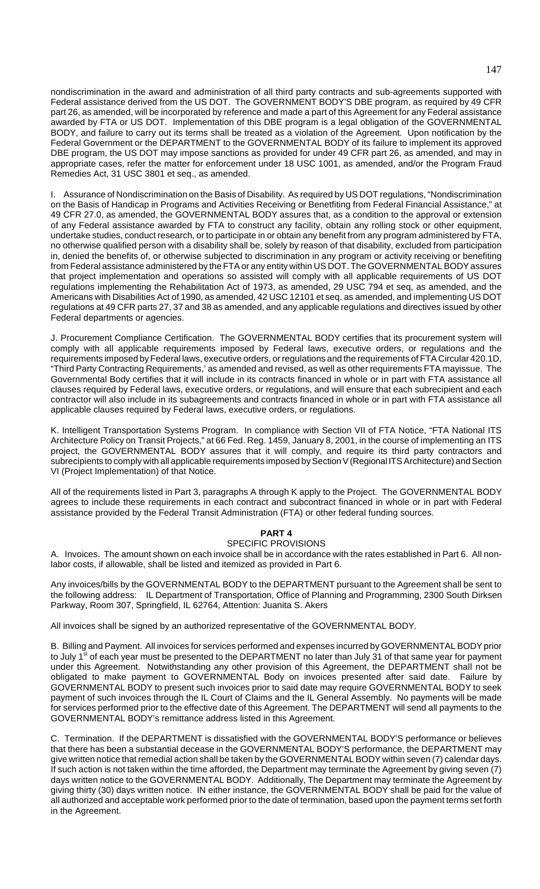nondiscrimination in the award and administration of all third party contracts and sub-agreements supported with Federal assistance derived from the US DOT. The GOVERNMENT BODY'S DBE program, as required by 49 CFR part 26, as amended, will be incorporated by reference and made a part of this Agreement for any Federal assistance awarded by FTA or US DOT. Implementation of this DBE program is a legal obligation of the GOVERNMENTAL BODY, and failure to carry out its terms shall be treated as a violation of the Agreement. Upon notification by the Federal Government or the DEPARTMENT to the GOVERNMENTAL BODY of its failure to implement its approved DBE program, the US DOT may impose sanctions as provided for under 49 CFR part 26, as amended, and may in appropriate cases, refer the matter for enforcement under 18 USC 1001, as amended, and/or the Program Fraud Remedies Act, 31 USC 3801 et seq., as amended.

I. Assurance of Nondiscrimination on the Basis of Disability. As required by US DOT regulations, "Nondiscrimination on the Basis of Handicap in Programs and Activities Receiving or Benetfiting from Federal Financial Assistance," at 49 CFR 27.0, as amended, the GOVERNMENTAL BODY assures that, as a condition to the approval or extension of any Federal assistance awarded by FTA to construct any facility, obtain any rolling stock or other equipment, undertake studies, conduct research, or to participate in or obtain any benefit from any program administered by FTA, no otherwise qualified person with a disability shall be, solely by reason of that disability, excluded from participation in, denied the benefits of, or otherwise subjected to discrimination in any program or activity receiving or benefiting from Federal assistance administered by the FTA or any entity within US DOT. The GOVERNMENTAL BODY assures that project implementation and operations so assisted will comply with all applicable requirements of US DOT regulations implementing the Rehabilitation Act of 1973, as amended, 29 USC 794 et seq, as amended, and the Americans with Disabilities Act of 1990, as amended, 42 USC 12101 et seq. as amended, and implementing US DOT regulations at 49 CFR parts 27, 37 and 38 as amended, and any applicable regulations and directives issued by other Federal departments or agencies.

J. Procurement Compliance Certification. The GOVERNMENTAL BODY certifies that its procurement system will comply with all applicable requirements imposed by Federal laws, executive orders, or regulations and the requirements imposed by Federal laws, executive orders, or regulations and the requirements of FTA Circular 420.1D, "Third Party Contracting Requirements,' as amended and revised, as well as other requirements FTA mayissue. The Governmental Body certifies that it will include in its contracts financed in whole or in part with FTA assistance all clauses required by Federal laws, executive orders, or regulations, and will ensure that each subrecipient and each contractor will also include in its subagreements and contracts financed in whole or in part with FTA assistance all applicable clauses required by Federal laws, executive orders, or regulations.

K. Intelligent Transportation Systems Program. In compliance with Section VII of FTA Notice, "FTA National ITS Architecture Policy on Transit Projects," at 66 Fed. Reg. 1459, January 8, 2001, in the course of implementing an ITS project, the GOVERNMENTAL BODY assures that it will comply, and require its third party contractors and subrecipients to comply with all applicable requirements imposed by Section V (Regional ITS Architecture) and Section VI (Project Implementation) of that Notice.

All of the requirements listed in Part 3, paragraphs A through K apply to the Project. The GOVERNMENTAL BODY agrees to include these requirements in each contract and subcontract financed in whole or in part with Federal assistance provided by the Federal Transit Administration (FTA) or other federal funding sources.

## **PART 4**

## SPECIFIC PROVISIONS

A. Invoices. The amount shown on each invoice shall be in accordance with the rates established in Part 6. All nonlabor costs, if allowable, shall be listed and itemized as provided in Part 6.

Any invoices/bills by the GOVERNMENTAL BODY to the DEPARTMENT pursuant to the Agreement shall be sent to the following address: IL Department of Transportation, Office of Planning and Programming, 2300 South Dirksen Parkway, Room 307, Springfield, IL 62764, Attention: Juanita S. Akers

All invoices shall be signed by an authorized representative of the GOVERNMENTAL BODY.

B. Billing and Payment. All invoices for services performed and expenses incurred by GOVERNMENTAL BODY prior to July 1<sup>st</sup> of each year must be presented to the DEPARTMENT no later than July 31 of that same year for payment under this Agreement. Notwithstanding any other provision of this Agreement, the DEPARTMENT shall not be obligated to make payment to GOVERNMENTAL Body on invoices presented after said date. Failure by GOVERNMENTAL BODY to present such invoices prior to said date may require GOVERNMENTAL BODY to seek payment of such invoices through the IL Court of Claims and the IL General Assembly. No payments will be made for services performed prior to the effective date of this Agreement. The DEPARTMENT will send all payments to the GOVERNMENTAL BODY's remittance address listed in this Agreement.

C. Termination. If the DEPARTMENT is dissatisfied with the GOVERNMENTAL BODY'S performance or believes that there has been a substantial decease in the GOVERNMENTAL BODY'S performance, the DEPARTMENT may give written notice that remedial action shall be taken by the GOVERNMENTAL BODY within seven (7) calendar days. If such action is not taken within the time afforded, the Department may terminate the Agreement by giving seven (7) days written notice to the GOVERNMENTAL BODY. Additionally, The Department may terminate the Agreement by giving thirty (30) days written notice. IN either instance, the GOVERNMENTAL BODY shall be paid for the value of all authorized and acceptable work performed prior to the date of termination, based upon the payment terms set forth in the Agreement.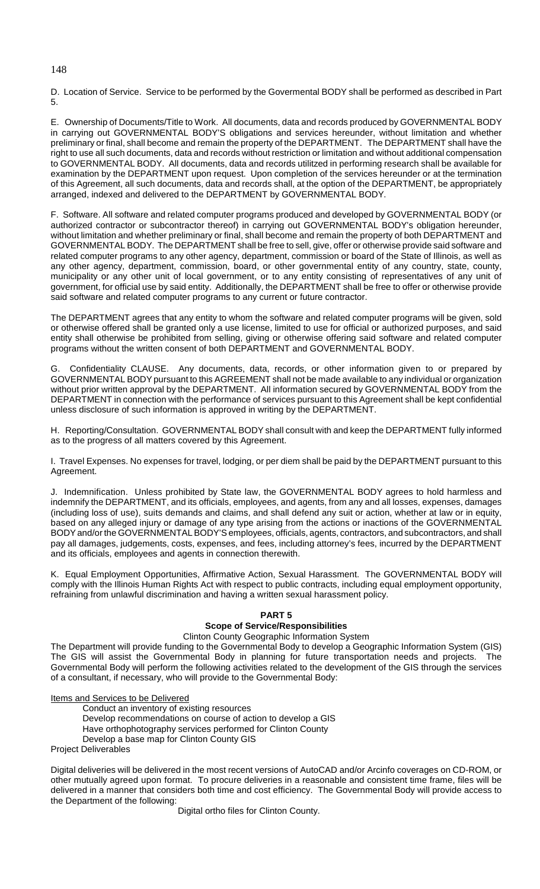D. Location of Service. Service to be performed by the Govermental BODY shall be performed as described in Part 5.

E. Ownership of Documents/Title to Work. All documents, data and records produced by GOVERNMENTAL BODY in carrying out GOVERNMENTAL BODY'S obligations and services hereunder, without limitation and whether preliminary or final, shall become and remain the property of the DEPARTMENT. The DEPARTMENT shall have the right to use all such documents, data and records without restriction or limitation and without additional compensation to GOVERNMENTAL BODY. All documents, data and records utilitzed in performing research shall be available for examination by the DEPARTMENT upon request. Upon completion of the services hereunder or at the termination of this Agreement, all such documents, data and records shall, at the option of the DEPARTMENT, be appropriately arranged, indexed and delivered to the DEPARTMENT by GOVERNMENTAL BODY.

F. Software. All software and related computer programs produced and developed by GOVERNMENTAL BODY (or authorized contractor or subcontractor thereof) in carrying out GOVERNMENTAL BODY's obligation hereunder, without limitation and whether preliminary or final, shall become and remain the property of both DEPARTMENT and GOVERNMENTAL BODY. The DEPARTMENT shall be free to sell, give, offer or otherwise provide said software and related computer programs to any other agency, department, commission or board of the State of Illinois, as well as any other agency, department, commission, board, or other governmental entity of any country, state, county, municipality or any other unit of local government, or to any entity consisting of representatives of any unit of government, for official use by said entity. Additionally, the DEPARTMENT shall be free to offer or otherwise provide said software and related computer programs to any current or future contractor.

The DEPARTMENT agrees that any entity to whom the software and related computer programs will be given, sold or otherwise offered shall be granted only a use license, limited to use for official or authorized purposes, and said entity shall otherwise be prohibited from selling, giving or otherwise offering said software and related computer programs without the written consent of both DEPARTMENT and GOVERNMENTAL BODY.

G. Confidentiality CLAUSE. Any documents, data, records, or other information given to or prepared by GOVERNMENTAL BODY pursuant to this AGREEMENT shall not be made available to any individual or organization without prior written approval by the DEPARTMENT. All information secured by GOVERNMENTAL BODY from the DEPARTMENT in connection with the performance of services pursuant to this Agreement shall be kept confidential unless disclosure of such information is approved in writing by the DEPARTMENT.

H. Reporting/Consultation. GOVERNMENTAL BODY shall consult with and keep the DEPARTMENT fully informed as to the progress of all matters covered by this Agreement.

I. Travel Expenses. No expenses for travel, lodging, or per diem shall be paid by the DEPARTMENT pursuant to this Agreement.

J. Indemnification. Unless prohibited by State law, the GOVERNMENTAL BODY agrees to hold harmless and indemnify the DEPARTMENT, and its officials, employees, and agents, from any and all losses, expenses, damages (including loss of use), suits demands and claims, and shall defend any suit or action, whether at law or in equity, based on any alleged injury or damage of any type arising from the actions or inactions of the GOVERNMENTAL BODY and/or the GOVERNMENTAL BODY'S employees, officials, agents, contractors, and subcontractors, and shall pay all damages, judgements, costs, expenses, and fees, including attorney's fees, incurred by the DEPARTMENT and its officials, employees and agents in connection therewith.

K. Equal Employment Opportunities, Affirmative Action, Sexual Harassment. The GOVERNMENTAL BODY will comply with the Illinois Human Rights Act with respect to public contracts, including equal employment opportunity, refraining from unlawful discrimination and having a written sexual harassment policy.

## **PART 5**

# **Scope of Service/Responsibilities**

Clinton County Geographic Information System

The Department will provide funding to the Governmental Body to develop a Geographic Information System (GIS) The GIS will assist the Governmental Body in planning for future transportation needs and projects. The Governmental Body will perform the following activities related to the development of the GIS through the services of a consultant, if necessary, who will provide to the Governmental Body:

## Items and Services to be Delivered

Conduct an inventory of existing resources Develop recommendations on course of action to develop a GIS Have orthophotography services performed for Clinton County Develop a base map for Clinton County GIS Project Deliverables

Digital deliveries will be delivered in the most recent versions of AutoCAD and/or Arcinfo coverages on CD-ROM, or other mutually agreed upon format. To procure deliveries in a reasonable and consistent time frame, files will be delivered in a manner that considers both time and cost efficiency. The Governmental Body will provide access to the Department of the following:

Digital ortho files for Clinton County.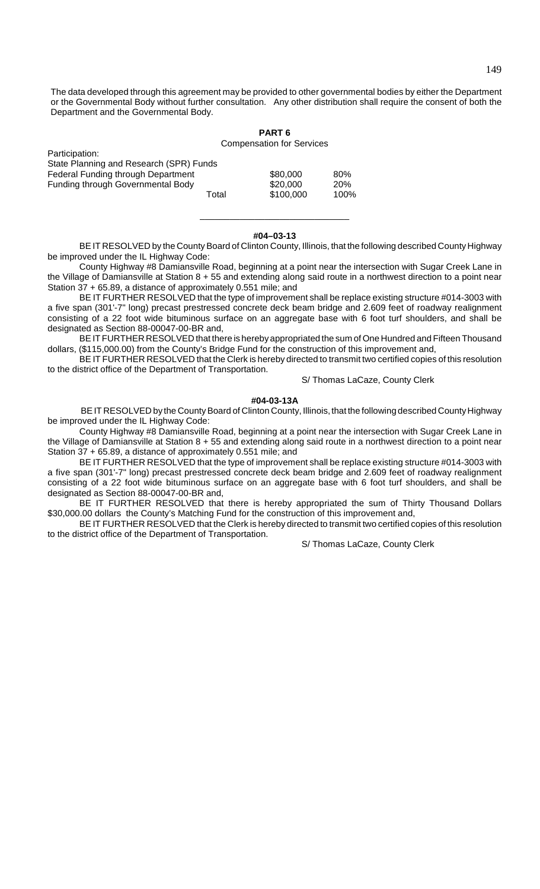The data developed through this agreement may be provided to other governmental bodies by either the Department or the Governmental Body without further consultation. Any other distribution shall require the consent of both the Department and the Governmental Body.

**PART 6**

|                                          |       | <b>Compensation for Services</b> |            |  |
|------------------------------------------|-------|----------------------------------|------------|--|
| Participation:                           |       |                                  |            |  |
| State Planning and Research (SPR) Funds  |       |                                  |            |  |
| Federal Funding through Department       |       | \$80,000                         | 80%        |  |
| <b>Funding through Governmental Body</b> |       | \$20,000                         | <b>20%</b> |  |
|                                          | Total | \$100,000                        | 100%       |  |

#### **#04–03-13**

\_\_\_\_\_\_\_\_\_\_\_\_\_\_\_\_\_\_\_\_\_\_\_\_\_\_\_\_\_\_

BE IT RESOLVED by the County Board of Clinton County, Illinois, that the following described County Highway be improved under the IL Highway Code:

County Highway #8 Damiansville Road, beginning at a point near the intersection with Sugar Creek Lane in the Village of Damiansville at Station 8 + 55 and extending along said route in a northwest direction to a point near Station 37 + 65.89, a distance of approximately 0.551 mile; and

BE IT FURTHER RESOLVED that the type of improvement shall be replace existing structure #014-3003 with a five span (301'-7" long) precast prestressed concrete deck beam bridge and 2.609 feet of roadway realignment consisting of a 22 foot wide bituminous surface on an aggregate base with 6 foot turf shoulders, and shall be designated as Section 88-00047-00-BR and,

BE IT FURTHER RESOLVED that there is hereby appropriated the sum of One Hundred and Fifteen Thousand dollars, (\$115,000.00) from the County's Bridge Fund for the construction of this improvement and,

BE IT FURTHER RESOLVED that the Clerk is hereby directed to transmit two certified copies of this resolution to the district office of the Department of Transportation.

S/ Thomas LaCaze, County Clerk

#### **#04-03-13A**

 BE IT RESOLVED by the County Board of Clinton County, Illinois, that the following described County Highway be improved under the IL Highway Code:

County Highway #8 Damiansville Road, beginning at a point near the intersection with Sugar Creek Lane in the Village of Damiansville at Station 8 + 55 and extending along said route in a northwest direction to a point near Station 37 + 65.89, a distance of approximately 0.551 mile; and

BE IT FURTHER RESOLVED that the type of improvement shall be replace existing structure #014-3003 with a five span (301'-7" long) precast prestressed concrete deck beam bridge and 2.609 feet of roadway realignment consisting of a 22 foot wide bituminous surface on an aggregate base with 6 foot turf shoulders, and shall be designated as Section 88-00047-00-BR and,

BE IT FURTHER RESOLVED that there is hereby appropriated the sum of Thirty Thousand Dollars \$30,000.00 dollars the County's Matching Fund for the construction of this improvement and,

BE IT FURTHER RESOLVED that the Clerk is hereby directed to transmit two certified copies of this resolution to the district office of the Department of Transportation.

S/ Thomas LaCaze, County Clerk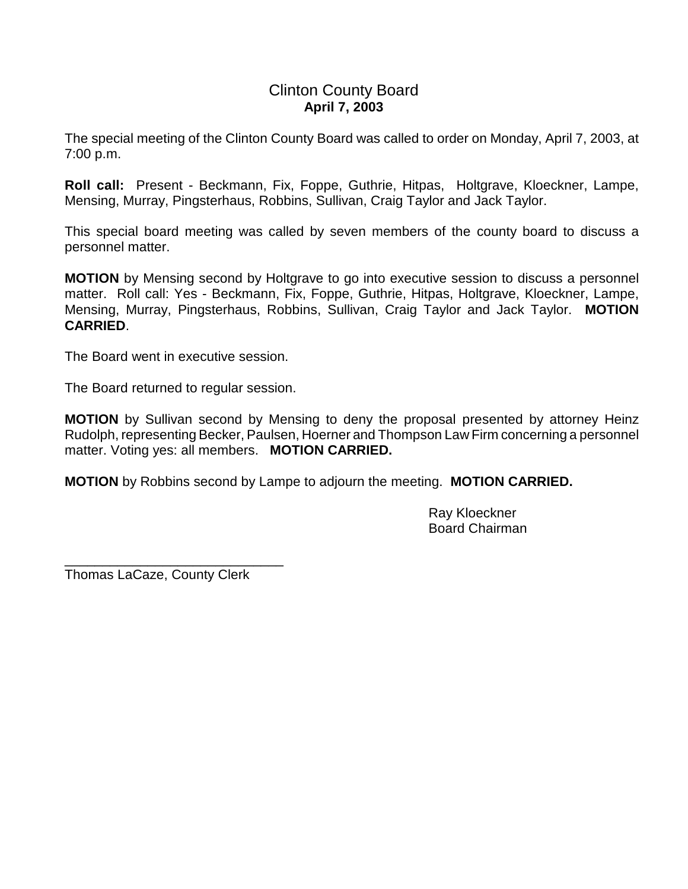# Clinton County Board **April 7, 2003**

The special meeting of the Clinton County Board was called to order on Monday, April 7, 2003, at 7:00 p.m.

**Roll call:** Present - Beckmann, Fix, Foppe, Guthrie, Hitpas, Holtgrave, Kloeckner, Lampe, Mensing, Murray, Pingsterhaus, Robbins, Sullivan, Craig Taylor and Jack Taylor.

This special board meeting was called by seven members of the county board to discuss a personnel matter.

**MOTION** by Mensing second by Holtgrave to go into executive session to discuss a personnel matter. Roll call: Yes - Beckmann, Fix, Foppe, Guthrie, Hitpas, Holtgrave, Kloeckner, Lampe, Mensing, Murray, Pingsterhaus, Robbins, Sullivan, Craig Taylor and Jack Taylor. **MOTION CARRIED**.

The Board went in executive session.

The Board returned to regular session.

**MOTION** by Sullivan second by Mensing to deny the proposal presented by attorney Heinz Rudolph, representing Becker, Paulsen, Hoerner and Thompson Law Firm concerning a personnel matter. Voting yes: all members. **MOTION CARRIED.**

**MOTION** by Robbins second by Lampe to adjourn the meeting. **MOTION CARRIED.**

Ray Kloeckner Board Chairman

Thomas LaCaze, County Clerk

\_\_\_\_\_\_\_\_\_\_\_\_\_\_\_\_\_\_\_\_\_\_\_\_\_\_\_\_\_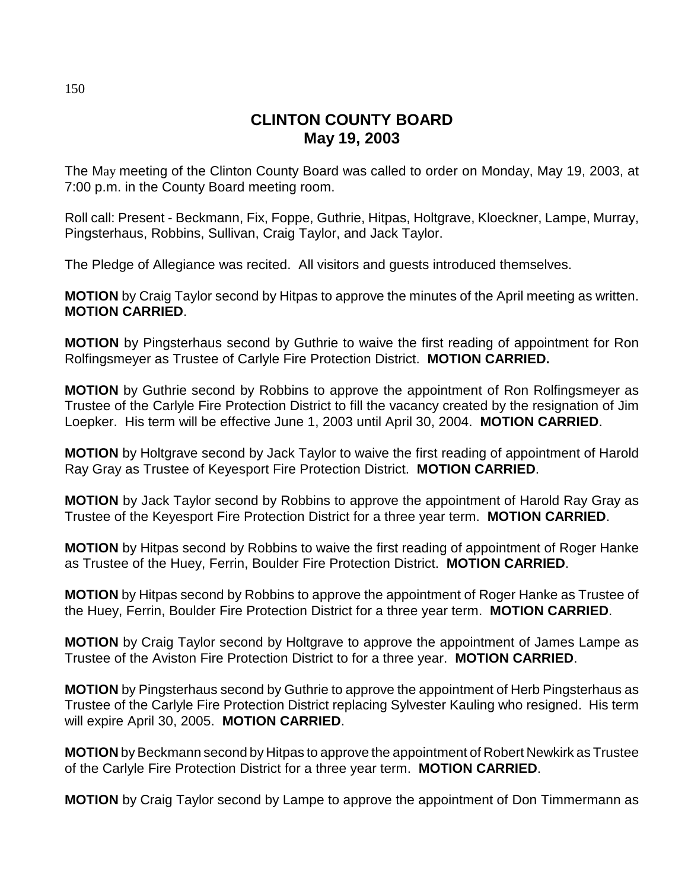# **CLINTON COUNTY BOARD May 19, 2003**

The May meeting of the Clinton County Board was called to order on Monday, May 19, 2003, at 7:00 p.m. in the County Board meeting room.

Roll call: Present - Beckmann, Fix, Foppe, Guthrie, Hitpas, Holtgrave, Kloeckner, Lampe, Murray, Pingsterhaus, Robbins, Sullivan, Craig Taylor, and Jack Taylor.

The Pledge of Allegiance was recited. All visitors and guests introduced themselves.

**MOTION** by Craig Taylor second by Hitpas to approve the minutes of the April meeting as written. **MOTION CARRIED**.

**MOTION** by Pingsterhaus second by Guthrie to waive the first reading of appointment for Ron Rolfingsmeyer as Trustee of Carlyle Fire Protection District. **MOTION CARRIED.**

**MOTION** by Guthrie second by Robbins to approve the appointment of Ron Rolfingsmeyer as Trustee of the Carlyle Fire Protection District to fill the vacancy created by the resignation of Jim Loepker. His term will be effective June 1, 2003 until April 30, 2004. **MOTION CARRIED**.

**MOTION** by Holtgrave second by Jack Taylor to waive the first reading of appointment of Harold Ray Gray as Trustee of Keyesport Fire Protection District. **MOTION CARRIED**.

**MOTION** by Jack Taylor second by Robbins to approve the appointment of Harold Ray Gray as Trustee of the Keyesport Fire Protection District for a three year term. **MOTION CARRIED**.

**MOTION** by Hitpas second by Robbins to waive the first reading of appointment of Roger Hanke as Trustee of the Huey, Ferrin, Boulder Fire Protection District. **MOTION CARRIED**.

**MOTION** by Hitpas second by Robbins to approve the appointment of Roger Hanke as Trustee of the Huey, Ferrin, Boulder Fire Protection District for a three year term. **MOTION CARRIED**.

**MOTION** by Craig Taylor second by Holtgrave to approve the appointment of James Lampe as Trustee of the Aviston Fire Protection District to for a three year. **MOTION CARRIED**.

**MOTION** by Pingsterhaus second by Guthrie to approve the appointment of Herb Pingsterhaus as Trustee of the Carlyle Fire Protection District replacing Sylvester Kauling who resigned. His term will expire April 30, 2005. **MOTION CARRIED**.

**MOTION** by Beckmann second by Hitpas to approve the appointment of Robert Newkirk as Trustee of the Carlyle Fire Protection District for a three year term. **MOTION CARRIED**.

**MOTION** by Craig Taylor second by Lampe to approve the appointment of Don Timmermann as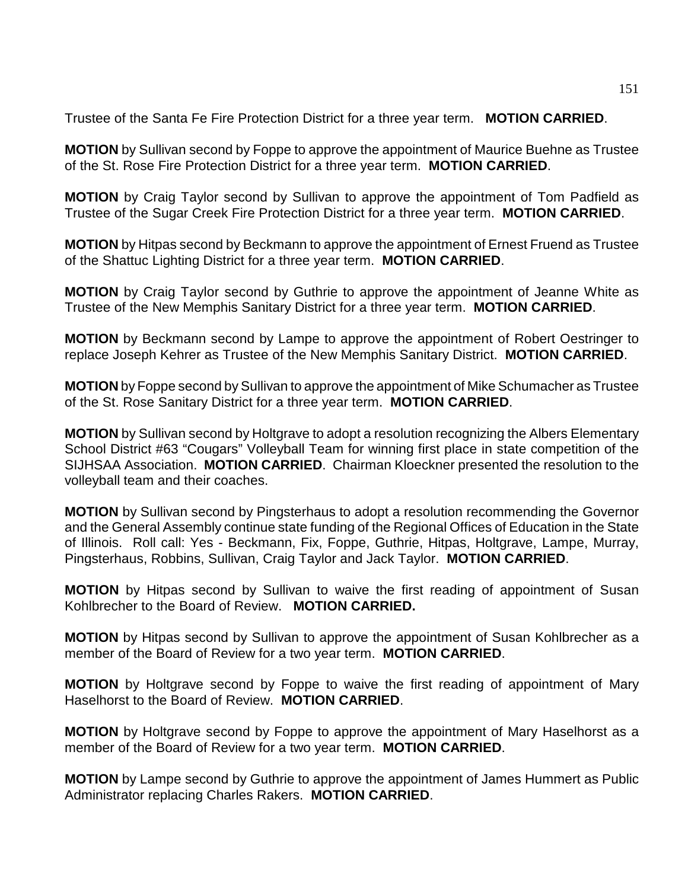Trustee of the Santa Fe Fire Protection District for a three year term. **MOTION CARRIED**.

**MOTION** by Sullivan second by Foppe to approve the appointment of Maurice Buehne as Trustee of the St. Rose Fire Protection District for a three year term. **MOTION CARRIED**.

**MOTION** by Craig Taylor second by Sullivan to approve the appointment of Tom Padfield as Trustee of the Sugar Creek Fire Protection District for a three year term. **MOTION CARRIED**.

**MOTION** by Hitpas second by Beckmann to approve the appointment of Ernest Fruend as Trustee of the Shattuc Lighting District for a three year term. **MOTION CARRIED**.

**MOTION** by Craig Taylor second by Guthrie to approve the appointment of Jeanne White as Trustee of the New Memphis Sanitary District for a three year term. **MOTION CARRIED**.

**MOTION** by Beckmann second by Lampe to approve the appointment of Robert Oestringer to replace Joseph Kehrer as Trustee of the New Memphis Sanitary District. **MOTION CARRIED**.

**MOTION** by Foppe second by Sullivan to approve the appointment of Mike Schumacher as Trustee of the St. Rose Sanitary District for a three year term. **MOTION CARRIED**.

**MOTION** by Sullivan second by Holtgrave to adopt a resolution recognizing the Albers Elementary School District #63 "Cougars" Volleyball Team for winning first place in state competition of the SIJHSAA Association. **MOTION CARRIED**. Chairman Kloeckner presented the resolution to the volleyball team and their coaches.

**MOTION** by Sullivan second by Pingsterhaus to adopt a resolution recommending the Governor and the General Assembly continue state funding of the Regional Offices of Education in the State of Illinois. Roll call: Yes - Beckmann, Fix, Foppe, Guthrie, Hitpas, Holtgrave, Lampe, Murray, Pingsterhaus, Robbins, Sullivan, Craig Taylor and Jack Taylor. **MOTION CARRIED**.

**MOTION** by Hitpas second by Sullivan to waive the first reading of appointment of Susan Kohlbrecher to the Board of Review. **MOTION CARRIED.**

**MOTION** by Hitpas second by Sullivan to approve the appointment of Susan Kohlbrecher as a member of the Board of Review for a two year term. **MOTION CARRIED**.

**MOTION** by Holtgrave second by Foppe to waive the first reading of appointment of Mary Haselhorst to the Board of Review. **MOTION CARRIED**.

**MOTION** by Holtgrave second by Foppe to approve the appointment of Mary Haselhorst as a member of the Board of Review for a two year term. **MOTION CARRIED**.

**MOTION** by Lampe second by Guthrie to approve the appointment of James Hummert as Public Administrator replacing Charles Rakers. **MOTION CARRIED**.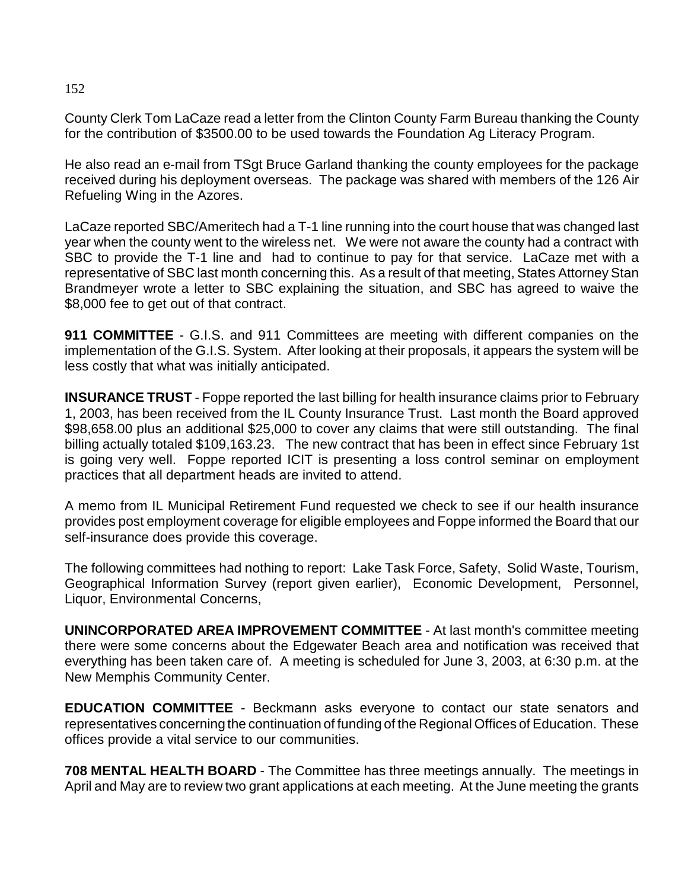# 152

County Clerk Tom LaCaze read a letter from the Clinton County Farm Bureau thanking the County for the contribution of \$3500.00 to be used towards the Foundation Ag Literacy Program.

He also read an e-mail from TSgt Bruce Garland thanking the county employees for the package received during his deployment overseas. The package was shared with members of the 126 Air Refueling Wing in the Azores.

LaCaze reported SBC/Ameritech had a T-1 line running into the court house that was changed last year when the county went to the wireless net. We were not aware the county had a contract with SBC to provide the T-1 line and had to continue to pay for that service. LaCaze met with a representative of SBC last month concerning this. As a result of that meeting, States Attorney Stan Brandmeyer wrote a letter to SBC explaining the situation, and SBC has agreed to waive the \$8,000 fee to get out of that contract.

**911 COMMITTEE** - G.I.S. and 911 Committees are meeting with different companies on the implementation of the G.I.S. System. After looking at their proposals, it appears the system will be less costly that what was initially anticipated.

**INSURANCE TRUST** - Foppe reported the last billing for health insurance claims prior to February 1, 2003, has been received from the IL County Insurance Trust. Last month the Board approved \$98,658.00 plus an additional \$25,000 to cover any claims that were still outstanding. The final billing actually totaled \$109,163.23. The new contract that has been in effect since February 1st is going very well. Foppe reported ICIT is presenting a loss control seminar on employment practices that all department heads are invited to attend.

A memo from IL Municipal Retirement Fund requested we check to see if our health insurance provides post employment coverage for eligible employees and Foppe informed the Board that our self-insurance does provide this coverage.

The following committees had nothing to report: Lake Task Force, Safety, Solid Waste, Tourism, Geographical Information Survey (report given earlier), Economic Development, Personnel, Liquor, Environmental Concerns,

**UNINCORPORATED AREA IMPROVEMENT COMMITTEE** - At last month's committee meeting there were some concerns about the Edgewater Beach area and notification was received that everything has been taken care of. A meeting is scheduled for June 3, 2003, at 6:30 p.m. at the New Memphis Community Center.

**EDUCATION COMMITTEE** - Beckmann asks everyone to contact our state senators and representatives concerning the continuation of funding of the Regional Offices of Education. These offices provide a vital service to our communities.

**708 MENTAL HEALTH BOARD** - The Committee has three meetings annually. The meetings in April and May are to review two grant applications at each meeting. At the June meeting the grants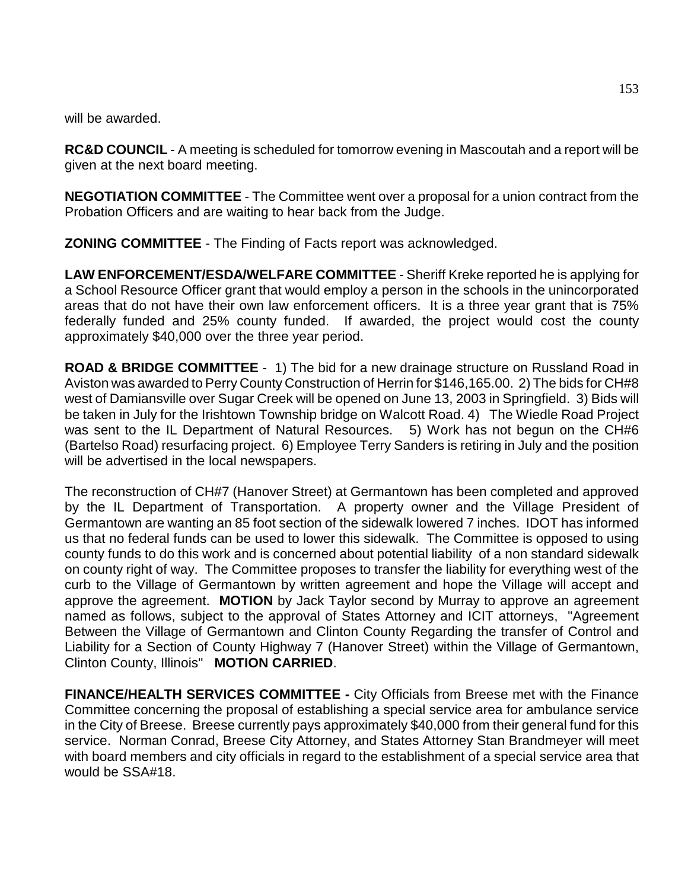will be awarded.

**RC&D COUNCIL** - A meeting is scheduled for tomorrow evening in Mascoutah and a report will be given at the next board meeting.

**NEGOTIATION COMMITTEE** - The Committee went over a proposal for a union contract from the Probation Officers and are waiting to hear back from the Judge.

**ZONING COMMITTEE** - The Finding of Facts report was acknowledged.

**LAW ENFORCEMENT/ESDA/WELFARE COMMITTEE** - Sheriff Kreke reported he is applying for a School Resource Officer grant that would employ a person in the schools in the unincorporated areas that do not have their own law enforcement officers. It is a three year grant that is 75% federally funded and 25% county funded. If awarded, the project would cost the county approximately \$40,000 over the three year period.

**ROAD & BRIDGE COMMITTEE** - 1) The bid for a new drainage structure on Russland Road in Aviston was awarded to Perry County Construction of Herrin for \$146,165.00. 2) The bids for CH#8 west of Damiansville over Sugar Creek will be opened on June 13, 2003 in Springfield. 3) Bids will be taken in July for the Irishtown Township bridge on Walcott Road. 4) The Wiedle Road Project was sent to the IL Department of Natural Resources. 5) Work has not begun on the CH#6 (Bartelso Road) resurfacing project. 6) Employee Terry Sanders is retiring in July and the position will be advertised in the local newspapers.

The reconstruction of CH#7 (Hanover Street) at Germantown has been completed and approved by the IL Department of Transportation. A property owner and the Village President of Germantown are wanting an 85 foot section of the sidewalk lowered 7 inches. IDOT has informed us that no federal funds can be used to lower this sidewalk. The Committee is opposed to using county funds to do this work and is concerned about potential liability of a non standard sidewalk on county right of way. The Committee proposes to transfer the liability for everything west of the curb to the Village of Germantown by written agreement and hope the Village will accept and approve the agreement. **MOTION** by Jack Taylor second by Murray to approve an agreement named as follows, subject to the approval of States Attorney and ICIT attorneys, "Agreement Between the Village of Germantown and Clinton County Regarding the transfer of Control and Liability for a Section of County Highway 7 (Hanover Street) within the Village of Germantown, Clinton County, Illinois" **MOTION CARRIED**.

**FINANCE/HEALTH SERVICES COMMITTEE -** City Officials from Breese met with the Finance Committee concerning the proposal of establishing a special service area for ambulance service in the City of Breese. Breese currently pays approximately \$40,000 from their general fund for this service. Norman Conrad, Breese City Attorney, and States Attorney Stan Brandmeyer will meet with board members and city officials in regard to the establishment of a special service area that would be SSA#18.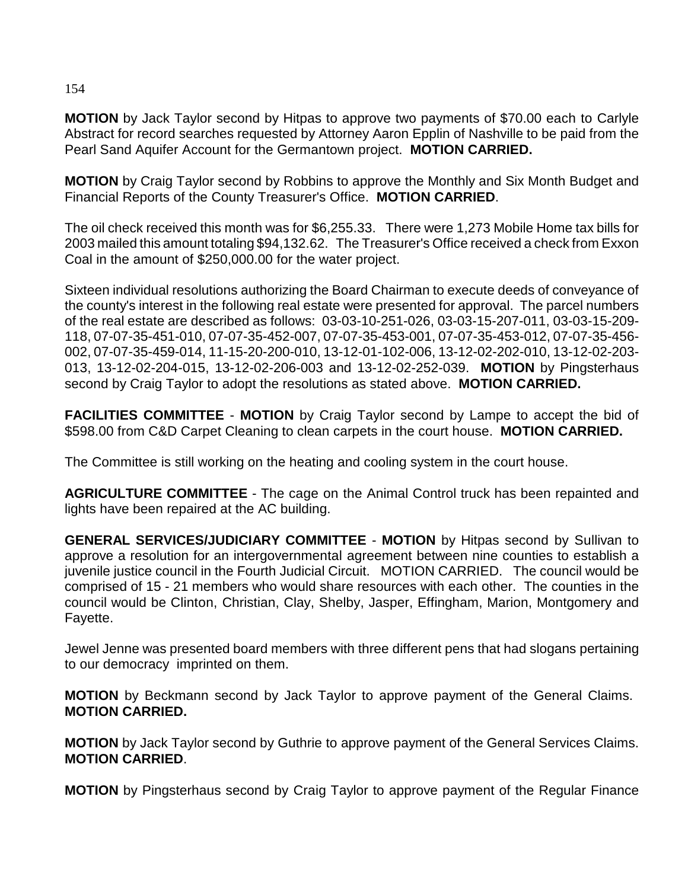**MOTION** by Jack Taylor second by Hitpas to approve two payments of \$70.00 each to Carlyle Abstract for record searches requested by Attorney Aaron Epplin of Nashville to be paid from the Pearl Sand Aquifer Account for the Germantown project. **MOTION CARRIED.**

**MOTION** by Craig Taylor second by Robbins to approve the Monthly and Six Month Budget and Financial Reports of the County Treasurer's Office. **MOTION CARRIED**.

The oil check received this month was for \$6,255.33. There were 1,273 Mobile Home tax bills for 2003 mailed this amount totaling \$94,132.62. The Treasurer's Office received a check from Exxon Coal in the amount of \$250,000.00 for the water project.

Sixteen individual resolutions authorizing the Board Chairman to execute deeds of conveyance of the county's interest in the following real estate were presented for approval. The parcel numbers of the real estate are described as follows: 03-03-10-251-026, 03-03-15-207-011, 03-03-15-209- 118, 07-07-35-451-010, 07-07-35-452-007, 07-07-35-453-001, 07-07-35-453-012, 07-07-35-456- 002, 07-07-35-459-014, 11-15-20-200-010, 13-12-01-102-006, 13-12-02-202-010, 13-12-02-203- 013, 13-12-02-204-015, 13-12-02-206-003 and 13-12-02-252-039. **MOTION** by Pingsterhaus second by Craig Taylor to adopt the resolutions as stated above. **MOTION CARRIED.**

**FACILITIES COMMITTEE** - **MOTION** by Craig Taylor second by Lampe to accept the bid of \$598.00 from C&D Carpet Cleaning to clean carpets in the court house. **MOTION CARRIED.**

The Committee is still working on the heating and cooling system in the court house.

**AGRICULTURE COMMITTEE** - The cage on the Animal Control truck has been repainted and lights have been repaired at the AC building.

**GENERAL SERVICES/JUDICIARY COMMITTEE** - **MOTION** by Hitpas second by Sullivan to approve a resolution for an intergovernmental agreement between nine counties to establish a juvenile justice council in the Fourth Judicial Circuit. MOTION CARRIED. The council would be comprised of 15 - 21 members who would share resources with each other. The counties in the council would be Clinton, Christian, Clay, Shelby, Jasper, Effingham, Marion, Montgomery and Fayette.

Jewel Jenne was presented board members with three different pens that had slogans pertaining to our democracy imprinted on them.

**MOTION** by Beckmann second by Jack Taylor to approve payment of the General Claims. **MOTION CARRIED.**

**MOTION** by Jack Taylor second by Guthrie to approve payment of the General Services Claims. **MOTION CARRIED**.

**MOTION** by Pingsterhaus second by Craig Taylor to approve payment of the Regular Finance

154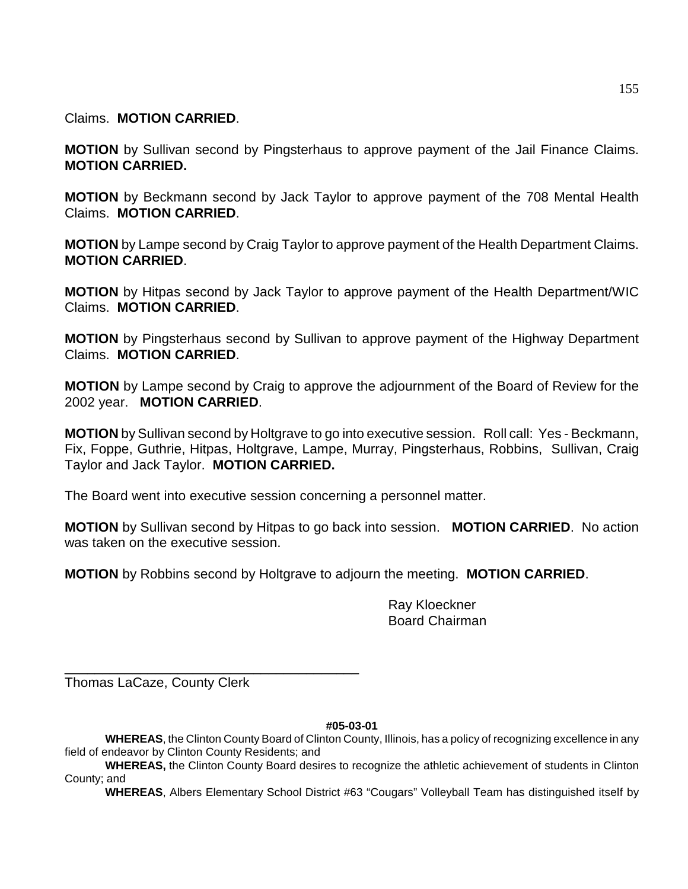Claims. **MOTION CARRIED**.

**MOTION** by Sullivan second by Pingsterhaus to approve payment of the Jail Finance Claims. **MOTION CARRIED.**

**MOTION** by Beckmann second by Jack Taylor to approve payment of the 708 Mental Health Claims. **MOTION CARRIED**.

**MOTION** by Lampe second by Craig Taylor to approve payment of the Health Department Claims. **MOTION CARRIED**.

**MOTION** by Hitpas second by Jack Taylor to approve payment of the Health Department/WIC Claims. **MOTION CARRIED**.

**MOTION** by Pingsterhaus second by Sullivan to approve payment of the Highway Department Claims. **MOTION CARRIED**.

**MOTION** by Lampe second by Craig to approve the adjournment of the Board of Review for the 2002 year. **MOTION CARRIED**.

**MOTION** by Sullivan second by Holtgrave to go into executive session. Roll call: Yes - Beckmann, Fix, Foppe, Guthrie, Hitpas, Holtgrave, Lampe, Murray, Pingsterhaus, Robbins, Sullivan, Craig Taylor and Jack Taylor. **MOTION CARRIED.** 

The Board went into executive session concerning a personnel matter.

**MOTION** by Sullivan second by Hitpas to go back into session. **MOTION CARRIED**. No action was taken on the executive session.

**MOTION** by Robbins second by Holtgrave to adjourn the meeting. **MOTION CARRIED**.

Ray Kloeckner Board Chairman

Thomas LaCaze, County Clerk

\_\_\_\_\_\_\_\_\_\_\_\_\_\_\_\_\_\_\_\_\_\_\_\_\_\_\_\_\_\_\_\_\_\_\_\_\_\_\_

**#05-03-01**

**WHEREAS**, the Clinton County Board of Clinton County, Illinois, has a policy of recognizing excellence in any field of endeavor by Clinton County Residents; and

**WHEREAS,** the Clinton County Board desires to recognize the athletic achievement of students in Clinton County; and

**WHEREAS**, Albers Elementary School District #63 "Cougars" Volleyball Team has distinguished itself by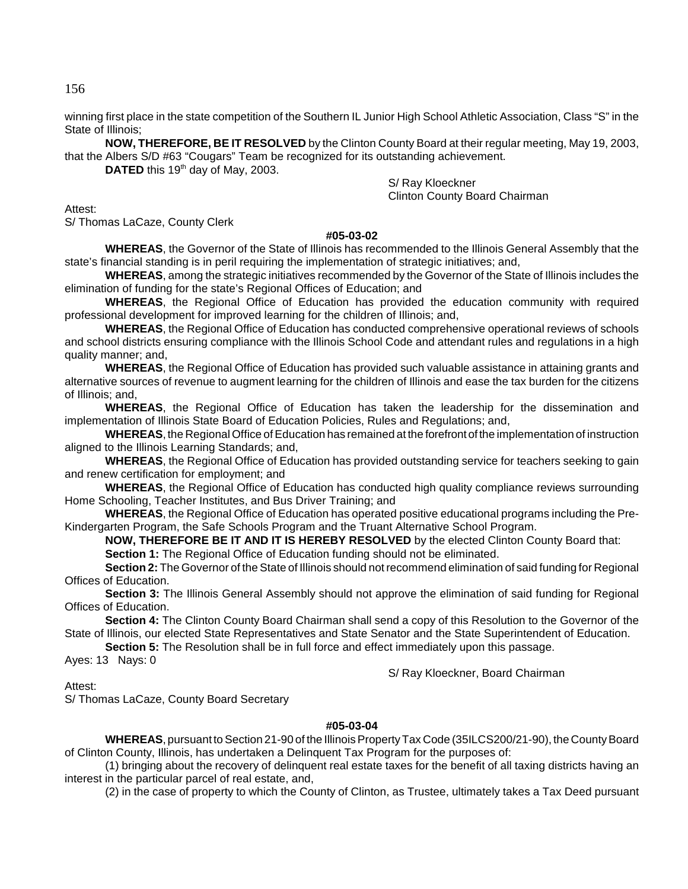winning first place in the state competition of the Southern IL Junior High School Athletic Association, Class "S" in the State of Illinois;

**NOW, THEREFORE, BE IT RESOLVED** by the Clinton County Board at their regular meeting, May 19, 2003, that the Albers S/D #63 "Cougars" Team be recognized for its outstanding achievement.

**DATED** this 19<sup>th</sup> day of May, 2003.

S/ Ray Kloeckner Clinton County Board Chairman

Attest:

S/ Thomas LaCaze, County Clerk

## **#05-03-02**

**WHEREAS**, the Governor of the State of Illinois has recommended to the Illinois General Assembly that the state's financial standing is in peril requiring the implementation of strategic initiatives; and,

**WHEREAS**, among the strategic initiatives recommended by the Governor of the State of Illinois includes the elimination of funding for the state's Regional Offices of Education; and

**WHEREAS**, the Regional Office of Education has provided the education community with required professional development for improved learning for the children of Illinois; and,

**WHEREAS**, the Regional Office of Education has conducted comprehensive operational reviews of schools and school districts ensuring compliance with the Illinois School Code and attendant rules and regulations in a high quality manner; and,

**WHEREAS**, the Regional Office of Education has provided such valuable assistance in attaining grants and alternative sources of revenue to augment learning for the children of Illinois and ease the tax burden for the citizens of Illinois; and,

**WHEREAS**, the Regional Office of Education has taken the leadership for the dissemination and implementation of Illinois State Board of Education Policies, Rules and Regulations; and,

**WHEREAS**, the Regional Office of Education has remained at the forefront of the implementation of instruction aligned to the Illinois Learning Standards; and,

**WHEREAS**, the Regional Office of Education has provided outstanding service for teachers seeking to gain and renew certification for employment; and

**WHEREAS**, the Regional Office of Education has conducted high quality compliance reviews surrounding Home Schooling, Teacher Institutes, and Bus Driver Training; and

**WHEREAS**, the Regional Office of Education has operated positive educational programs including the Pre-Kindergarten Program, the Safe Schools Program and the Truant Alternative School Program.

**NOW, THEREFORE BE IT AND IT IS HEREBY RESOLVED** by the elected Clinton County Board that:

**Section 1:** The Regional Office of Education funding should not be eliminated.

**Section 2:** The Governor of the State of Illinois should not recommend elimination of said funding for Regional Offices of Education.

**Section 3:** The Illinois General Assembly should not approve the elimination of said funding for Regional Offices of Education.

**Section 4:** The Clinton County Board Chairman shall send a copy of this Resolution to the Governor of the State of Illinois, our elected State Representatives and State Senator and the State Superintendent of Education.

**Section 5:** The Resolution shall be in full force and effect immediately upon this passage.

Ayes: 13 Nays: 0

S/ Ray Kloeckner, Board Chairman

Attest:

S/ Thomas LaCaze, County Board Secretary

## **#05-03-04**

**WHEREAS**, pursuant to Section 21-90 of the Illinois Property Tax Code (35ILCS200/21-90), the County Board of Clinton County, Illinois, has undertaken a Delinquent Tax Program for the purposes of:

(1) bringing about the recovery of delinquent real estate taxes for the benefit of all taxing districts having an interest in the particular parcel of real estate, and,

(2) in the case of property to which the County of Clinton, as Trustee, ultimately takes a Tax Deed pursuant

156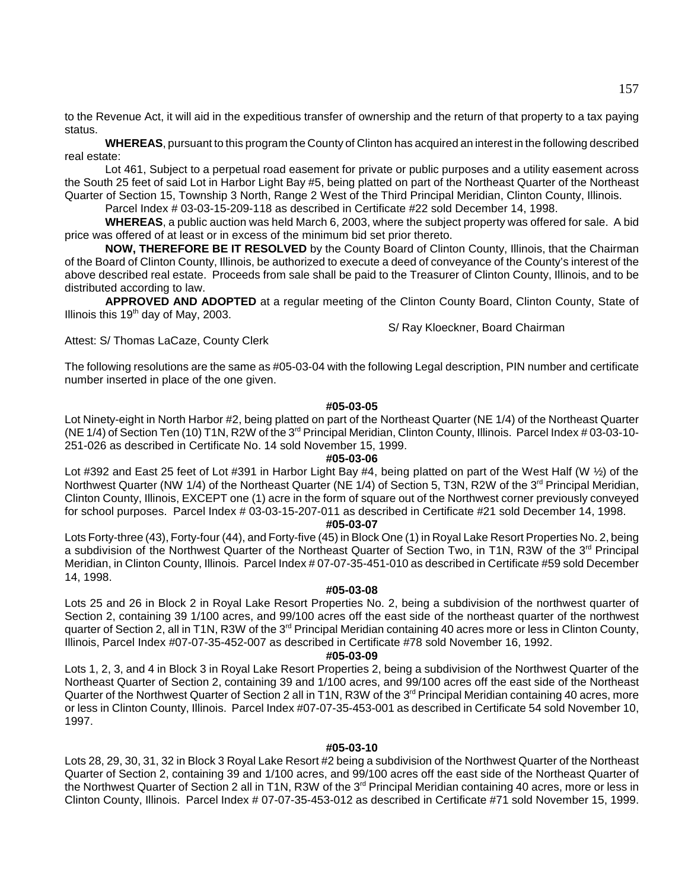to the Revenue Act, it will aid in the expeditious transfer of ownership and the return of that property to a tax paying status.

**WHEREAS**, pursuant to this program the County of Clinton has acquired an interest in the following described real estate:

Lot 461, Subject to a perpetual road easement for private or public purposes and a utility easement across the South 25 feet of said Lot in Harbor Light Bay #5, being platted on part of the Northeast Quarter of the Northeast Quarter of Section 15, Township 3 North, Range 2 West of the Third Principal Meridian, Clinton County, Illinois.

Parcel Index # 03-03-15-209-118 as described in Certificate #22 sold December 14, 1998.

**WHEREAS**, a public auction was held March 6, 2003, where the subject property was offered for sale. A bid price was offered of at least or in excess of the minimum bid set prior thereto.

**NOW, THEREFORE BE IT RESOLVED** by the County Board of Clinton County, Illinois, that the Chairman of the Board of Clinton County, Illinois, be authorized to execute a deed of conveyance of the County's interest of the above described real estate. Proceeds from sale shall be paid to the Treasurer of Clinton County, Illinois, and to be distributed according to law.

**APPROVED AND ADOPTED** at a regular meeting of the Clinton County Board, Clinton County, State of Illinois this  $19<sup>th</sup>$  day of May, 2003.

S/ Ray Kloeckner, Board Chairman

Attest: S/ Thomas LaCaze, County Clerk

The following resolutions are the same as #05-03-04 with the following Legal description, PIN number and certificate number inserted in place of the one given.

## **#05-03-05**

Lot Ninety-eight in North Harbor #2, being platted on part of the Northeast Quarter (NE 1/4) of the Northeast Quarter (NE 1/4) of Section Ten (10) T1N, R2W of the 3rd Principal Meridian, Clinton County, Illinois. Parcel Index # 03-03-10- 251-026 as described in Certificate No. 14 sold November 15, 1999.

## **#05-03-06**

Lot #392 and East 25 feet of Lot #391 in Harbor Light Bay #4, being platted on part of the West Half (W ½) of the Northwest Quarter (NW 1/4) of the Northeast Quarter (NE 1/4) of Section 5, T3N, R2W of the 3<sup>rd</sup> Principal Meridian, Clinton County, Illinois, EXCEPT one (1) acre in the form of square out of the Northwest corner previously conveyed for school purposes. Parcel Index # 03-03-15-207-011 as described in Certificate #21 sold December 14, 1998.

## **#05-03-07**

Lots Forty-three (43), Forty-four (44), and Forty-five (45) in Block One (1) in Royal Lake Resort Properties No. 2, being a subdivision of the Northwest Quarter of the Northeast Quarter of Section Two, in T1N, R3W of the 3rd Principal Meridian, in Clinton County, Illinois. Parcel Index # 07-07-35-451-010 as described in Certificate #59 sold December 14, 1998.

#### **#05-03-08**

Lots 25 and 26 in Block 2 in Royal Lake Resort Properties No. 2, being a subdivision of the northwest quarter of Section 2, containing 39 1/100 acres, and 99/100 acres off the east side of the northeast quarter of the northwest quarter of Section 2, all in T1N, R3W of the 3<sup>rd</sup> Principal Meridian containing 40 acres more or less in Clinton County, Illinois, Parcel Index #07-07-35-452-007 as described in Certificate #78 sold November 16, 1992.

#### **#05-03-09**

Lots 1, 2, 3, and 4 in Block 3 in Royal Lake Resort Properties 2, being a subdivision of the Northwest Quarter of the Northeast Quarter of Section 2, containing 39 and 1/100 acres, and 99/100 acres off the east side of the Northeast Quarter of the Northwest Quarter of Section 2 all in T1N, R3W of the 3<sup>rd</sup> Principal Meridian containing 40 acres, more or less in Clinton County, Illinois. Parcel Index #07-07-35-453-001 as described in Certificate 54 sold November 10, 1997.

## **#05-03-10**

Lots 28, 29, 30, 31, 32 in Block 3 Royal Lake Resort #2 being a subdivision of the Northwest Quarter of the Northeast Quarter of Section 2, containing 39 and 1/100 acres, and 99/100 acres off the east side of the Northeast Quarter of the Northwest Quarter of Section 2 all in T1N, R3W of the 3<sup>rd</sup> Principal Meridian containing 40 acres, more or less in Clinton County, Illinois. Parcel Index # 07-07-35-453-012 as described in Certificate #71 sold November 15, 1999.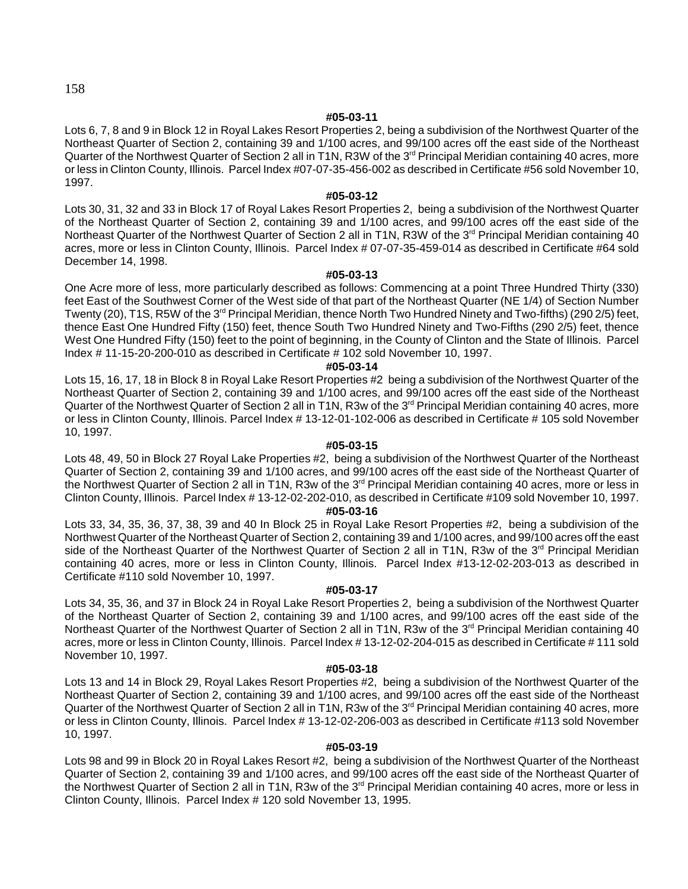## 158

#### **#05-03-11**

Lots 6, 7, 8 and 9 in Block 12 in Royal Lakes Resort Properties 2, being a subdivision of the Northwest Quarter of the Northeast Quarter of Section 2, containing 39 and 1/100 acres, and 99/100 acres off the east side of the Northeast Quarter of the Northwest Quarter of Section 2 all in T1N, R3W of the 3<sup>rd</sup> Principal Meridian containing 40 acres, more or less in Clinton County, Illinois. Parcel Index #07-07-35-456-002 as described in Certificate #56 sold November 10, 1997.

#### **#05-03-12**

Lots 30, 31, 32 and 33 in Block 17 of Royal Lakes Resort Properties 2, being a subdivision of the Northwest Quarter of the Northeast Quarter of Section 2, containing 39 and 1/100 acres, and 99/100 acres off the east side of the Northeast Quarter of the Northwest Quarter of Section 2 all in T1N, R3W of the 3<sup>rd</sup> Principal Meridian containing 40 acres, more or less in Clinton County, Illinois. Parcel Index # 07-07-35-459-014 as described in Certificate #64 sold December 14, 1998.

#### **#05-03-13**

One Acre more of less, more particularly described as follows: Commencing at a point Three Hundred Thirty (330) feet East of the Southwest Corner of the West side of that part of the Northeast Quarter (NE 1/4) of Section Number Twenty (20), T1S, R5W of the 3<sup>rd</sup> Principal Meridian, thence North Two Hundred Ninety and Two-fifths) (290 2/5) feet, thence East One Hundred Fifty (150) feet, thence South Two Hundred Ninety and Two-Fifths (290 2/5) feet, thence West One Hundred Fifty (150) feet to the point of beginning, in the County of Clinton and the State of Illinois. Parcel Index # 11-15-20-200-010 as described in Certificate # 102 sold November 10, 1997.

#### **#05-03-14**

Lots 15, 16, 17, 18 in Block 8 in Royal Lake Resort Properties #2 being a subdivision of the Northwest Quarter of the Northeast Quarter of Section 2, containing 39 and 1/100 acres, and 99/100 acres off the east side of the Northeast Quarter of the Northwest Quarter of Section 2 all in T1N, R3w of the 3<sup>rd</sup> Principal Meridian containing 40 acres, more or less in Clinton County, Illinois. Parcel Index # 13-12-01-102-006 as described in Certificate # 105 sold November 10, 1997.

#### **#05-03-15**

Lots 48, 49, 50 in Block 27 Royal Lake Properties #2, being a subdivision of the Northwest Quarter of the Northeast Quarter of Section 2, containing 39 and 1/100 acres, and 99/100 acres off the east side of the Northeast Quarter of the Northwest Quarter of Section 2 all in T1N, R3w of the  $3<sup>rd</sup>$  Principal Meridian containing 40 acres, more or less in Clinton County, Illinois. Parcel Index # 13-12-02-202-010, as described in Certificate #109 sold November 10, 1997.

#### **#05-03-16**

Lots 33, 34, 35, 36, 37, 38, 39 and 40 In Block 25 in Royal Lake Resort Properties #2, being a subdivision of the Northwest Quarter of the Northeast Quarter of Section 2, containing 39 and 1/100 acres, and 99/100 acres off the east side of the Northeast Quarter of the Northwest Quarter of Section 2 all in T1N, R3w of the 3<sup>rd</sup> Principal Meridian containing 40 acres, more or less in Clinton County, Illinois. Parcel Index #13-12-02-203-013 as described in Certificate #110 sold November 10, 1997.

#### **#05-03-17**

Lots 34, 35, 36, and 37 in Block 24 in Royal Lake Resort Properties 2, being a subdivision of the Northwest Quarter of the Northeast Quarter of Section 2, containing 39 and 1/100 acres, and 99/100 acres off the east side of the Northeast Quarter of the Northwest Quarter of Section 2 all in T1N, R3w of the 3<sup>rd</sup> Principal Meridian containing 40 acres, more or less in Clinton County, Illinois. Parcel Index # 13-12-02-204-015 as described in Certificate # 111 sold November 10, 1997.

#### **#05-03-18**

Lots 13 and 14 in Block 29, Royal Lakes Resort Properties #2, being a subdivision of the Northwest Quarter of the Northeast Quarter of Section 2, containing 39 and 1/100 acres, and 99/100 acres off the east side of the Northeast Quarter of the Northwest Quarter of Section 2 all in T1N, R3w of the 3<sup>rd</sup> Principal Meridian containing 40 acres, more or less in Clinton County, Illinois. Parcel Index # 13-12-02-206-003 as described in Certificate #113 sold November 10, 1997.

#### **#05-03-19**

Lots 98 and 99 in Block 20 in Royal Lakes Resort #2, being a subdivision of the Northwest Quarter of the Northeast Quarter of Section 2, containing 39 and 1/100 acres, and 99/100 acres off the east side of the Northeast Quarter of the Northwest Quarter of Section 2 all in T1N, R3w of the 3<sup>rd</sup> Principal Meridian containing 40 acres, more or less in Clinton County, Illinois. Parcel Index # 120 sold November 13, 1995.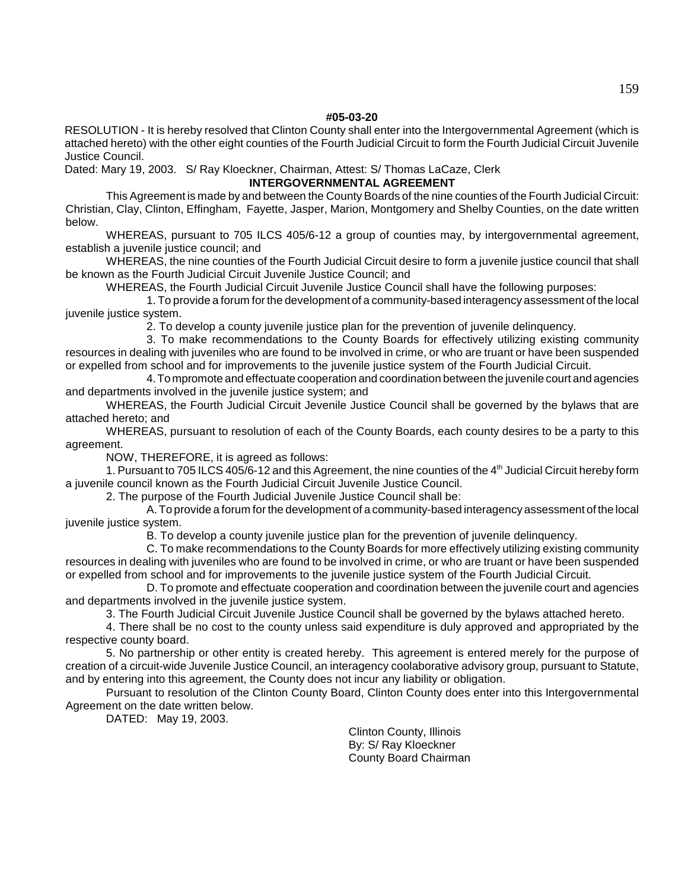## **#05-03-20**

RESOLUTION - It is hereby resolved that Clinton County shall enter into the Intergovernmental Agreement (which is attached hereto) with the other eight counties of the Fourth Judicial Circuit to form the Fourth Judicial Circuit Juvenile Justice Council.

Dated: Mary 19, 2003. S/ Ray Kloeckner, Chairman, Attest: S/ Thomas LaCaze, Clerk

## **INTERGOVERNMENTAL AGREEMENT**

This Agreement is made by and between the County Boards of the nine counties of the Fourth Judicial Circuit: Christian, Clay, Clinton, Effingham, Fayette, Jasper, Marion, Montgomery and Shelby Counties, on the date written below.

WHEREAS, pursuant to 705 ILCS 405/6-12 a group of counties may, by intergovernmental agreement, establish a juvenile justice council; and

WHEREAS, the nine counties of the Fourth Judicial Circuit desire to form a juvenile justice council that shall be known as the Fourth Judicial Circuit Juvenile Justice Council; and

WHEREAS, the Fourth Judicial Circuit Juvenile Justice Council shall have the following purposes:

1. To provide a forum for the development of a community-based interagency assessment of the local juvenile justice system.

2. To develop a county juvenile justice plan for the prevention of juvenile delinquency.

3. To make recommendations to the County Boards for effectively utilizing existing community resources in dealing with juveniles who are found to be involved in crime, or who are truant or have been suspended or expelled from school and for improvements to the juvenile justice system of the Fourth Judicial Circuit.

4. To mpromote and effectuate cooperation and coordination between the juvenile court and agencies and departments involved in the juvenile justice system; and

WHEREAS, the Fourth Judicial Circuit Jevenile Justice Council shall be governed by the bylaws that are attached hereto; and

WHEREAS, pursuant to resolution of each of the County Boards, each county desires to be a party to this agreement.

NOW, THEREFORE, it is agreed as follows:

1. Pursuant to 705 ILCS 405/6-12 and this Agreement, the nine counties of the  $4<sup>th</sup>$  Judicial Circuit hereby form a juvenile council known as the Fourth Judicial Circuit Juvenile Justice Council.

2. The purpose of the Fourth Judicial Juvenile Justice Council shall be:

A. To provide a forum for the development of a community-based interagency assessment of the local juvenile justice system.

B. To develop a county juvenile justice plan for the prevention of juvenile delinquency.

C. To make recommendations to the County Boards for more effectively utilizing existing community resources in dealing with juveniles who are found to be involved in crime, or who are truant or have been suspended or expelled from school and for improvements to the juvenile justice system of the Fourth Judicial Circuit.

D. To promote and effectuate cooperation and coordination between the juvenile court and agencies and departments involved in the juvenile justice system.

3. The Fourth Judicial Circuit Juvenile Justice Council shall be governed by the bylaws attached hereto.

4. There shall be no cost to the county unless said expenditure is duly approved and appropriated by the respective county board.

5. No partnership or other entity is created hereby. This agreement is entered merely for the purpose of creation of a circuit-wide Juvenile Justice Council, an interagency coolaborative advisory group, pursuant to Statute, and by entering into this agreement, the County does not incur any liability or obligation.

Pursuant to resolution of the Clinton County Board, Clinton County does enter into this Intergovernmental Agreement on the date written below.

DATED: May 19, 2003.

Clinton County, Illinois By: S/ Ray Kloeckner County Board Chairman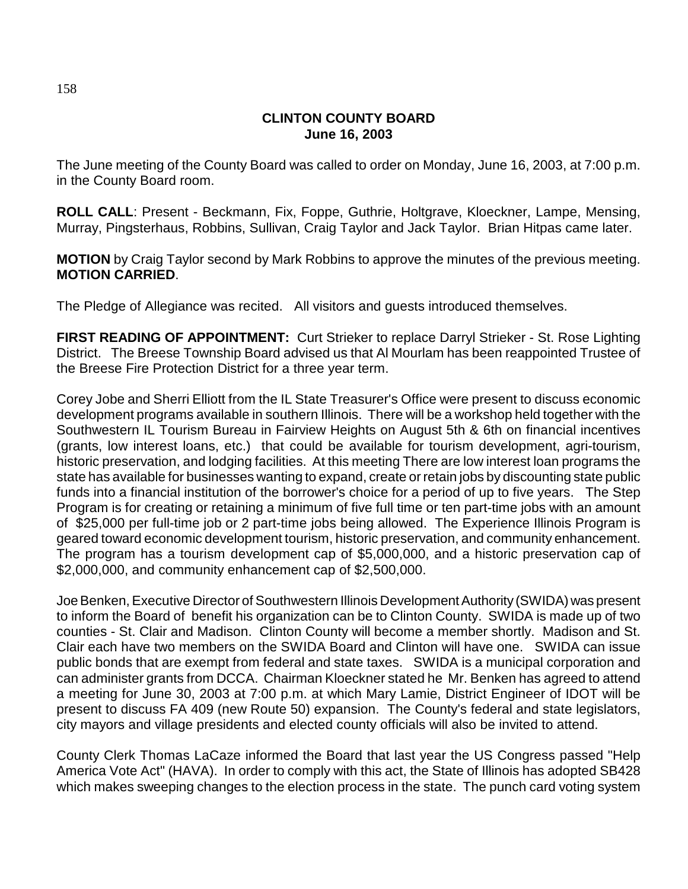# **CLINTON COUNTY BOARD June 16, 2003**

The June meeting of the County Board was called to order on Monday, June 16, 2003, at 7:00 p.m. in the County Board room.

**ROLL CALL**: Present - Beckmann, Fix, Foppe, Guthrie, Holtgrave, Kloeckner, Lampe, Mensing, Murray, Pingsterhaus, Robbins, Sullivan, Craig Taylor and Jack Taylor. Brian Hitpas came later.

**MOTION** by Craig Taylor second by Mark Robbins to approve the minutes of the previous meeting. **MOTION CARRIED**.

The Pledge of Allegiance was recited. All visitors and guests introduced themselves.

**FIRST READING OF APPOINTMENT:** Curt Strieker to replace Darryl Strieker - St. Rose Lighting District. The Breese Township Board advised us that Al Mourlam has been reappointed Trustee of the Breese Fire Protection District for a three year term.

Corey Jobe and Sherri Elliott from the IL State Treasurer's Office were present to discuss economic development programs available in southern Illinois. There will be a workshop held together with the Southwestern IL Tourism Bureau in Fairview Heights on August 5th & 6th on financial incentives (grants, low interest loans, etc.) that could be available for tourism development, agri-tourism, historic preservation, and lodging facilities. At this meeting There are low interest loan programs the state has available for businesses wanting to expand, create or retain jobs by discounting state public funds into a financial institution of the borrower's choice for a period of up to five years. The Step Program is for creating or retaining a minimum of five full time or ten part-time jobs with an amount of \$25,000 per full-time job or 2 part-time jobs being allowed. The Experience Illinois Program is geared toward economic development tourism, historic preservation, and community enhancement. The program has a tourism development cap of \$5,000,000, and a historic preservation cap of \$2,000,000, and community enhancement cap of \$2,500,000.

Joe Benken, Executive Director of Southwestern Illinois Development Authority (SWIDA) was present to inform the Board of benefit his organization can be to Clinton County. SWIDA is made up of two counties - St. Clair and Madison. Clinton County will become a member shortly. Madison and St. Clair each have two members on the SWIDA Board and Clinton will have one. SWIDA can issue public bonds that are exempt from federal and state taxes. SWIDA is a municipal corporation and can administer grants from DCCA. Chairman Kloeckner stated he Mr. Benken has agreed to attend a meeting for June 30, 2003 at 7:00 p.m. at which Mary Lamie, District Engineer of IDOT will be present to discuss FA 409 (new Route 50) expansion. The County's federal and state legislators, city mayors and village presidents and elected county officials will also be invited to attend.

County Clerk Thomas LaCaze informed the Board that last year the US Congress passed "Help America Vote Act" (HAVA). In order to comply with this act, the State of Illinois has adopted SB428 which makes sweeping changes to the election process in the state. The punch card voting system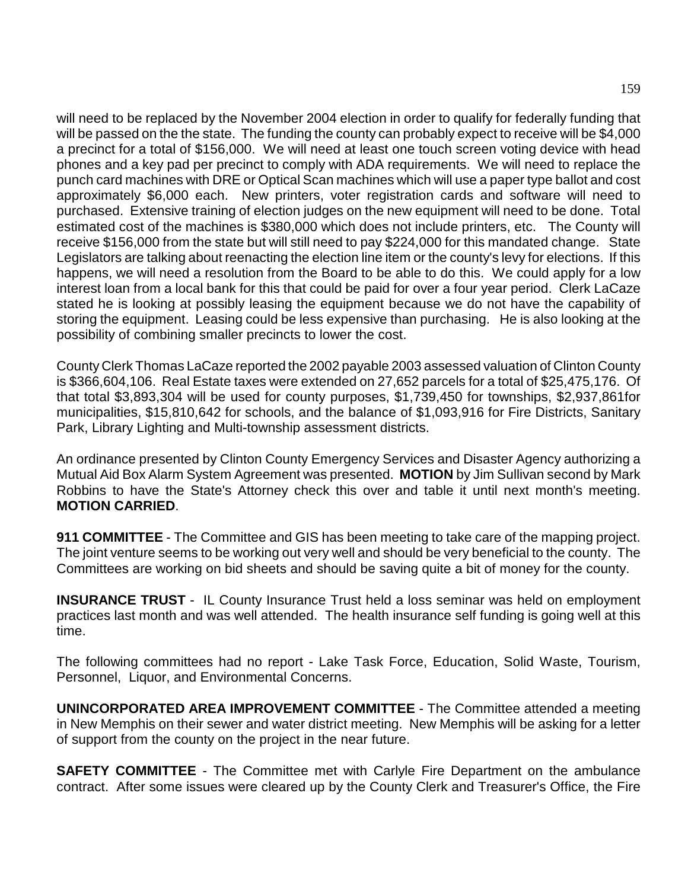will need to be replaced by the November 2004 election in order to qualify for federally funding that will be passed on the the state. The funding the county can probably expect to receive will be \$4,000 a precinct for a total of \$156,000. We will need at least one touch screen voting device with head phones and a key pad per precinct to comply with ADA requirements. We will need to replace the punch card machines with DRE or Optical Scan machines which will use a paper type ballot and cost approximately \$6,000 each. New printers, voter registration cards and software will need to purchased. Extensive training of election judges on the new equipment will need to be done. Total estimated cost of the machines is \$380,000 which does not include printers, etc. The County will receive \$156,000 from the state but will still need to pay \$224,000 for this mandated change. State Legislators are talking about reenacting the election line item or the county's levy for elections. If this happens, we will need a resolution from the Board to be able to do this. We could apply for a low interest loan from a local bank for this that could be paid for over a four year period. Clerk LaCaze stated he is looking at possibly leasing the equipment because we do not have the capability of storing the equipment. Leasing could be less expensive than purchasing. He is also looking at the possibility of combining smaller precincts to lower the cost.

County Clerk Thomas LaCaze reported the 2002 payable 2003 assessed valuation of Clinton County is \$366,604,106. Real Estate taxes were extended on 27,652 parcels for a total of \$25,475,176. Of that total \$3,893,304 will be used for county purposes, \$1,739,450 for townships, \$2,937,861for municipalities, \$15,810,642 for schools, and the balance of \$1,093,916 for Fire Districts, Sanitary Park, Library Lighting and Multi-township assessment districts.

An ordinance presented by Clinton County Emergency Services and Disaster Agency authorizing a Mutual Aid Box Alarm System Agreement was presented. **MOTION** by Jim Sullivan second by Mark Robbins to have the State's Attorney check this over and table it until next month's meeting. **MOTION CARRIED**.

**911 COMMITTEE** - The Committee and GIS has been meeting to take care of the mapping project. The joint venture seems to be working out very well and should be very beneficial to the county. The Committees are working on bid sheets and should be saving quite a bit of money for the county.

**INSURANCE TRUST** - IL County Insurance Trust held a loss seminar was held on employment practices last month and was well attended. The health insurance self funding is going well at this time.

The following committees had no report - Lake Task Force, Education, Solid Waste, Tourism, Personnel, Liquor, and Environmental Concerns.

**UNINCORPORATED AREA IMPROVEMENT COMMITTEE** - The Committee attended a meeting in New Memphis on their sewer and water district meeting. New Memphis will be asking for a letter of support from the county on the project in the near future.

**SAFETY COMMITTEE** - The Committee met with Carlyle Fire Department on the ambulance contract. After some issues were cleared up by the County Clerk and Treasurer's Office, the Fire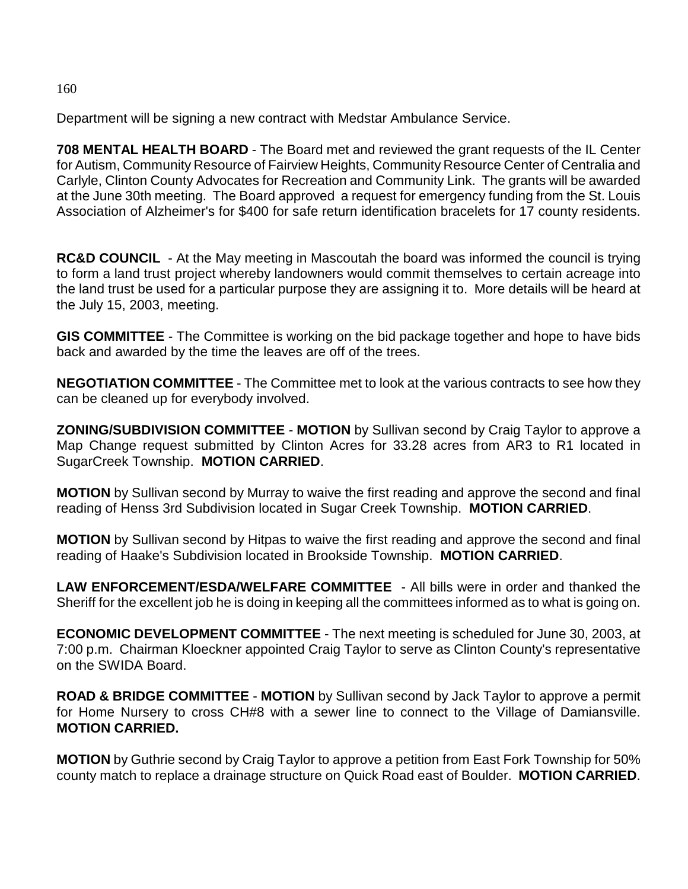# Department will be signing a new contract with Medstar Ambulance Service.

**708 MENTAL HEALTH BOARD** - The Board met and reviewed the grant requests of the IL Center for Autism, Community Resource of Fairview Heights, Community Resource Center of Centralia and Carlyle, Clinton County Advocates for Recreation and Community Link. The grants will be awarded at the June 30th meeting. The Board approved a request for emergency funding from the St. Louis Association of Alzheimer's for \$400 for safe return identification bracelets for 17 county residents.

**RC&D COUNCIL** - At the May meeting in Mascoutah the board was informed the council is trying to form a land trust project whereby landowners would commit themselves to certain acreage into the land trust be used for a particular purpose they are assigning it to. More details will be heard at the July 15, 2003, meeting.

**GIS COMMITTEE** - The Committee is working on the bid package together and hope to have bids back and awarded by the time the leaves are off of the trees.

**NEGOTIATION COMMITTEE** - The Committee met to look at the various contracts to see how they can be cleaned up for everybody involved.

**ZONING/SUBDIVISION COMMITTEE** - **MOTION** by Sullivan second by Craig Taylor to approve a Map Change request submitted by Clinton Acres for 33.28 acres from AR3 to R1 located in SugarCreek Township. **MOTION CARRIED**.

**MOTION** by Sullivan second by Murray to waive the first reading and approve the second and final reading of Henss 3rd Subdivision located in Sugar Creek Township. **MOTION CARRIED**.

**MOTION** by Sullivan second by Hitpas to waive the first reading and approve the second and final reading of Haake's Subdivision located in Brookside Township. **MOTION CARRIED**.

**LAW ENFORCEMENT/ESDA/WELFARE COMMITTEE** - All bills were in order and thanked the Sheriff for the excellent job he is doing in keeping all the committees informed as to what is going on.

**ECONOMIC DEVELOPMENT COMMITTEE** - The next meeting is scheduled for June 30, 2003, at 7:00 p.m. Chairman Kloeckner appointed Craig Taylor to serve as Clinton County's representative on the SWIDA Board.

**ROAD & BRIDGE COMMITTEE** - **MOTION** by Sullivan second by Jack Taylor to approve a permit for Home Nursery to cross CH#8 with a sewer line to connect to the Village of Damiansville. **MOTION CARRIED.**

**MOTION** by Guthrie second by Craig Taylor to approve a petition from East Fork Township for 50% county match to replace a drainage structure on Quick Road east of Boulder. **MOTION CARRIED**.

160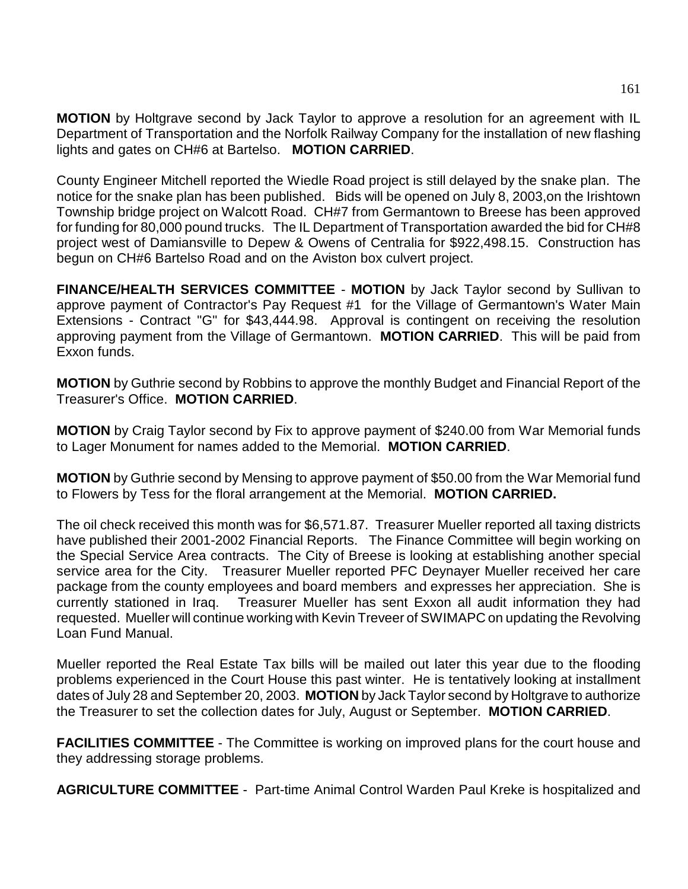**MOTION** by Holtgrave second by Jack Taylor to approve a resolution for an agreement with IL Department of Transportation and the Norfolk Railway Company for the installation of new flashing lights and gates on CH#6 at Bartelso. **MOTION CARRIED**.

County Engineer Mitchell reported the Wiedle Road project is still delayed by the snake plan. The notice for the snake plan has been published. Bids will be opened on July 8, 2003,on the Irishtown Township bridge project on Walcott Road. CH#7 from Germantown to Breese has been approved for funding for 80,000 pound trucks. The IL Department of Transportation awarded the bid for CH#8 project west of Damiansville to Depew & Owens of Centralia for \$922,498.15. Construction has begun on CH#6 Bartelso Road and on the Aviston box culvert project.

**FINANCE/HEALTH SERVICES COMMITTEE** - **MOTION** by Jack Taylor second by Sullivan to approve payment of Contractor's Pay Request #1 for the Village of Germantown's Water Main Extensions - Contract "G" for \$43,444.98. Approval is contingent on receiving the resolution approving payment from the Village of Germantown. **MOTION CARRIED**. This will be paid from Exxon funds.

**MOTION** by Guthrie second by Robbins to approve the monthly Budget and Financial Report of the Treasurer's Office. **MOTION CARRIED**.

**MOTION** by Craig Taylor second by Fix to approve payment of \$240.00 from War Memorial funds to Lager Monument for names added to the Memorial. **MOTION CARRIED**.

**MOTION** by Guthrie second by Mensing to approve payment of \$50.00 from the War Memorial fund to Flowers by Tess for the floral arrangement at the Memorial. **MOTION CARRIED.**

The oil check received this month was for \$6,571.87. Treasurer Mueller reported all taxing districts have published their 2001-2002 Financial Reports. The Finance Committee will begin working on the Special Service Area contracts. The City of Breese is looking at establishing another special service area for the City. Treasurer Mueller reported PFC Deynayer Mueller received her care package from the county employees and board members and expresses her appreciation. She is currently stationed in Iraq. Treasurer Mueller has sent Exxon all audit information they had requested. Mueller will continue working with Kevin Treveer of SWIMAPC on updating the Revolving Loan Fund Manual.

Mueller reported the Real Estate Tax bills will be mailed out later this year due to the flooding problems experienced in the Court House this past winter. He is tentatively looking at installment dates of July 28 and September 20, 2003. **MOTION** by Jack Taylor second by Holtgrave to authorize the Treasurer to set the collection dates for July, August or September. **MOTION CARRIED**.

**FACILITIES COMMITTEE** - The Committee is working on improved plans for the court house and they addressing storage problems.

**AGRICULTURE COMMITTEE** - Part-time Animal Control Warden Paul Kreke is hospitalized and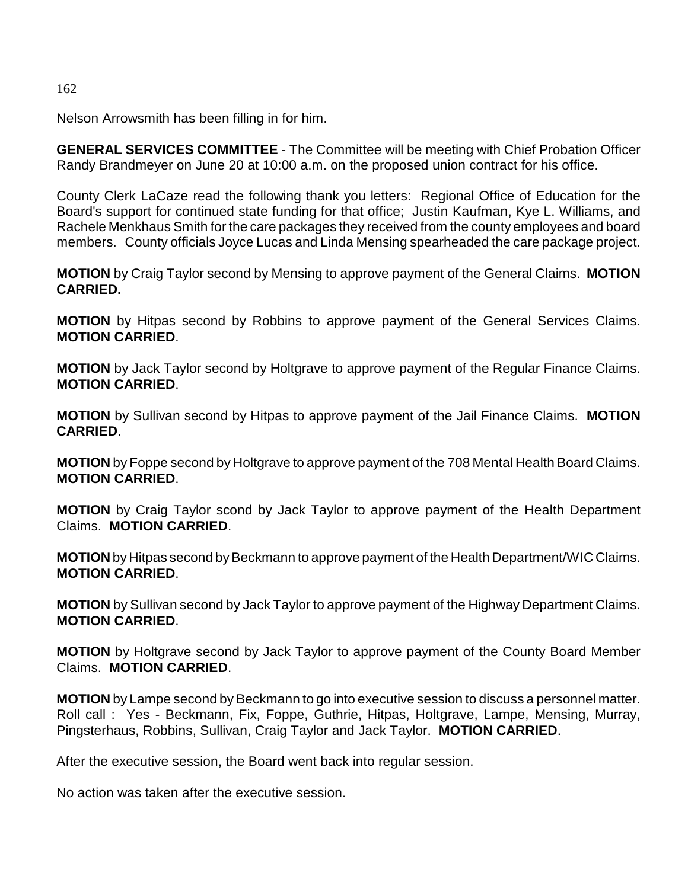162

Nelson Arrowsmith has been filling in for him.

**GENERAL SERVICES COMMITTEE** - The Committee will be meeting with Chief Probation Officer Randy Brandmeyer on June 20 at 10:00 a.m. on the proposed union contract for his office.

County Clerk LaCaze read the following thank you letters: Regional Office of Education for the Board's support for continued state funding for that office; Justin Kaufman, Kye L. Williams, and Rachele Menkhaus Smith for the care packages they received from the county employees and board members. County officials Joyce Lucas and Linda Mensing spearheaded the care package project.

**MOTION** by Craig Taylor second by Mensing to approve payment of the General Claims. **MOTION CARRIED.**

**MOTION** by Hitpas second by Robbins to approve payment of the General Services Claims. **MOTION CARRIED**.

**MOTION** by Jack Taylor second by Holtgrave to approve payment of the Regular Finance Claims. **MOTION CARRIED**.

**MOTION** by Sullivan second by Hitpas to approve payment of the Jail Finance Claims. **MOTION CARRIED**.

**MOTION** by Foppe second by Holtgrave to approve payment of the 708 Mental Health Board Claims. **MOTION CARRIED**.

**MOTION** by Craig Taylor scond by Jack Taylor to approve payment of the Health Department Claims. **MOTION CARRIED**.

**MOTION** by Hitpas second by Beckmann to approve payment of the Health Department/WIC Claims. **MOTION CARRIED**.

**MOTION** by Sullivan second by Jack Taylor to approve payment of the Highway Department Claims. **MOTION CARRIED**.

**MOTION** by Holtgrave second by Jack Taylor to approve payment of the County Board Member Claims. **MOTION CARRIED**.

**MOTION** by Lampe second by Beckmann to go into executive session to discuss a personnel matter. Roll call : Yes - Beckmann, Fix, Foppe, Guthrie, Hitpas, Holtgrave, Lampe, Mensing, Murray, Pingsterhaus, Robbins, Sullivan, Craig Taylor and Jack Taylor. **MOTION CARRIED**.

After the executive session, the Board went back into regular session.

No action was taken after the executive session.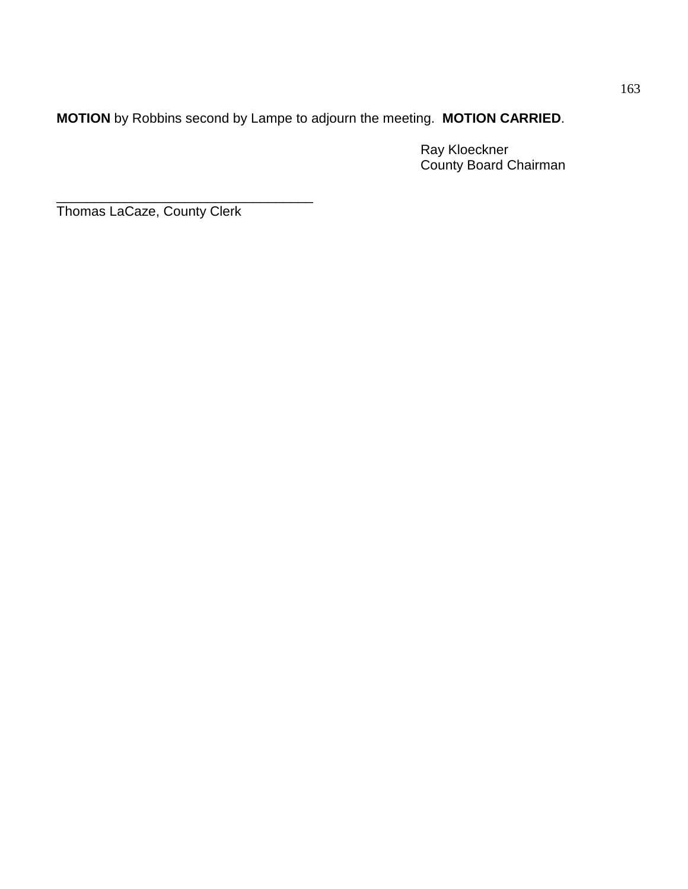**MOTION** by Robbins second by Lampe to adjourn the meeting. **MOTION CARRIED**.

Ray Kloeckner County Board Chairman

\_\_\_\_\_\_\_\_\_\_\_\_\_\_\_\_\_\_\_\_\_\_\_\_\_\_\_\_\_\_\_\_\_\_ Thomas LaCaze, County Clerk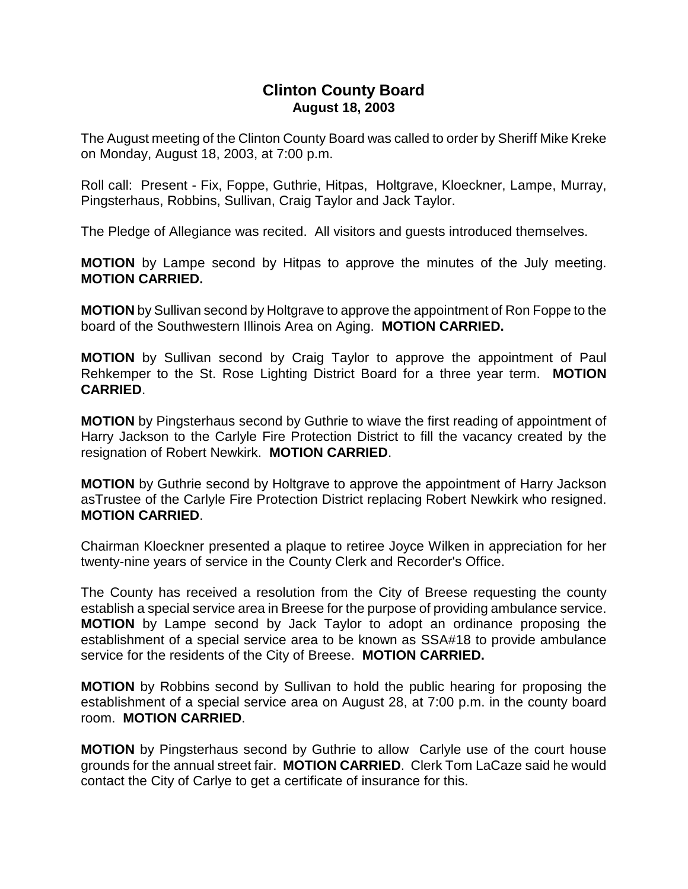# **Clinton County Board August 18, 2003**

The August meeting of the Clinton County Board was called to order by Sheriff Mike Kreke on Monday, August 18, 2003, at 7:00 p.m.

Roll call: Present - Fix, Foppe, Guthrie, Hitpas, Holtgrave, Kloeckner, Lampe, Murray, Pingsterhaus, Robbins, Sullivan, Craig Taylor and Jack Taylor.

The Pledge of Allegiance was recited. All visitors and guests introduced themselves.

**MOTION** by Lampe second by Hitpas to approve the minutes of the July meeting. **MOTION CARRIED.**

**MOTION** by Sullivan second by Holtgrave to approve the appointment of Ron Foppe to the board of the Southwestern Illinois Area on Aging. **MOTION CARRIED.**

**MOTION** by Sullivan second by Craig Taylor to approve the appointment of Paul Rehkemper to the St. Rose Lighting District Board for a three year term. **MOTION CARRIED**.

**MOTION** by Pingsterhaus second by Guthrie to wiave the first reading of appointment of Harry Jackson to the Carlyle Fire Protection District to fill the vacancy created by the resignation of Robert Newkirk. **MOTION CARRIED**.

**MOTION** by Guthrie second by Holtgrave to approve the appointment of Harry Jackson asTrustee of the Carlyle Fire Protection District replacing Robert Newkirk who resigned. **MOTION CARRIED**.

Chairman Kloeckner presented a plaque to retiree Joyce Wilken in appreciation for her twenty-nine years of service in the County Clerk and Recorder's Office.

The County has received a resolution from the City of Breese requesting the county establish a special service area in Breese for the purpose of providing ambulance service. **MOTION** by Lampe second by Jack Taylor to adopt an ordinance proposing the establishment of a special service area to be known as SSA#18 to provide ambulance service for the residents of the City of Breese. **MOTION CARRIED.**

**MOTION** by Robbins second by Sullivan to hold the public hearing for proposing the establishment of a special service area on August 28, at 7:00 p.m. in the county board room. **MOTION CARRIED**.

**MOTION** by Pingsterhaus second by Guthrie to allow Carlyle use of the court house grounds for the annual street fair. **MOTION CARRIED**. Clerk Tom LaCaze said he would contact the City of Carlye to get a certificate of insurance for this.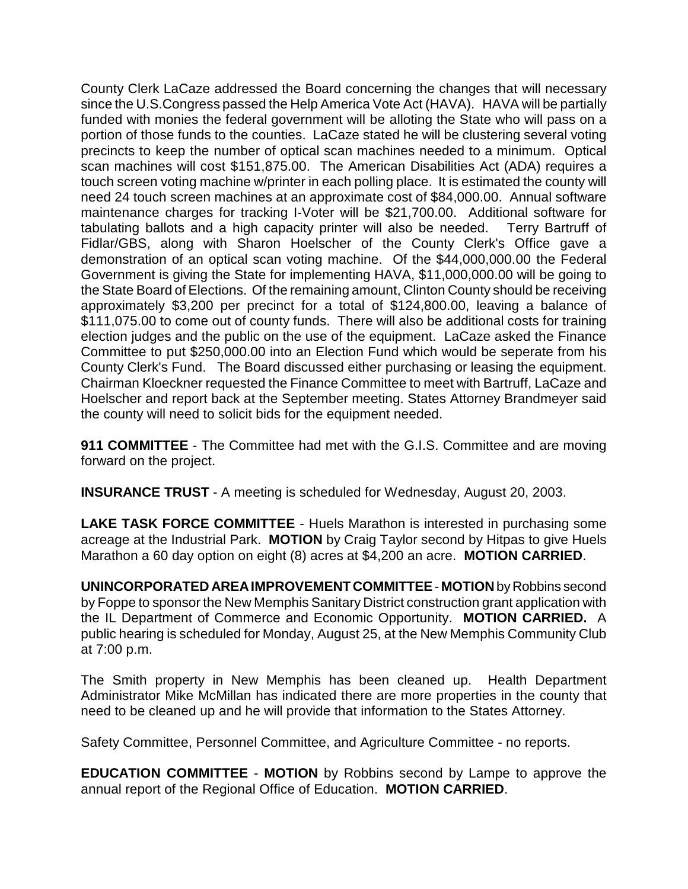County Clerk LaCaze addressed the Board concerning the changes that will necessary since the U.S.Congress passed the Help America Vote Act (HAVA). HAVA will be partially funded with monies the federal government will be alloting the State who will pass on a portion of those funds to the counties. LaCaze stated he will be clustering several voting precincts to keep the number of optical scan machines needed to a minimum. Optical scan machines will cost \$151,875.00. The American Disabilities Act (ADA) requires a touch screen voting machine w/printer in each polling place. It is estimated the county will need 24 touch screen machines at an approximate cost of \$84,000.00. Annual software maintenance charges for tracking I-Voter will be \$21,700.00. Additional software for tabulating ballots and a high capacity printer will also be needed. Terry Bartruff of Fidlar/GBS, along with Sharon Hoelscher of the County Clerk's Office gave a demonstration of an optical scan voting machine. Of the \$44,000,000.00 the Federal Government is giving the State for implementing HAVA, \$11,000,000.00 will be going to the State Board of Elections. Of the remaining amount, Clinton County should be receiving approximately \$3,200 per precinct for a total of \$124,800.00, leaving a balance of \$111,075.00 to come out of county funds. There will also be additional costs for training election judges and the public on the use of the equipment. LaCaze asked the Finance Committee to put \$250,000.00 into an Election Fund which would be seperate from his County Clerk's Fund. The Board discussed either purchasing or leasing the equipment. Chairman Kloeckner requested the Finance Committee to meet with Bartruff, LaCaze and Hoelscher and report back at the September meeting. States Attorney Brandmeyer said the county will need to solicit bids for the equipment needed.

**911 COMMITTEE** - The Committee had met with the G.I.S. Committee and are moving forward on the project.

**INSURANCE TRUST** - A meeting is scheduled for Wednesday, August 20, 2003.

**LAKE TASK FORCE COMMITTEE** - Huels Marathon is interested in purchasing some acreage at the Industrial Park. **MOTION** by Craig Taylor second by Hitpas to give Huels Marathon a 60 day option on eight (8) acres at \$4,200 an acre. **MOTION CARRIED**.

**UNINCORPORATED AREA IMPROVEMENT COMMITTEE** - **MOTION** by Robbins second by Foppe to sponsor the New Memphis Sanitary District construction grant application with the IL Department of Commerce and Economic Opportunity. **MOTION CARRIED.** A public hearing is scheduled for Monday, August 25, at the New Memphis Community Club at 7:00 p.m.

The Smith property in New Memphis has been cleaned up. Health Department Administrator Mike McMillan has indicated there are more properties in the county that need to be cleaned up and he will provide that information to the States Attorney.

Safety Committee, Personnel Committee, and Agriculture Committee - no reports.

**EDUCATION COMMITTEE** - **MOTION** by Robbins second by Lampe to approve the annual report of the Regional Office of Education. **MOTION CARRIED**.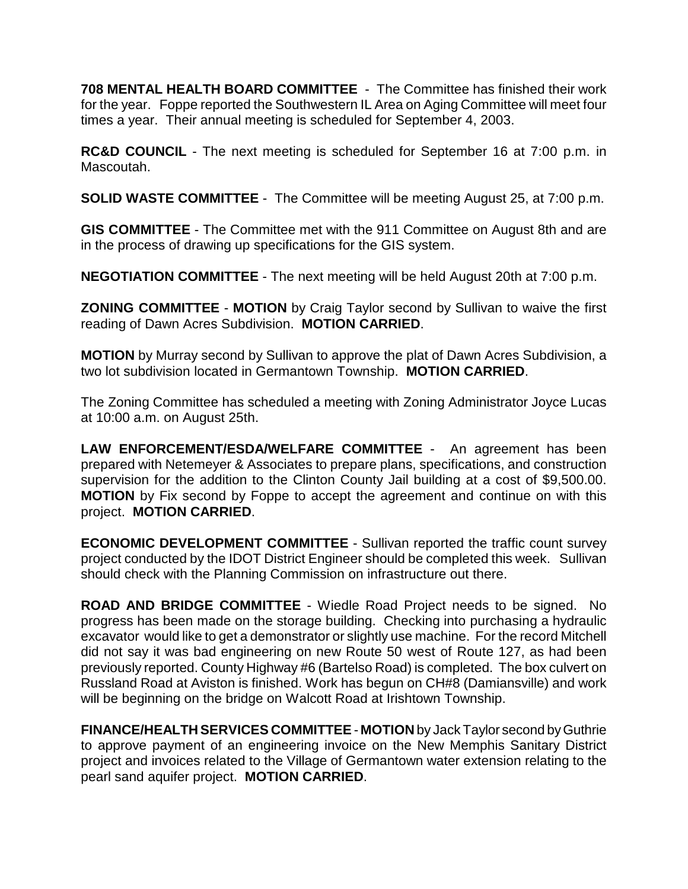**708 MENTAL HEALTH BOARD COMMITTEE** - The Committee has finished their work for the year. Foppe reported the Southwestern IL Area on Aging Committee will meet four times a year. Their annual meeting is scheduled for September 4, 2003.

**RC&D COUNCIL** - The next meeting is scheduled for September 16 at 7:00 p.m. in Mascoutah.

**SOLID WASTE COMMITTEE** - The Committee will be meeting August 25, at 7:00 p.m.

**GIS COMMITTEE** - The Committee met with the 911 Committee on August 8th and are in the process of drawing up specifications for the GIS system.

**NEGOTIATION COMMITTEE** - The next meeting will be held August 20th at 7:00 p.m.

**ZONING COMMITTEE** - **MOTION** by Craig Taylor second by Sullivan to waive the first reading of Dawn Acres Subdivision. **MOTION CARRIED**.

**MOTION** by Murray second by Sullivan to approve the plat of Dawn Acres Subdivision, a two lot subdivision located in Germantown Township. **MOTION CARRIED**.

The Zoning Committee has scheduled a meeting with Zoning Administrator Joyce Lucas at 10:00 a.m. on August 25th.

**LAW ENFORCEMENT/ESDA/WELFARE COMMITTEE** - An agreement has been prepared with Netemeyer & Associates to prepare plans, specifications, and construction supervision for the addition to the Clinton County Jail building at a cost of \$9,500.00. **MOTION** by Fix second by Foppe to accept the agreement and continue on with this project. **MOTION CARRIED**.

**ECONOMIC DEVELOPMENT COMMITTEE** - Sullivan reported the traffic count survey project conducted by the IDOT District Engineer should be completed this week. Sullivan should check with the Planning Commission on infrastructure out there.

**ROAD AND BRIDGE COMMITTEE** - Wiedle Road Project needs to be signed. No progress has been made on the storage building. Checking into purchasing a hydraulic excavator would like to get a demonstrator or slightly use machine. For the record Mitchell did not say it was bad engineering on new Route 50 west of Route 127, as had been previously reported. County Highway #6 (Bartelso Road) is completed. The box culvert on Russland Road at Aviston is finished. Work has begun on CH#8 (Damiansville) and work will be beginning on the bridge on Walcott Road at Irishtown Township.

**FINANCE/HEALTH SERVICES COMMITTEE** - **MOTION** by Jack Taylor second by Guthrie to approve payment of an engineering invoice on the New Memphis Sanitary District project and invoices related to the Village of Germantown water extension relating to the pearl sand aquifer project. **MOTION CARRIED**.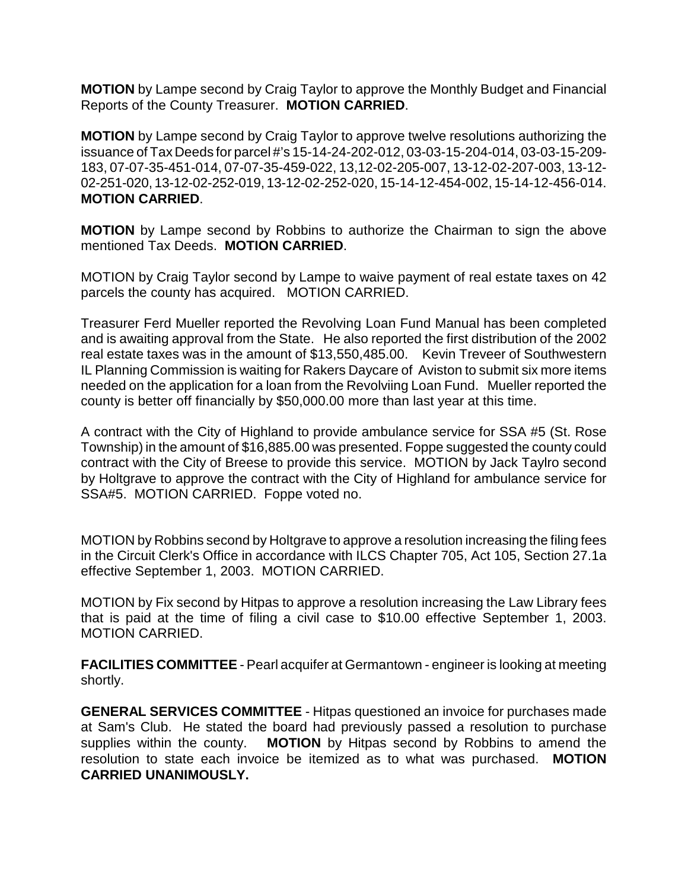**MOTION** by Lampe second by Craig Taylor to approve the Monthly Budget and Financial Reports of the County Treasurer. **MOTION CARRIED**.

**MOTION** by Lampe second by Craig Taylor to approve twelve resolutions authorizing the issuance of Tax Deeds for parcel #'s 15-14-24-202-012, 03-03-15-204-014, 03-03-15-209- 183, 07-07-35-451-014, 07-07-35-459-022, 13,12-02-205-007, 13-12-02-207-003, 13-12- 02-251-020, 13-12-02-252-019, 13-12-02-252-020, 15-14-12-454-002, 15-14-12-456-014. **MOTION CARRIED**.

**MOTION** by Lampe second by Robbins to authorize the Chairman to sign the above mentioned Tax Deeds. **MOTION CARRIED**.

MOTION by Craig Taylor second by Lampe to waive payment of real estate taxes on 42 parcels the county has acquired. MOTION CARRIED.

Treasurer Ferd Mueller reported the Revolving Loan Fund Manual has been completed and is awaiting approval from the State. He also reported the first distribution of the 2002 real estate taxes was in the amount of \$13,550,485.00. Kevin Treveer of Southwestern IL Planning Commission is waiting for Rakers Daycare of Aviston to submit six more items needed on the application for a loan from the Revolviing Loan Fund. Mueller reported the county is better off financially by \$50,000.00 more than last year at this time.

A contract with the City of Highland to provide ambulance service for SSA #5 (St. Rose Township) in the amount of \$16,885.00 was presented. Foppe suggested the county could contract with the City of Breese to provide this service. MOTION by Jack Taylro second by Holtgrave to approve the contract with the City of Highland for ambulance service for SSA#5. MOTION CARRIED. Foppe voted no.

MOTION by Robbins second by Holtgrave to approve a resolution increasing the filing fees in the Circuit Clerk's Office in accordance with ILCS Chapter 705, Act 105, Section 27.1a effective September 1, 2003. MOTION CARRIED.

MOTION by Fix second by Hitpas to approve a resolution increasing the Law Library fees that is paid at the time of filing a civil case to \$10.00 effective September 1, 2003. MOTION CARRIED.

**FACILITIES COMMITTEE** - Pearl acquifer at Germantown - engineer is looking at meeting shortly.

**GENERAL SERVICES COMMITTEE** - Hitpas questioned an invoice for purchases made at Sam's Club. He stated the board had previously passed a resolution to purchase supplies within the county. **MOTION** by Hitpas second by Robbins to amend the resolution to state each invoice be itemized as to what was purchased. **MOTION CARRIED UNANIMOUSLY.**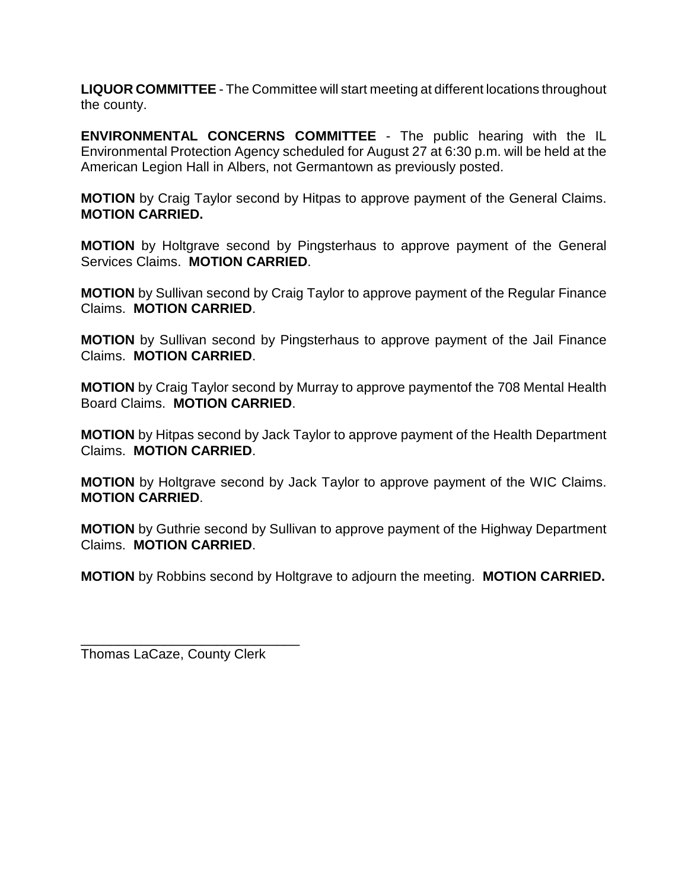**LIQUOR COMMITTEE** - The Committee will start meeting at different locations throughout the county.

**ENVIRONMENTAL CONCERNS COMMITTEE** - The public hearing with the IL Environmental Protection Agency scheduled for August 27 at 6:30 p.m. will be held at the American Legion Hall in Albers, not Germantown as previously posted.

**MOTION** by Craig Taylor second by Hitpas to approve payment of the General Claims. **MOTION CARRIED.**

**MOTION** by Holtgrave second by Pingsterhaus to approve payment of the General Services Claims. **MOTION CARRIED**.

**MOTION** by Sullivan second by Craig Taylor to approve payment of the Regular Finance Claims. **MOTION CARRIED**.

**MOTION** by Sullivan second by Pingsterhaus to approve payment of the Jail Finance Claims. **MOTION CARRIED**.

**MOTION** by Craig Taylor second by Murray to approve paymentof the 708 Mental Health Board Claims. **MOTION CARRIED**.

**MOTION** by Hitpas second by Jack Taylor to approve payment of the Health Department Claims. **MOTION CARRIED**.

**MOTION** by Holtgrave second by Jack Taylor to approve payment of the WIC Claims. **MOTION CARRIED**.

**MOTION** by Guthrie second by Sullivan to approve payment of the Highway Department Claims. **MOTION CARRIED**.

**MOTION** by Robbins second by Holtgrave to adjourn the meeting. **MOTION CARRIED.**

\_\_\_\_\_\_\_\_\_\_\_\_\_\_\_\_\_\_\_\_\_\_\_\_\_\_\_\_\_ Thomas LaCaze, County Clerk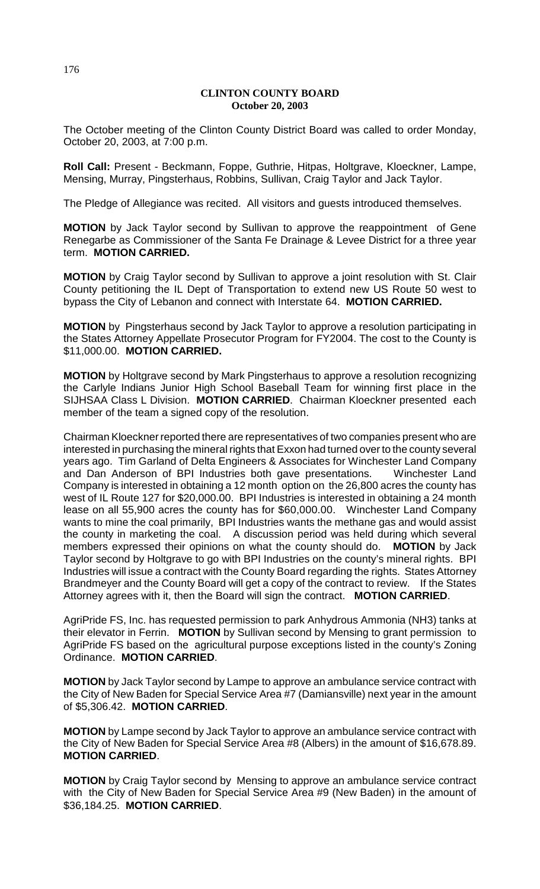# **CLINTON COUNTY BOARD October 20, 2003**

The October meeting of the Clinton County District Board was called to order Monday, October 20, 2003, at 7:00 p.m.

**Roll Call:** Present - Beckmann, Foppe, Guthrie, Hitpas, Holtgrave, Kloeckner, Lampe, Mensing, Murray, Pingsterhaus, Robbins, Sullivan, Craig Taylor and Jack Taylor.

The Pledge of Allegiance was recited. All visitors and guests introduced themselves.

**MOTION** by Jack Taylor second by Sullivan to approve the reappointment of Gene Renegarbe as Commissioner of the Santa Fe Drainage & Levee District for a three year term. **MOTION CARRIED.**

**MOTION** by Craig Taylor second by Sullivan to approve a joint resolution with St. Clair County petitioning the IL Dept of Transportation to extend new US Route 50 west to bypass the City of Lebanon and connect with Interstate 64. **MOTION CARRIED.**

**MOTION** by Pingsterhaus second by Jack Taylor to approve a resolution participating in the States Attorney Appellate Prosecutor Program for FY2004. The cost to the County is \$11,000.00. **MOTION CARRIED.**

**MOTION** by Holtgrave second by Mark Pingsterhaus to approve a resolution recognizing the Carlyle Indians Junior High School Baseball Team for winning first place in the SIJHSAA Class L Division. **MOTION CARRIED**. Chairman Kloeckner presented each member of the team a signed copy of the resolution.

Chairman Kloeckner reported there are representatives of two companies present who are interested in purchasing the mineral rights that Exxon had turned over to the county several years ago. Tim Garland of Delta Engineers & Associates for Winchester Land Company and Dan Anderson of BPI Industries both gave presentations. Winchester Land Company is interested in obtaining a 12 month option on the 26,800 acres the county has west of IL Route 127 for \$20,000.00. BPI Industries is interested in obtaining a 24 month lease on all 55,900 acres the county has for \$60,000.00. Winchester Land Company wants to mine the coal primarily, BPI Industries wants the methane gas and would assist the county in marketing the coal. A discussion period was held during which several members expressed their opinions on what the county should do. **MOTION** by Jack Taylor second by Holtgrave to go with BPI Industries on the county's mineral rights. BPI Industries will issue a contract with the County Board regarding the rights. States Attorney Brandmeyer and the County Board will get a copy of the contract to review. If the States Attorney agrees with it, then the Board will sign the contract. **MOTION CARRIED**.

AgriPride FS, Inc. has requested permission to park Anhydrous Ammonia (NH3) tanks at their elevator in Ferrin. **MOTION** by Sullivan second by Mensing to grant permission to AgriPride FS based on the agricultural purpose exceptions listed in the county's Zoning Ordinance. **MOTION CARRIED**.

**MOTION** by Jack Taylor second by Lampe to approve an ambulance service contract with the City of New Baden for Special Service Area #7 (Damiansville) next year in the amount of \$5,306.42. **MOTION CARRIED**.

**MOTION** by Lampe second by Jack Taylor to approve an ambulance service contract with the City of New Baden for Special Service Area #8 (Albers) in the amount of \$16,678.89. **MOTION CARRIED**.

**MOTION** by Craig Taylor second by Mensing to approve an ambulance service contract with the City of New Baden for Special Service Area #9 (New Baden) in the amount of \$36,184.25. **MOTION CARRIED**.

176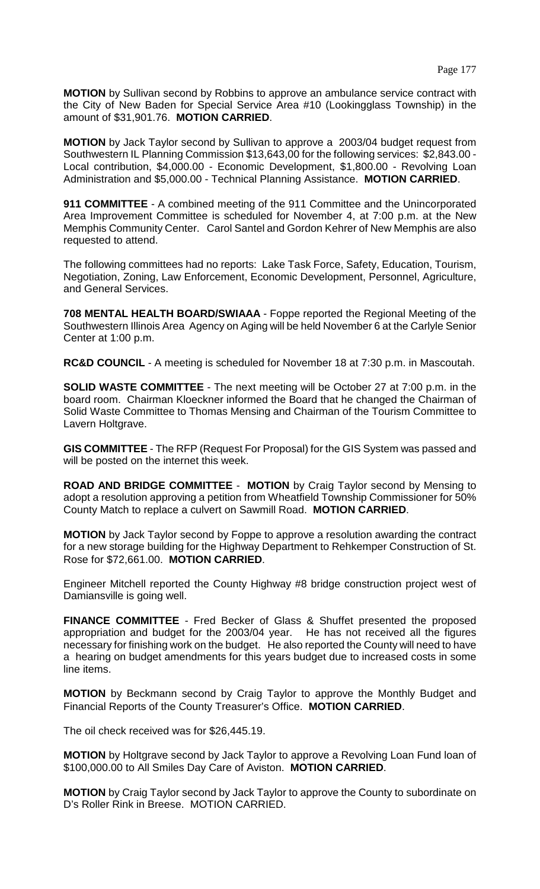**MOTION** by Sullivan second by Robbins to approve an ambulance service contract with the City of New Baden for Special Service Area #10 (Lookingglass Township) in the amount of \$31,901.76. **MOTION CARRIED**.

**MOTION** by Jack Taylor second by Sullivan to approve a 2003/04 budget request from Southwestern IL Planning Commission \$13,643,00 for the following services: \$2,843.00 - Local contribution, \$4,000.00 - Economic Development, \$1,800.00 - Revolving Loan Administration and \$5,000.00 - Technical Planning Assistance. **MOTION CARRIED**.

**911 COMMITTEE** - A combined meeting of the 911 Committee and the Unincorporated Area Improvement Committee is scheduled for November 4, at 7:00 p.m. at the New Memphis Community Center. Carol Santel and Gordon Kehrer of New Memphis are also requested to attend.

The following committees had no reports: Lake Task Force, Safety, Education, Tourism, Negotiation, Zoning, Law Enforcement, Economic Development, Personnel, Agriculture, and General Services.

**708 MENTAL HEALTH BOARD/SWIAAA** - Foppe reported the Regional Meeting of the Southwestern Illinois Area Agency on Aging will be held November 6 at the Carlyle Senior Center at 1:00 p.m.

**RC&D COUNCIL** - A meeting is scheduled for November 18 at 7:30 p.m. in Mascoutah.

**SOLID WASTE COMMITTEE** - The next meeting will be October 27 at 7:00 p.m. in the board room. Chairman Kloeckner informed the Board that he changed the Chairman of Solid Waste Committee to Thomas Mensing and Chairman of the Tourism Committee to Lavern Holtgrave.

**GIS COMMITTEE** - The RFP (Request For Proposal) for the GIS System was passed and will be posted on the internet this week.

**ROAD AND BRIDGE COMMITTEE** - **MOTION** by Craig Taylor second by Mensing to adopt a resolution approving a petition from Wheatfield Township Commissioner for 50% County Match to replace a culvert on Sawmill Road. **MOTION CARRIED**.

**MOTION** by Jack Taylor second by Foppe to approve a resolution awarding the contract for a new storage building for the Highway Department to Rehkemper Construction of St. Rose for \$72,661.00. **MOTION CARRIED**.

Engineer Mitchell reported the County Highway #8 bridge construction project west of Damiansville is going well.

**FINANCE COMMITTEE** - Fred Becker of Glass & Shuffet presented the proposed appropriation and budget for the 2003/04 year. He has not received all the figures necessary for finishing work on the budget. He also reported the County will need to have a hearing on budget amendments for this years budget due to increased costs in some line items.

**MOTION** by Beckmann second by Craig Taylor to approve the Monthly Budget and Financial Reports of the County Treasurer's Office. **MOTION CARRIED**.

The oil check received was for \$26,445.19.

**MOTION** by Holtgrave second by Jack Taylor to approve a Revolving Loan Fund loan of \$100,000.00 to All Smiles Day Care of Aviston. **MOTION CARRIED**.

**MOTION** by Craig Taylor second by Jack Taylor to approve the County to subordinate on D's Roller Rink in Breese. MOTION CARRIED.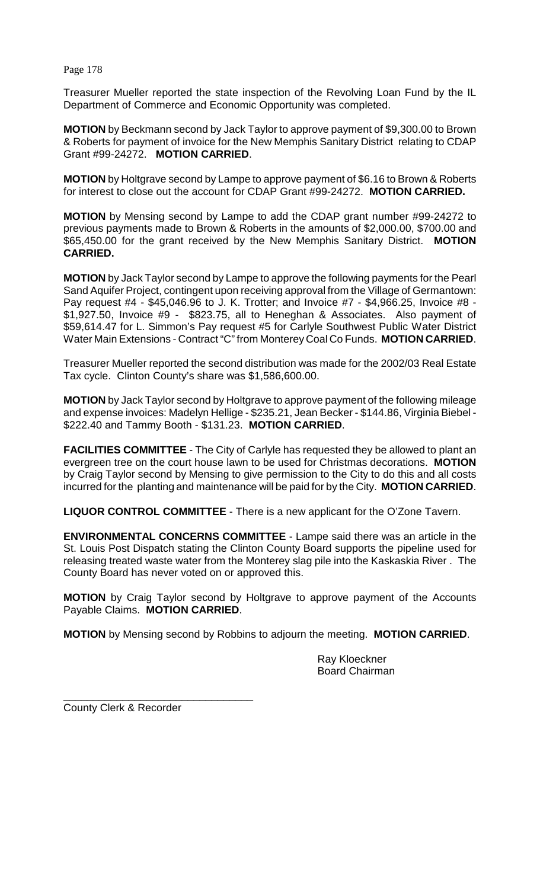Page 178

Treasurer Mueller reported the state inspection of the Revolving Loan Fund by the IL Department of Commerce and Economic Opportunity was completed.

**MOTION** by Beckmann second by Jack Taylor to approve payment of \$9,300.00 to Brown & Roberts for payment of invoice for the New Memphis Sanitary District relating to CDAP Grant #99-24272. **MOTION CARRIED**.

**MOTION** by Holtgrave second by Lampe to approve payment of \$6.16 to Brown & Roberts for interest to close out the account for CDAP Grant #99-24272. **MOTION CARRIED.**

**MOTION** by Mensing second by Lampe to add the CDAP grant number #99-24272 to previous payments made to Brown & Roberts in the amounts of \$2,000.00, \$700.00 and \$65,450.00 for the grant received by the New Memphis Sanitary District. **MOTION CARRIED.**

**MOTION** by Jack Taylor second by Lampe to approve the following payments for the Pearl Sand Aquifer Project, contingent upon receiving approval from the Village of Germantown: Pay request #4 - \$45,046.96 to J. K. Trotter; and Invoice #7 - \$4,966.25, Invoice #8 - \$1,927.50, Invoice #9 - \$823.75, all to Heneghan & Associates. Also payment of \$59,614.47 for L. Simmon's Pay request #5 for Carlyle Southwest Public Water District Water Main Extensions - Contract "C" from Monterey Coal Co Funds. **MOTION CARRIED**.

Treasurer Mueller reported the second distribution was made for the 2002/03 Real Estate Tax cycle. Clinton County's share was \$1,586,600.00.

**MOTION** by Jack Taylor second by Holtgrave to approve payment of the following mileage and expense invoices: Madelyn Hellige - \$235.21, Jean Becker - \$144.86, Virginia Biebel - \$222.40 and Tammy Booth - \$131.23. **MOTION CARRIED**.

**FACILITIES COMMITTEE** - The City of Carlyle has requested they be allowed to plant an evergreen tree on the court house lawn to be used for Christmas decorations. **MOTION** by Craig Taylor second by Mensing to give permission to the City to do this and all costs incurred for the planting and maintenance will be paid for by the City. **MOTION CARRIED**.

**LIQUOR CONTROL COMMITTEE** - There is a new applicant for the O'Zone Tavern.

**ENVIRONMENTAL CONCERNS COMMITTEE** - Lampe said there was an article in the St. Louis Post Dispatch stating the Clinton County Board supports the pipeline used for releasing treated waste water from the Monterey slag pile into the Kaskaskia River . The County Board has never voted on or approved this.

**MOTION** by Craig Taylor second by Holtgrave to approve payment of the Accounts Payable Claims. **MOTION CARRIED**.

**MOTION** by Mensing second by Robbins to adjourn the meeting. **MOTION CARRIED**.

Ray Kloeckner Board Chairman

\_\_\_\_\_\_\_\_\_\_\_\_\_\_\_\_\_\_\_\_\_\_\_\_\_\_\_\_\_\_\_\_ County Clerk & Recorder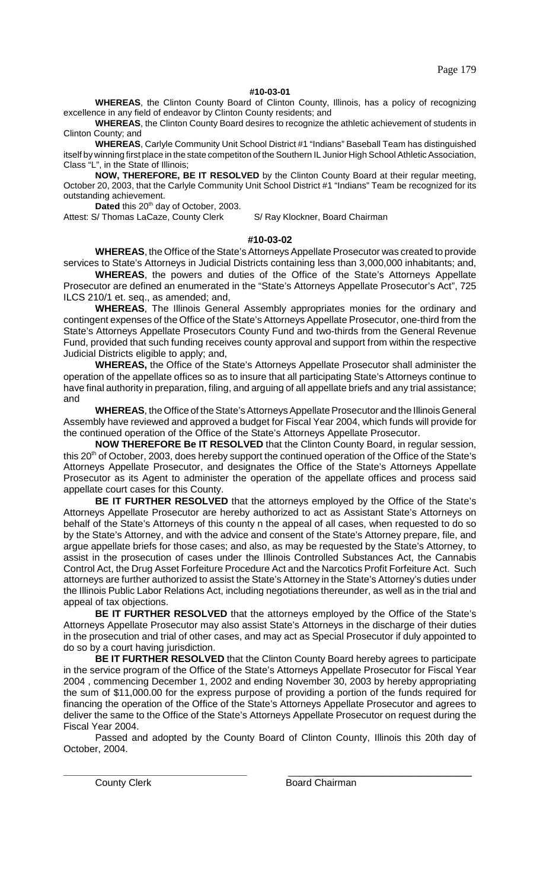Page 179

## **#10-03-01**

**WHEREAS**, the Clinton County Board of Clinton County, Illinois, has a policy of recognizing excellence in any field of endeavor by Clinton County residents; and

**WHEREAS**, the Clinton County Board desires to recognize the athletic achievement of students in Clinton County; and

**WHEREAS**, Carlyle Community Unit School District #1 "Indians" Baseball Team has distinguished itself by winning first place in the state competiton of the Southern IL Junior High School Athletic Association, Class "L", in the State of Illinois;

**NOW, THEREFORE, BE IT RESOLVED** by the Clinton County Board at their regular meeting, October 20, 2003, that the Carlyle Community Unit School District #1 "Indians" Team be recognized for its outstanding achievement.

Dated this 20<sup>th</sup> day of October, 2003.

Attest: S/ Thomas LaCaze, County Clerk S/ Ray Klockner, Board Chairman

## **#10-03-02**

**WHEREAS**, the Office of the State's Attorneys Appellate Prosecutor was created to provide services to State's Attorneys in Judicial Districts containing less than 3,000,000 inhabitants; and,

**WHEREAS**, the powers and duties of the Office of the State's Attorneys Appellate Prosecutor are defined an enumerated in the "State's Attorneys Appellate Prosecutor's Act", 725 ILCS 210/1 et. seq., as amended; and,

**WHEREAS**, The Illinois General Assembly appropriates monies for the ordinary and contingent expenses of the Office of the State's Attorneys Appellate Prosecutor, one-third from the State's Attorneys Appellate Prosecutors County Fund and two-thirds from the General Revenue Fund, provided that such funding receives county approval and support from within the respective Judicial Districts eligible to apply; and,

**WHEREAS,** the Office of the State's Attorneys Appellate Prosecutor shall administer the operation of the appellate offices so as to insure that all participating State's Attorneys continue to have final authority in preparation, filing, and arguing of all appellate briefs and any trial assistance; and

**WHEREAS**, the Office of the State's Attorneys Appellate Prosecutor and the Illinois General Assembly have reviewed and approved a budget for Fiscal Year 2004, which funds will provide for the continued operation of the Office of the State's Attorneys Appellate Prosecutor.

**NOW THEREFORE Be IT RESOLVED** that the Clinton County Board, in regular session, this 20<sup>th</sup> of October, 2003, does hereby support the continued operation of the Office of the State's Attorneys Appellate Prosecutor, and designates the Office of the State's Attorneys Appellate Prosecutor as its Agent to administer the operation of the appellate offices and process said appellate court cases for this County.

**BE IT FURTHER RESOLVED** that the attorneys employed by the Office of the State's Attorneys Appellate Prosecutor are hereby authorized to act as Assistant State's Attorneys on behalf of the State's Attorneys of this county n the appeal of all cases, when requested to do so by the State's Attorney, and with the advice and consent of the State's Attorney prepare, file, and argue appellate briefs for those cases; and also, as may be requested by the State's Attorney, to assist in the prosecution of cases under the Illinois Controlled Substances Act, the Cannabis Control Act, the Drug Asset Forfeiture Procedure Act and the Narcotics Profit Forfeiture Act. Such attorneys are further authorized to assist the State's Attorney in the State's Attorney's duties under the Illinois Public Labor Relations Act, including negotiations thereunder, as well as in the trial and appeal of tax objections.

**BE IT FURTHER RESOLVED** that the attorneys employed by the Office of the State's Attorneys Appellate Prosecutor may also assist State's Attorneys in the discharge of their duties in the prosecution and trial of other cases, and may act as Special Prosecutor if duly appointed to do so by a court having jurisdiction.

**BE IT FURTHER RESOLVED** that the Clinton County Board hereby agrees to participate in the service program of the Office of the State's Attorneys Appellate Prosecutor for Fiscal Year 2004 , commencing December 1, 2002 and ending November 30, 2003 by hereby appropriating the sum of \$11,000.00 for the express purpose of providing a portion of the funds required for financing the operation of the Office of the State's Attorneys Appellate Prosecutor and agrees to deliver the same to the Office of the State's Attorneys Appellate Prosecutor on request during the Fiscal Year 2004.

Passed and adopted by the County Board of Clinton County, Illinois this 20th day of October, 2004.

**\_\_\_\_\_\_\_\_\_\_\_\_\_\_\_\_\_\_\_\_\_\_\_\_\_\_\_\_\_\_\_\_\_\_** \_\_\_\_\_\_\_\_\_\_\_\_\_\_\_\_\_\_\_\_\_\_\_\_\_\_\_\_\_\_\_\_\_\_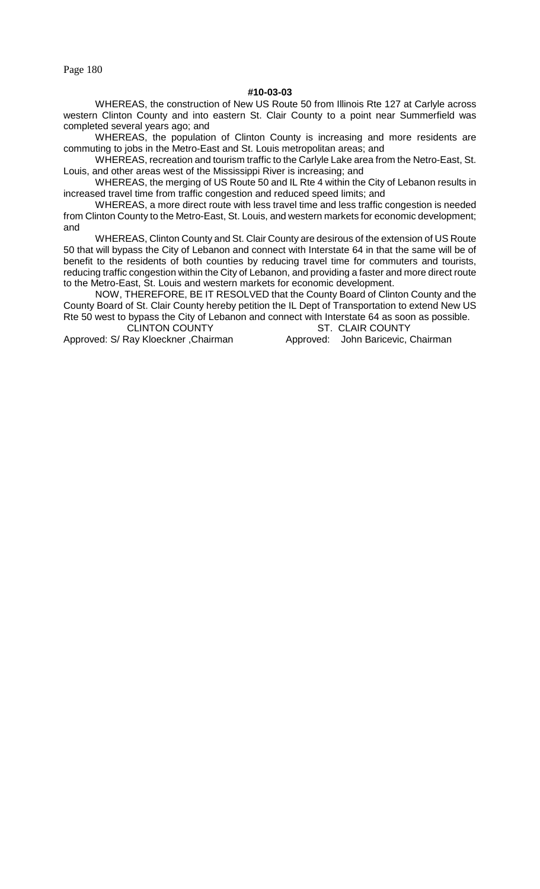Page 180

## **#10-03-03**

WHEREAS, the construction of New US Route 50 from Illinois Rte 127 at Carlyle across western Clinton County and into eastern St. Clair County to a point near Summerfield was completed several years ago; and

WHEREAS, the population of Clinton County is increasing and more residents are commuting to jobs in the Metro-East and St. Louis metropolitan areas; and

WHEREAS, recreation and tourism traffic to the Carlyle Lake area from the Netro-East, St. Louis, and other areas west of the Mississippi River is increasing; and

WHEREAS, the merging of US Route 50 and IL Rte 4 within the City of Lebanon results in increased travel time from traffic congestion and reduced speed limits; and

WHEREAS, a more direct route with less travel time and less traffic congestion is needed from Clinton County to the Metro-East, St. Louis, and western markets for economic development; and

WHEREAS, Clinton County and St. Clair County are desirous of the extension of US Route 50 that will bypass the City of Lebanon and connect with Interstate 64 in that the same will be of benefit to the residents of both counties by reducing travel time for commuters and tourists, reducing traffic congestion within the City of Lebanon, and providing a faster and more direct route to the Metro-East, St. Louis and western markets for economic development.

NOW, THEREFORE, BE IT RESOLVED that the County Board of Clinton County and the County Board of St. Clair County hereby petition the IL Dept of Transportation to extend New US Rte 50 west to bypass the City of Lebanon and connect with Interstate 64 as soon as possible.

CLINTON COUNTY ST. CLAIR COUNTY

Approved: S/ Ray Kloeckner, Chairman Approved: John Baricevic, Chairman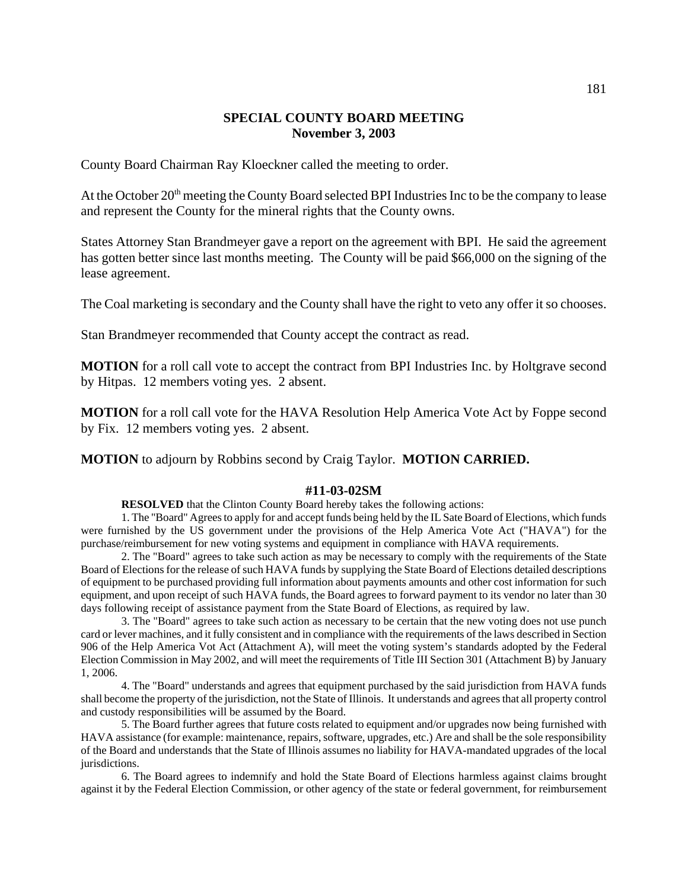# **SPECIAL COUNTY BOARD MEETING November 3, 2003**

County Board Chairman Ray Kloeckner called the meeting to order.

At the October  $20<sup>th</sup>$  meeting the County Board selected BPI Industries Inc to be the company to lease and represent the County for the mineral rights that the County owns.

States Attorney Stan Brandmeyer gave a report on the agreement with BPI. He said the agreement has gotten better since last months meeting. The County will be paid \$66,000 on the signing of the lease agreement.

The Coal marketing is secondary and the County shall have the right to veto any offer it so chooses.

Stan Brandmeyer recommended that County accept the contract as read.

**MOTION** for a roll call vote to accept the contract from BPI Industries Inc. by Holtgrave second by Hitpas. 12 members voting yes. 2 absent.

**MOTION** for a roll call vote for the HAVA Resolution Help America Vote Act by Foppe second by Fix. 12 members voting yes. 2 absent.

**MOTION** to adjourn by Robbins second by Craig Taylor. **MOTION CARRIED.**

#### **#11-03-02SM**

**RESOLVED** that the Clinton County Board hereby takes the following actions:

1. The "Board" Agrees to apply for and accept funds being held by the IL Sate Board of Elections, which funds were furnished by the US government under the provisions of the Help America Vote Act ("HAVA") for the purchase/reimbursement for new voting systems and equipment in compliance with HAVA requirements.

2. The "Board" agrees to take such action as may be necessary to comply with the requirements of the State Board of Elections for the release of such HAVA funds by supplying the State Board of Elections detailed descriptions of equipment to be purchased providing full information about payments amounts and other cost information for such equipment, and upon receipt of such HAVA funds, the Board agrees to forward payment to its vendor no later than 30 days following receipt of assistance payment from the State Board of Elections, as required by law.

3. The "Board" agrees to take such action as necessary to be certain that the new voting does not use punch card or lever machines, and it fully consistent and in compliance with the requirements of the laws described in Section 906 of the Help America Vot Act (Attachment A), will meet the voting system's standards adopted by the Federal Election Commission in May 2002, and will meet the requirements of Title III Section 301 (Attachment B) by January 1, 2006.

4. The "Board" understands and agrees that equipment purchased by the said jurisdiction from HAVA funds shall become the property of the jurisdiction, not the State of Illinois. It understands and agrees that all property control and custody responsibilities will be assumed by the Board.

5. The Board further agrees that future costs related to equipment and/or upgrades now being furnished with HAVA assistance (for example: maintenance, repairs, software, upgrades, etc.) Are and shall be the sole responsibility of the Board and understands that the State of Illinois assumes no liability for HAVA-mandated upgrades of the local jurisdictions.

6. The Board agrees to indemnify and hold the State Board of Elections harmless against claims brought against it by the Federal Election Commission, or other agency of the state or federal government, for reimbursement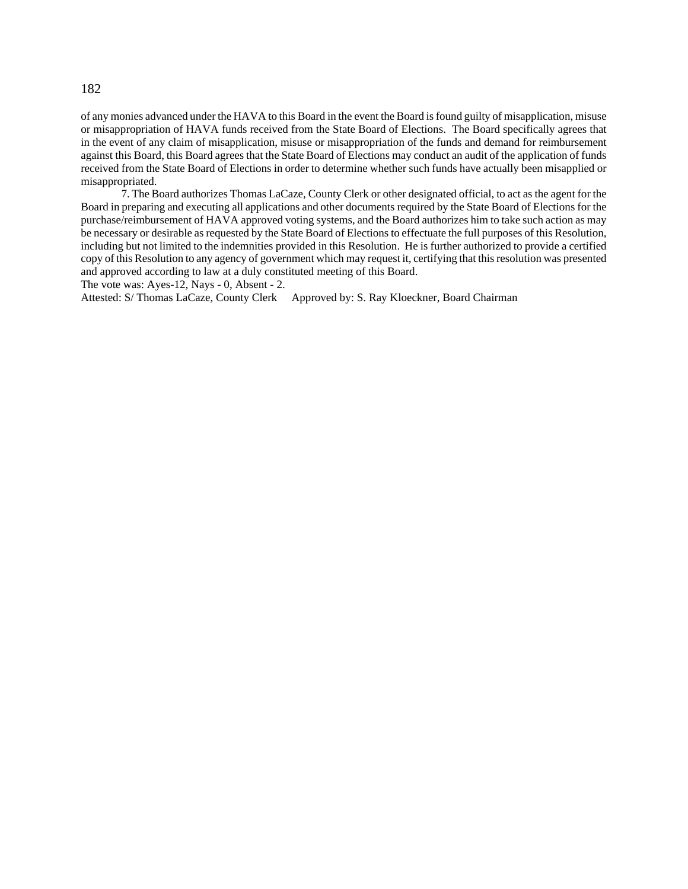#### 182

of any monies advanced under the HAVA to this Board in the event the Board is found guilty of misapplication, misuse or misappropriation of HAVA funds received from the State Board of Elections. The Board specifically agrees that in the event of any claim of misapplication, misuse or misappropriation of the funds and demand for reimbursement against this Board, this Board agrees that the State Board of Elections may conduct an audit of the application of funds received from the State Board of Elections in order to determine whether such funds have actually been misapplied or misappropriated.

7. The Board authorizes Thomas LaCaze, County Clerk or other designated official, to act as the agent for the Board in preparing and executing all applications and other documents required by the State Board of Elections for the purchase/reimbursement of HAVA approved voting systems, and the Board authorizes him to take such action as may be necessary or desirable as requested by the State Board of Elections to effectuate the full purposes of this Resolution, including but not limited to the indemnities provided in this Resolution. He is further authorized to provide a certified copy of this Resolution to any agency of government which may request it, certifying that this resolution was presented and approved according to law at a duly constituted meeting of this Board.

The vote was: Ayes-12, Nays - 0, Absent - 2.

Attested: S/ Thomas LaCaze, County Clerk Approved by: S. Ray Kloeckner, Board Chairman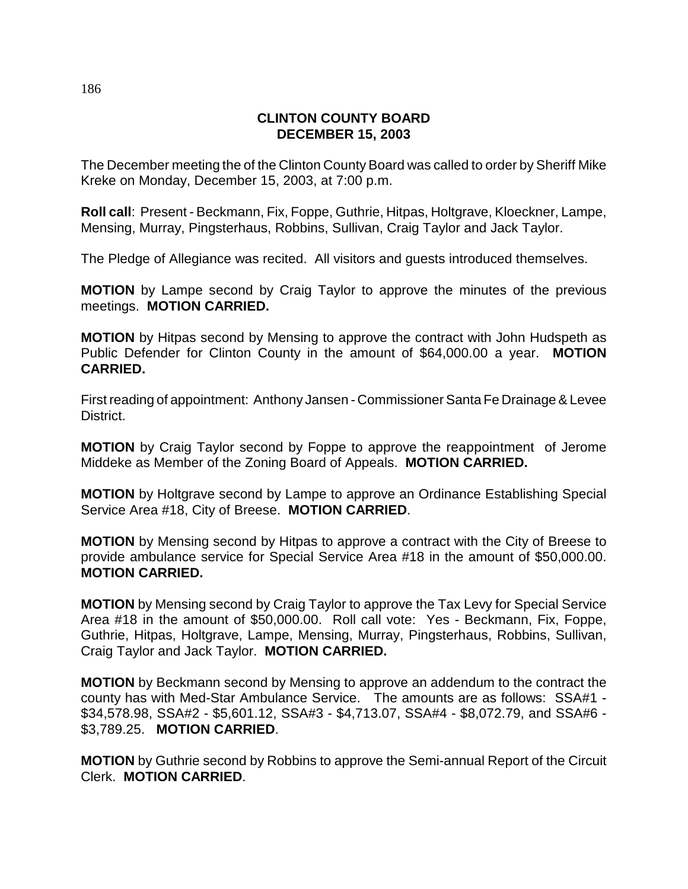# **CLINTON COUNTY BOARD DECEMBER 15, 2003**

The December meeting the of the Clinton County Board was called to order by Sheriff Mike Kreke on Monday, December 15, 2003, at 7:00 p.m.

**Roll call**: Present - Beckmann, Fix, Foppe, Guthrie, Hitpas, Holtgrave, Kloeckner, Lampe, Mensing, Murray, Pingsterhaus, Robbins, Sullivan, Craig Taylor and Jack Taylor.

The Pledge of Allegiance was recited. All visitors and guests introduced themselves.

**MOTION** by Lampe second by Craig Taylor to approve the minutes of the previous meetings. **MOTION CARRIED.**

**MOTION** by Hitpas second by Mensing to approve the contract with John Hudspeth as Public Defender for Clinton County in the amount of \$64,000.00 a year. **MOTION CARRIED.**

First reading of appointment: Anthony Jansen - Commissioner Santa Fe Drainage & Levee District.

**MOTION** by Craig Taylor second by Foppe to approve the reappointment of Jerome Middeke as Member of the Zoning Board of Appeals. **MOTION CARRIED.**

**MOTION** by Holtgrave second by Lampe to approve an Ordinance Establishing Special Service Area #18, City of Breese. **MOTION CARRIED**.

**MOTION** by Mensing second by Hitpas to approve a contract with the City of Breese to provide ambulance service for Special Service Area #18 in the amount of \$50,000.00. **MOTION CARRIED.**

**MOTION** by Mensing second by Craig Taylor to approve the Tax Levy for Special Service Area #18 in the amount of \$50,000.00. Roll call vote: Yes - Beckmann, Fix, Foppe, Guthrie, Hitpas, Holtgrave, Lampe, Mensing, Murray, Pingsterhaus, Robbins, Sullivan, Craig Taylor and Jack Taylor. **MOTION CARRIED.**

**MOTION** by Beckmann second by Mensing to approve an addendum to the contract the county has with Med-Star Ambulance Service. The amounts are as follows: SSA#1 - \$34,578.98, SSA#2 - \$5,601.12, SSA#3 - \$4,713.07, SSA#4 - \$8,072.79, and SSA#6 - \$3,789.25. **MOTION CARRIED**.

**MOTION** by Guthrie second by Robbins to approve the Semi-annual Report of the Circuit Clerk. **MOTION CARRIED**.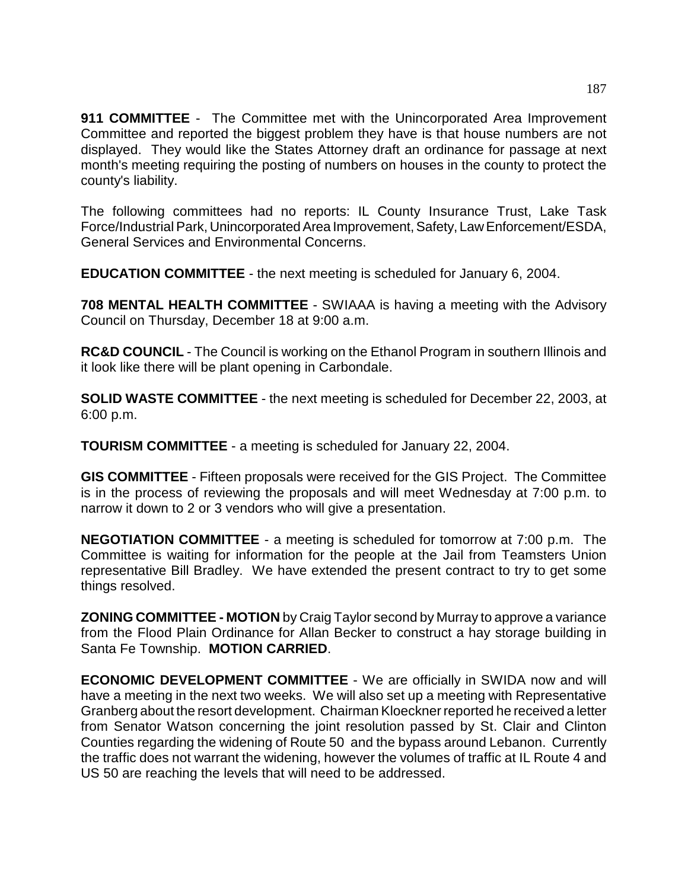**911 COMMITTEE** - The Committee met with the Unincorporated Area Improvement Committee and reported the biggest problem they have is that house numbers are not displayed. They would like the States Attorney draft an ordinance for passage at next month's meeting requiring the posting of numbers on houses in the county to protect the county's liability.

The following committees had no reports: IL County Insurance Trust, Lake Task Force/Industrial Park, Unincorporated Area Improvement, Safety, Law Enforcement/ESDA, General Services and Environmental Concerns.

**EDUCATION COMMITTEE** - the next meeting is scheduled for January 6, 2004.

**708 MENTAL HEALTH COMMITTEE** - SWIAAA is having a meeting with the Advisory Council on Thursday, December 18 at 9:00 a.m.

**RC&D COUNCIL** - The Council is working on the Ethanol Program in southern Illinois and it look like there will be plant opening in Carbondale.

**SOLID WASTE COMMITTEE** - the next meeting is scheduled for December 22, 2003, at 6:00 p.m.

**TOURISM COMMITTEE** - a meeting is scheduled for January 22, 2004.

**GIS COMMITTEE** - Fifteen proposals were received for the GIS Project. The Committee is in the process of reviewing the proposals and will meet Wednesday at 7:00 p.m. to narrow it down to 2 or 3 vendors who will give a presentation.

**NEGOTIATION COMMITTEE** - a meeting is scheduled for tomorrow at 7:00 p.m. The Committee is waiting for information for the people at the Jail from Teamsters Union representative Bill Bradley. We have extended the present contract to try to get some things resolved.

**ZONING COMMITTEE - MOTION** by Craig Taylor second by Murray to approve a variance from the Flood Plain Ordinance for Allan Becker to construct a hay storage building in Santa Fe Township. **MOTION CARRIED**.

**ECONOMIC DEVELOPMENT COMMITTEE** - We are officially in SWIDA now and will have a meeting in the next two weeks. We will also set up a meeting with Representative Granberg about the resort development. Chairman Kloeckner reported he received a letter from Senator Watson concerning the joint resolution passed by St. Clair and Clinton Counties regarding the widening of Route 50 and the bypass around Lebanon. Currently the traffic does not warrant the widening, however the volumes of traffic at IL Route 4 and US 50 are reaching the levels that will need to be addressed.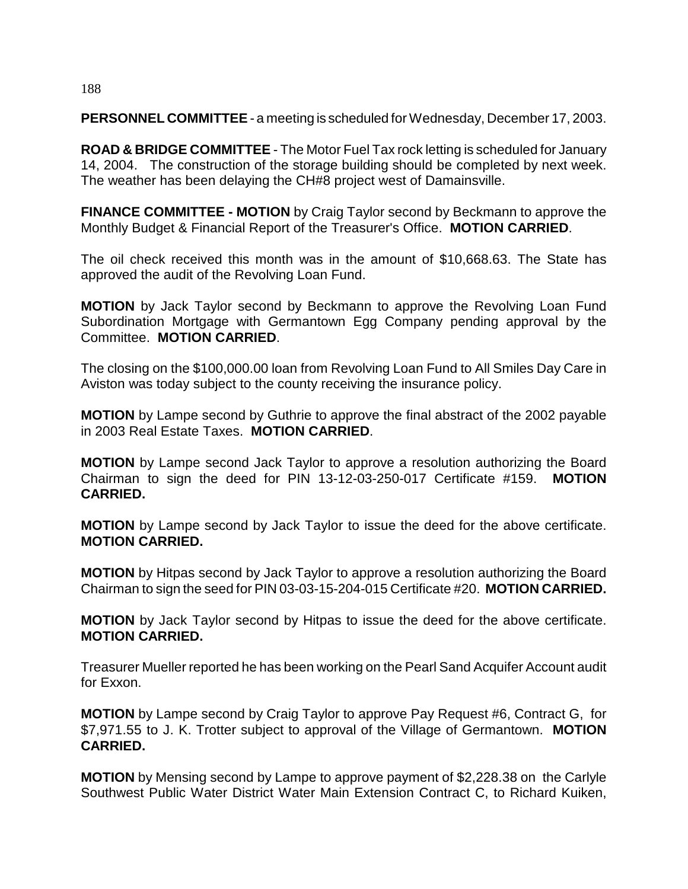# 188

**PERSONNEL COMMITTEE** - a meeting is scheduled for Wednesday, December 17, 2003.

**ROAD & BRIDGE COMMITTEE** - The Motor Fuel Tax rock letting is scheduled for January 14, 2004. The construction of the storage building should be completed by next week. The weather has been delaying the CH#8 project west of Damainsville.

**FINANCE COMMITTEE - MOTION** by Craig Taylor second by Beckmann to approve the Monthly Budget & Financial Report of the Treasurer's Office. **MOTION CARRIED**.

The oil check received this month was in the amount of \$10,668.63. The State has approved the audit of the Revolving Loan Fund.

**MOTION** by Jack Taylor second by Beckmann to approve the Revolving Loan Fund Subordination Mortgage with Germantown Egg Company pending approval by the Committee. **MOTION CARRIED**.

The closing on the \$100,000.00 loan from Revolving Loan Fund to All Smiles Day Care in Aviston was today subject to the county receiving the insurance policy.

**MOTION** by Lampe second by Guthrie to approve the final abstract of the 2002 payable in 2003 Real Estate Taxes. **MOTION CARRIED**.

**MOTION** by Lampe second Jack Taylor to approve a resolution authorizing the Board Chairman to sign the deed for PIN 13-12-03-250-017 Certificate #159. **MOTION CARRIED.**

**MOTION** by Lampe second by Jack Taylor to issue the deed for the above certificate. **MOTION CARRIED.**

**MOTION** by Hitpas second by Jack Taylor to approve a resolution authorizing the Board Chairman to sign the seed for PIN 03-03-15-204-015 Certificate #20. **MOTION CARRIED.**

**MOTION** by Jack Taylor second by Hitpas to issue the deed for the above certificate. **MOTION CARRIED.**

Treasurer Mueller reported he has been working on the Pearl Sand Acquifer Account audit for Exxon.

**MOTION** by Lampe second by Craig Taylor to approve Pay Request #6, Contract G, for \$7,971.55 to J. K. Trotter subject to approval of the Village of Germantown. **MOTION CARRIED.**

**MOTION** by Mensing second by Lampe to approve payment of \$2,228.38 on the Carlyle Southwest Public Water District Water Main Extension Contract C, to Richard Kuiken,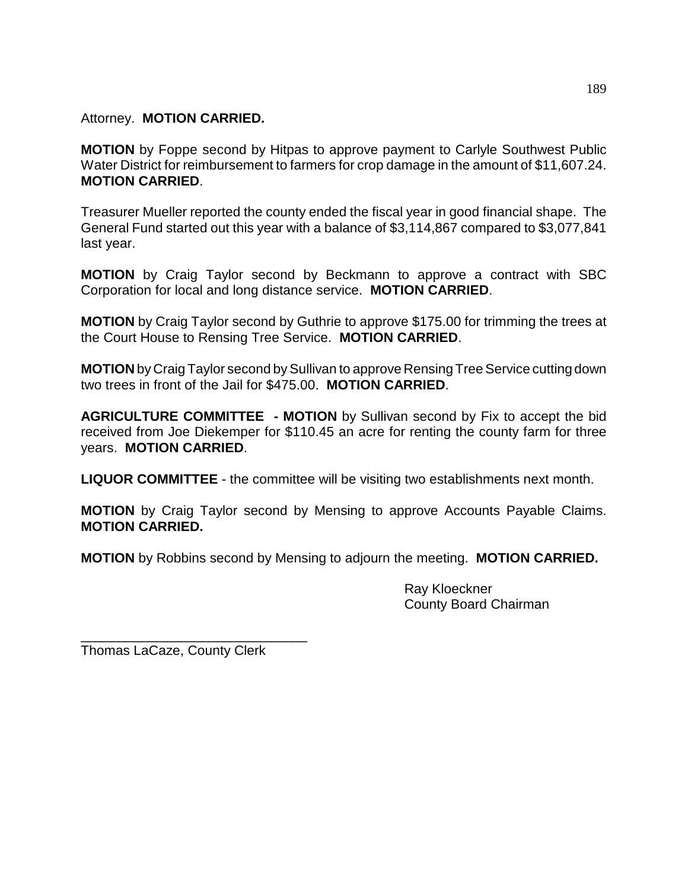# Attorney. **MOTION CARRIED.**

**MOTION** by Foppe second by Hitpas to approve payment to Carlyle Southwest Public Water District for reimbursement to farmers for crop damage in the amount of \$11,607.24. **MOTION CARRIED**.

Treasurer Mueller reported the county ended the fiscal year in good financial shape. The General Fund started out this year with a balance of \$3,114,867 compared to \$3,077,841 last year.

**MOTION** by Craig Taylor second by Beckmann to approve a contract with SBC Corporation for local and long distance service. **MOTION CARRIED**.

**MOTION** by Craig Taylor second by Guthrie to approve \$175.00 for trimming the trees at the Court House to Rensing Tree Service. **MOTION CARRIED**.

**MOTION** by Craig Taylor second by Sullivan to approve Rensing Tree Service cutting down two trees in front of the Jail for \$475.00. **MOTION CARRIED**.

**AGRICULTURE COMMITTEE - MOTION** by Sullivan second by Fix to accept the bid received from Joe Diekemper for \$110.45 an acre for renting the county farm for three years. **MOTION CARRIED**.

**LIQUOR COMMITTEE** - the committee will be visiting two establishments next month.

**MOTION** by Craig Taylor second by Mensing to approve Accounts Payable Claims. **MOTION CARRIED.**

**MOTION** by Robbins second by Mensing to adjourn the meeting. **MOTION CARRIED.**

Ray Kloeckner County Board Chairman

Thomas LaCaze, County Clerk

\_\_\_\_\_\_\_\_\_\_\_\_\_\_\_\_\_\_\_\_\_\_\_\_\_\_\_\_\_\_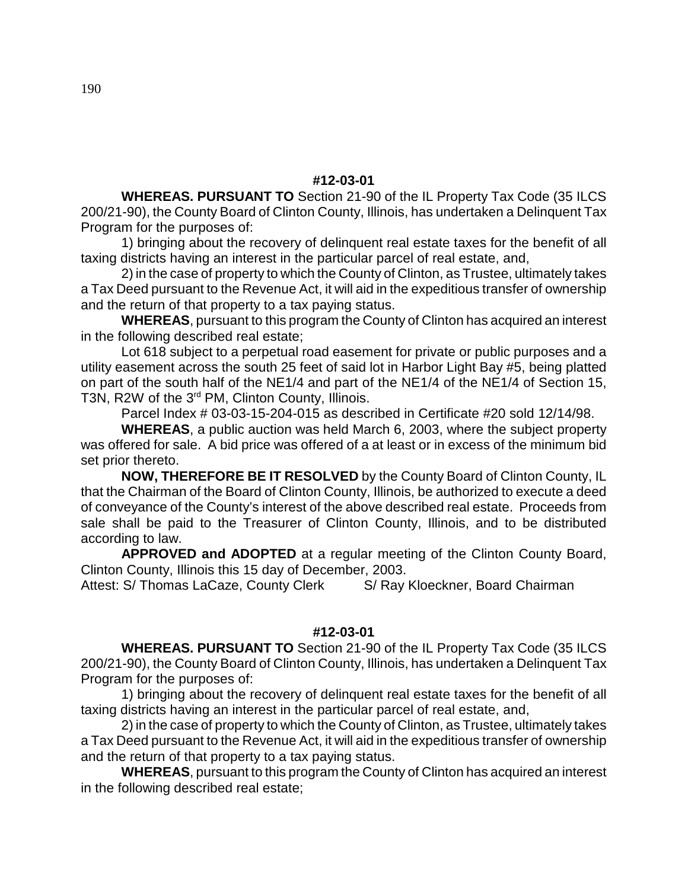# **#12-03-01**

**WHEREAS. PURSUANT TO** Section 21-90 of the IL Property Tax Code (35 ILCS 200/21-90), the County Board of Clinton County, Illinois, has undertaken a Delinquent Tax Program for the purposes of:

1) bringing about the recovery of delinquent real estate taxes for the benefit of all taxing districts having an interest in the particular parcel of real estate, and,

2) in the case of property to which the County of Clinton, as Trustee, ultimately takes a Tax Deed pursuant to the Revenue Act, it will aid in the expeditious transfer of ownership and the return of that property to a tax paying status.

**WHEREAS**, pursuant to this program the County of Clinton has acquired an interest in the following described real estate;

Lot 618 subject to a perpetual road easement for private or public purposes and a utility easement across the south 25 feet of said lot in Harbor Light Bay #5, being platted on part of the south half of the NE1/4 and part of the NE1/4 of the NE1/4 of Section 15, T3N, R2W of the 3<sup>rd</sup> PM, Clinton County, Illinois.

Parcel Index # 03-03-15-204-015 as described in Certificate #20 sold 12/14/98.

**WHEREAS**, a public auction was held March 6, 2003, where the subject property was offered for sale. A bid price was offered of a at least or in excess of the minimum bid set prior thereto.

**NOW, THEREFORE BE IT RESOLVED** by the County Board of Clinton County, IL that the Chairman of the Board of Clinton County, Illinois, be authorized to execute a deed of conveyance of the County's interest of the above described real estate. Proceeds from sale shall be paid to the Treasurer of Clinton County, Illinois, and to be distributed according to law.

**APPROVED and ADOPTED** at a regular meeting of the Clinton County Board, Clinton County, Illinois this 15 day of December, 2003.

Attest: S/ Thomas LaCaze, County Clerk S/ Ray Kloeckner, Board Chairman

# **#12-03-01**

**WHEREAS. PURSUANT TO** Section 21-90 of the IL Property Tax Code (35 ILCS 200/21-90), the County Board of Clinton County, Illinois, has undertaken a Delinquent Tax Program for the purposes of:

1) bringing about the recovery of delinquent real estate taxes for the benefit of all taxing districts having an interest in the particular parcel of real estate, and,

2) in the case of property to which the County of Clinton, as Trustee, ultimately takes a Tax Deed pursuant to the Revenue Act, it will aid in the expeditious transfer of ownership and the return of that property to a tax paying status.

**WHEREAS**, pursuant to this program the County of Clinton has acquired an interest in the following described real estate;

190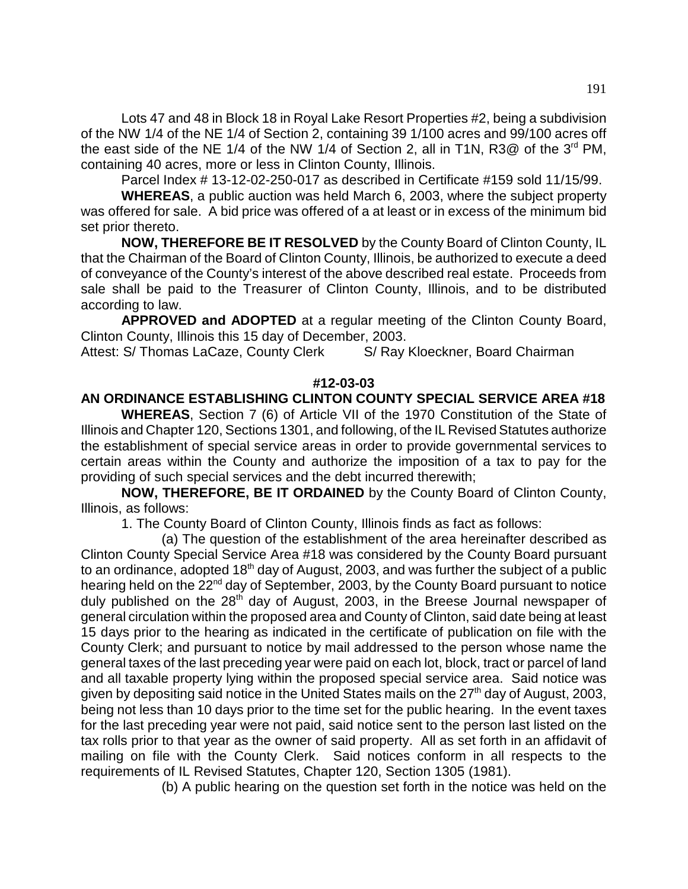Lots 47 and 48 in Block 18 in Royal Lake Resort Properties #2, being a subdivision of the NW 1/4 of the NE 1/4 of Section 2, containing 39 1/100 acres and 99/100 acres off the east side of the NE 1/4 of the NW 1/4 of Section 2, all in T1N,  $R3@$  of the  $3<sup>rd</sup>$  PM, containing 40 acres, more or less in Clinton County, Illinois.

Parcel Index # 13-12-02-250-017 as described in Certificate #159 sold 11/15/99.

**WHEREAS**, a public auction was held March 6, 2003, where the subject property was offered for sale. A bid price was offered of a at least or in excess of the minimum bid set prior thereto.

**NOW, THEREFORE BE IT RESOLVED** by the County Board of Clinton County, IL that the Chairman of the Board of Clinton County, Illinois, be authorized to execute a deed of conveyance of the County's interest of the above described real estate. Proceeds from sale shall be paid to the Treasurer of Clinton County, Illinois, and to be distributed according to law.

**APPROVED and ADOPTED** at a regular meeting of the Clinton County Board, Clinton County, Illinois this 15 day of December, 2003.

Attest: S/ Thomas LaCaze, County Clerk S/ Ray Kloeckner, Board Chairman

# **#12-03-03**

# **AN ORDINANCE ESTABLISHING CLINTON COUNTY SPECIAL SERVICE AREA #18**

**WHEREAS**, Section 7 (6) of Article VII of the 1970 Constitution of the State of Illinois and Chapter 120, Sections 1301, and following, of the IL Revised Statutes authorize the establishment of special service areas in order to provide governmental services to certain areas within the County and authorize the imposition of a tax to pay for the providing of such special services and the debt incurred therewith;

**NOW, THEREFORE, BE IT ORDAINED** by the County Board of Clinton County, Illinois, as follows:

1. The County Board of Clinton County, Illinois finds as fact as follows:

(a) The question of the establishment of the area hereinafter described as Clinton County Special Service Area #18 was considered by the County Board pursuant to an ordinance, adopted  $18<sup>th</sup>$  day of August, 2003, and was further the subject of a public hearing held on the 22<sup>nd</sup> day of September, 2003, by the County Board pursuant to notice duly published on the 28<sup>th</sup> day of August, 2003, in the Breese Journal newspaper of general circulation within the proposed area and County of Clinton, said date being at least 15 days prior to the hearing as indicated in the certificate of publication on file with the County Clerk; and pursuant to notice by mail addressed to the person whose name the general taxes of the last preceding year were paid on each lot, block, tract or parcel of land and all taxable property lying within the proposed special service area. Said notice was given by depositing said notice in the United States mails on the  $27<sup>th</sup>$  day of August, 2003, being not less than 10 days prior to the time set for the public hearing. In the event taxes for the last preceding year were not paid, said notice sent to the person last listed on the tax rolls prior to that year as the owner of said property. All as set forth in an affidavit of mailing on file with the County Clerk. Said notices conform in all respects to the requirements of IL Revised Statutes, Chapter 120, Section 1305 (1981).

(b) A public hearing on the question set forth in the notice was held on the